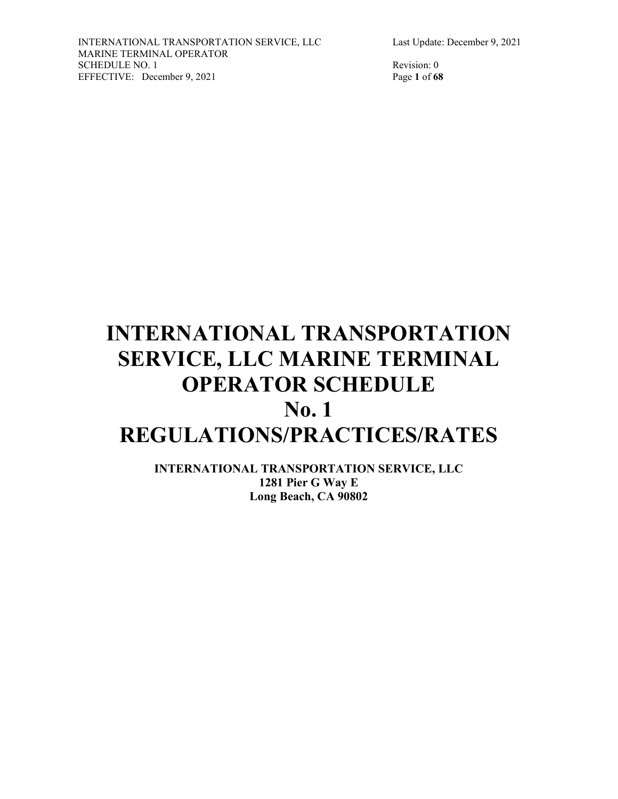# **INTERNATIONAL TRANSPORTATION SERVICE, LLC MARINE TERMINAL OPERATOR SCHEDULE**

# **No. 1 REGULATIONS/PRACTICES/RATES**

**INTERNATIONAL TRANSPORTATION SERVICE, LLC 1281 Pier G Way E Long Beach, CA 90802**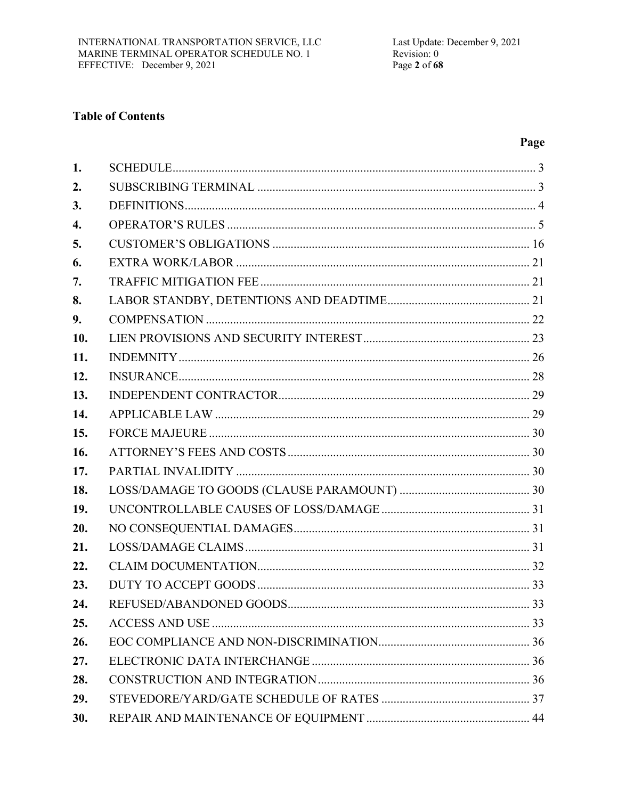# **Table of Contents**

# Page

| 1.  |  |
|-----|--|
| 2.  |  |
| 3.  |  |
| 4.  |  |
| 5.  |  |
| 6.  |  |
| 7.  |  |
| 8.  |  |
| 9.  |  |
| 10. |  |
| 11. |  |
| 12. |  |
| 13. |  |
| 14. |  |
| 15. |  |
| 16. |  |
| 17. |  |
| 18. |  |
| 19. |  |
| 20. |  |
| 21. |  |
| 22. |  |
| 23. |  |
| 24. |  |
| 25. |  |
| 26. |  |
| 27. |  |
| 28. |  |
| 29. |  |
| 30. |  |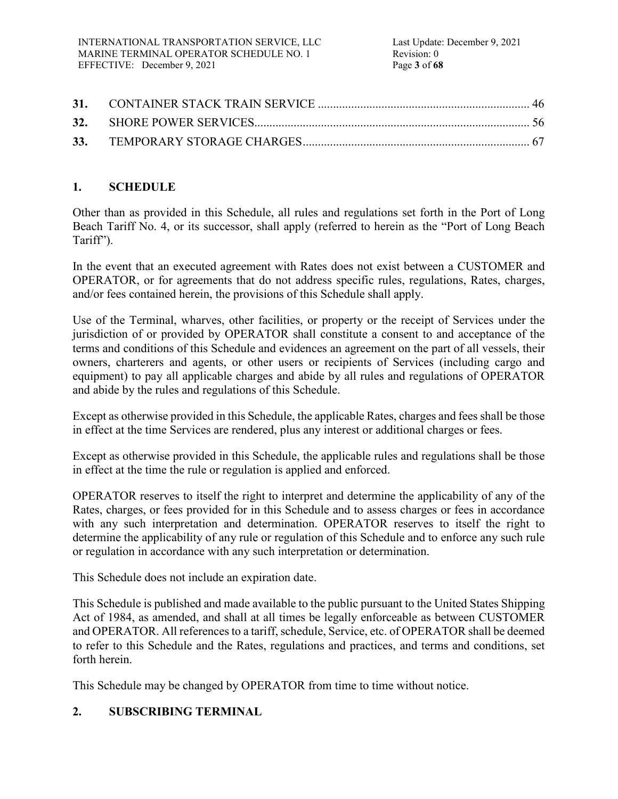# **1. SCHEDULE**

Other than as provided in this Schedule, all rules and regulations set forth in the Port of Long Beach Tariff No. 4, or its successor, shall apply (referred to herein as the "Port of Long Beach Tariff").

In the event that an executed agreement with Rates does not exist between a CUSTOMER and OPERATOR, or for agreements that do not address specific rules, regulations, Rates, charges, and/or fees contained herein, the provisions of this Schedule shall apply.

Use of the Terminal, wharves, other facilities, or property or the receipt of Services under the jurisdiction of or provided by OPERATOR shall constitute a consent to and acceptance of the terms and conditions of this Schedule and evidences an agreement on the part of all vessels, their owners, charterers and agents, or other users or recipients of Services (including cargo and equipment) to pay all applicable charges and abide by all rules and regulations of OPERATOR and abide by the rules and regulations of this Schedule.

Except as otherwise provided in this Schedule, the applicable Rates, charges and fees shall be those in effect at the time Services are rendered, plus any interest or additional charges or fees.

Except as otherwise provided in this Schedule, the applicable rules and regulations shall be those in effect at the time the rule or regulation is applied and enforced.

OPERATOR reserves to itself the right to interpret and determine the applicability of any of the Rates, charges, or fees provided for in this Schedule and to assess charges or fees in accordance with any such interpretation and determination. OPERATOR reserves to itself the right to determine the applicability of any rule or regulation of this Schedule and to enforce any such rule or regulation in accordance with any such interpretation or determination.

This Schedule does not include an expiration date.

This Schedule is published and made available to the public pursuant to the United States Shipping Act of 1984, as amended, and shall at all times be legally enforceable as between CUSTOMER and OPERATOR. All references to a tariff, schedule, Service, etc. of OPERATOR shall be deemed to refer to this Schedule and the Rates, regulations and practices, and terms and conditions, set forth herein.

This Schedule may be changed by OPERATOR from time to time without notice.

# **2. SUBSCRIBING TERMINAL**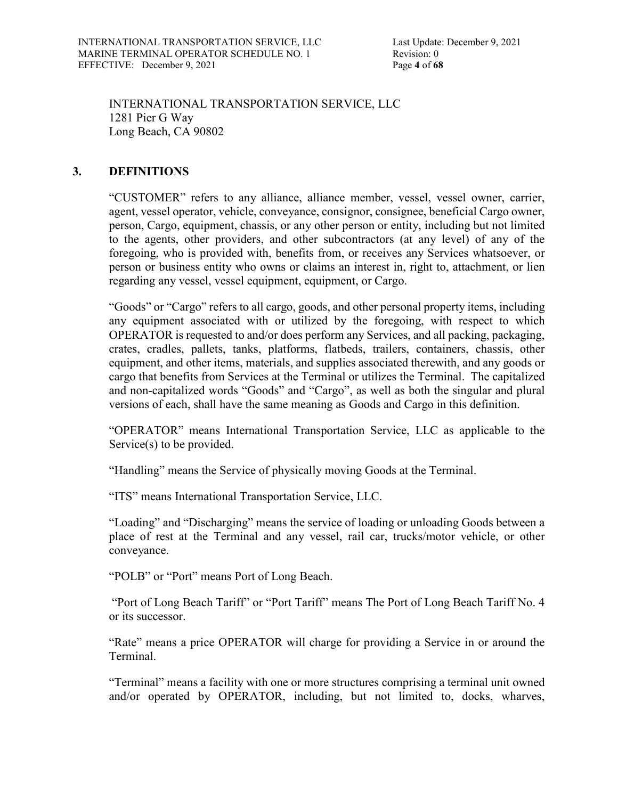INTERNATIONAL TRANSPORTATION SERVICE, LLC 1281 Pier G Way Long Beach, CA 90802

### **3. DEFINITIONS**

"CUSTOMER" refers to any alliance, alliance member, vessel, vessel owner, carrier, agent, vessel operator, vehicle, conveyance, consignor, consignee, beneficial Cargo owner, person, Cargo, equipment, chassis, or any other person or entity, including but not limited to the agents, other providers, and other subcontractors (at any level) of any of the foregoing, who is provided with, benefits from, or receives any Services whatsoever, or person or business entity who owns or claims an interest in, right to, attachment, or lien regarding any vessel, vessel equipment, equipment, or Cargo.

"Goods" or "Cargo" refers to all cargo, goods, and other personal property items, including any equipment associated with or utilized by the foregoing, with respect to which OPERATOR is requested to and/or does perform any Services, and all packing, packaging, crates, cradles, pallets, tanks, platforms, flatbeds, trailers, containers, chassis, other equipment, and other items, materials, and supplies associated therewith, and any goods or cargo that benefits from Services at the Terminal or utilizes the Terminal. The capitalized and non-capitalized words "Goods" and "Cargo", as well as both the singular and plural versions of each, shall have the same meaning as Goods and Cargo in this definition.

"OPERATOR" means International Transportation Service, LLC as applicable to the Service(s) to be provided.

"Handling" means the Service of physically moving Goods at the Terminal.

"ITS" means International Transportation Service, LLC.

"Loading" and "Discharging" means the service of loading or unloading Goods between a place of rest at the Terminal and any vessel, rail car, trucks/motor vehicle, or other conveyance.

"POLB" or "Port" means Port of Long Beach.

"Port of Long Beach Tariff" or "Port Tariff" means The Port of Long Beach Tariff No. 4 or its successor.

"Rate" means a price OPERATOR will charge for providing a Service in or around the Terminal.

"Terminal" means a facility with one or more structures comprising a terminal unit owned and/or operated by OPERATOR, including, but not limited to, docks, wharves,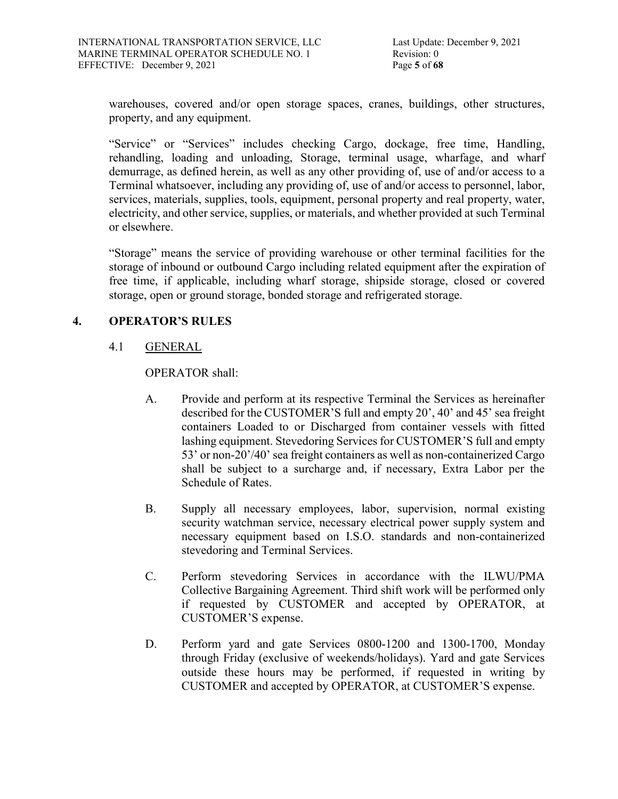Last Update: December 9, 2021 Revision: 0

warehouses, covered and/or open storage spaces, cranes, buildings, other structures, property, and any equipment.

"Service" or "Services" includes checking Cargo, dockage, free time, Handling, rehandling, loading and unloading, Storage, terminal usage, wharfage, and wharf demurrage, as defined herein, as well as any other providing of, use of and/or access to a Terminal whatsoever, including any providing of, use of and/or access to personnel, labor, services, materials, supplies, tools, equipment, personal property and real property, water, electricity, and other service, supplies, or materials, and whether provided at such Terminal or elsewhere.

"Storage" means the service of providing warehouse or other terminal facilities for the storage of inbound or outbound Cargo including related equipment after the expiration of free time, if applicable, including wharf storage, shipside storage, closed or covered storage, open or ground storage, bonded storage and refrigerated storage.

### **4. OPERATOR'S RULES**

### 4.1 GENERAL

OPERATOR shall:

- A. Provide and perform at its respective Terminal the Services as hereinafter described for the CUSTOMER'S full and empty 20', 40' and 45' sea freight containers Loaded to or Discharged from container vessels with fitted lashing equipment. Stevedoring Services for CUSTOMER'S full and empty 53' or non-20'/40' sea freight containers as well as non-containerized Cargo shall be subject to a surcharge and, if necessary, Extra Labor per the Schedule of Rates.
- B. Supply all necessary employees, labor, supervision, normal existing security watchman service, necessary electrical power supply system and necessary equipment based on I.S.O. standards and non-containerized stevedoring and Terminal Services.
- C. Perform stevedoring Services in accordance with the ILWU/PMA Collective Bargaining Agreement. Third shift work will be performed only if requested by CUSTOMER and accepted by OPERATOR, at CUSTOMER'S expense.
- D. Perform yard and gate Services 0800-1200 and 1300-1700, Monday through Friday (exclusive of weekends/holidays). Yard and gate Services outside these hours may be performed, if requested in writing by CUSTOMER and accepted by OPERATOR, at CUSTOMER'S expense.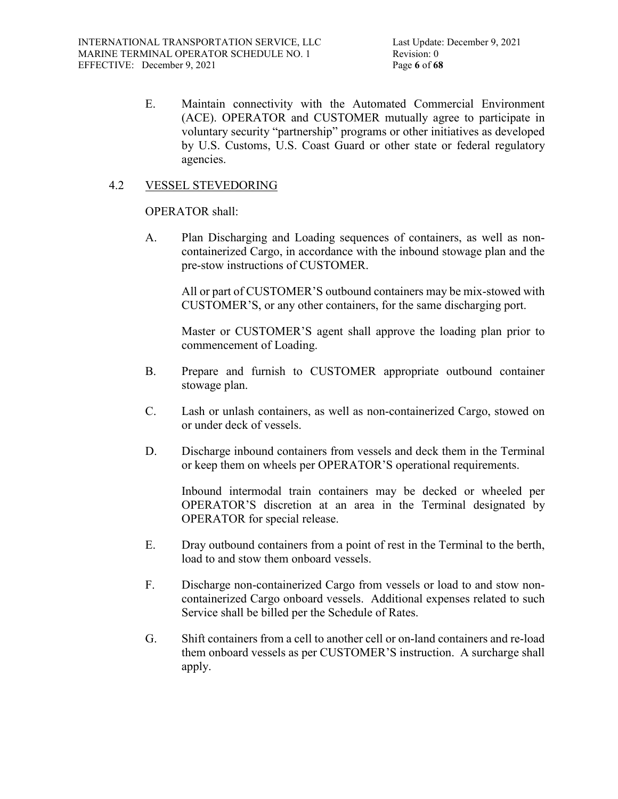E. Maintain connectivity with the Automated Commercial Environment (ACE). OPERATOR and CUSTOMER mutually agree to participate in voluntary security "partnership" programs or other initiatives as developed by U.S. Customs, U.S. Coast Guard or other state or federal regulatory agencies.

### 4.2 VESSEL STEVEDORING

### OPERATOR shall:

A. Plan Discharging and Loading sequences of containers, as well as noncontainerized Cargo, in accordance with the inbound stowage plan and the pre-stow instructions of CUSTOMER.

All or part of CUSTOMER'S outbound containers may be mix-stowed with CUSTOMER'S, or any other containers, for the same discharging port.

Master or CUSTOMER'S agent shall approve the loading plan prior to commencement of Loading.

- B. Prepare and furnish to CUSTOMER appropriate outbound container stowage plan.
- C. Lash or unlash containers, as well as non-containerized Cargo, stowed on or under deck of vessels.
- D. Discharge inbound containers from vessels and deck them in the Terminal or keep them on wheels per OPERATOR'S operational requirements.

Inbound intermodal train containers may be decked or wheeled per OPERATOR'S discretion at an area in the Terminal designated by OPERATOR for special release.

- E. Dray outbound containers from a point of rest in the Terminal to the berth, load to and stow them onboard vessels.
- F. Discharge non-containerized Cargo from vessels or load to and stow noncontainerized Cargo onboard vessels. Additional expenses related to such Service shall be billed per the Schedule of Rates.
- G. Shift containers from a cell to another cell or on-land containers and re-load them onboard vessels as per CUSTOMER'S instruction. A surcharge shall apply.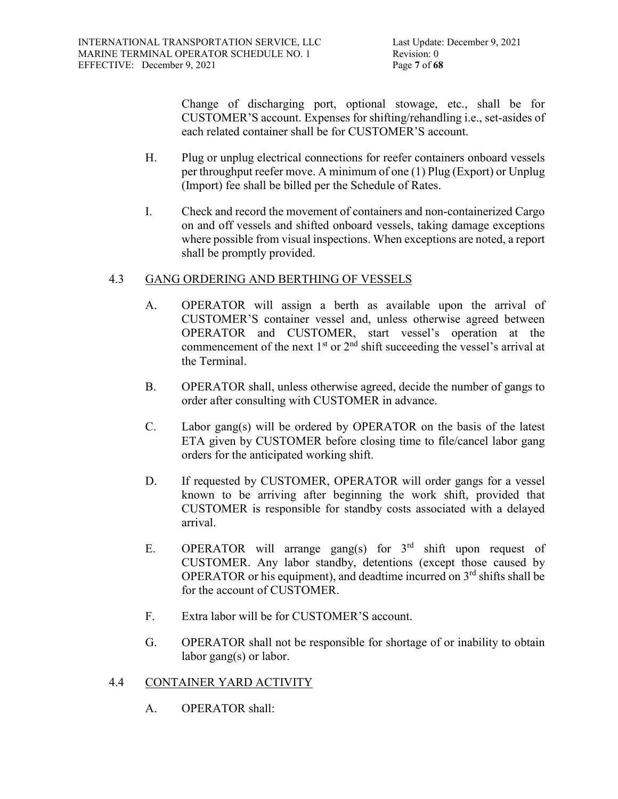Change of discharging port, optional stowage, etc., shall be for CUSTOMER'S account. Expenses for shifting/rehandling i.e., set-asides of each related container shall be for CUSTOMER'S account.

- H. Plug or unplug electrical connections for reefer containers onboard vessels per throughput reefer move. A minimum of one (1) Plug (Export) or Unplug (Import) fee shall be billed per the Schedule of Rates.
- I. Check and record the movement of containers and non-containerized Cargo on and off vessels and shifted onboard vessels, taking damage exceptions where possible from visual inspections. When exceptions are noted, a report shall be promptly provided.

# 4.3 GANG ORDERING AND BERTHING OF VESSELS

- A. OPERATOR will assign a berth as available upon the arrival of CUSTOMER'S container vessel and, unless otherwise agreed between OPERATOR and CUSTOMER, start vessel's operation at the commencement of the next  $1<sup>st</sup>$  or  $2<sup>nd</sup>$  shift succeeding the vessel's arrival at the Terminal.
- B. OPERATOR shall, unless otherwise agreed, decide the number of gangs to order after consulting with CUSTOMER in advance.
- C. Labor gang(s) will be ordered by OPERATOR on the basis of the latest ETA given by CUSTOMER before closing time to file/cancel labor gang orders for the anticipated working shift.
- D. If requested by CUSTOMER, OPERATOR will order gangs for a vessel known to be arriving after beginning the work shift, provided that CUSTOMER is responsible for standby costs associated with a delayed arrival.
- E. OPERATOR will arrange gang(s) for  $3<sup>rd</sup>$  shift upon request of CUSTOMER. Any labor standby, detentions (except those caused by OPERATOR or his equipment), and deadtime incurred on  $3<sup>rd</sup>$  shifts shall be for the account of CUSTOMER.
- F. Extra labor will be for CUSTOMER'S account.
- G. OPERATOR shall not be responsible for shortage of or inability to obtain labor gang(s) or labor.

# 4.4 CONTAINER YARD ACTIVITY

A. OPERATOR shall: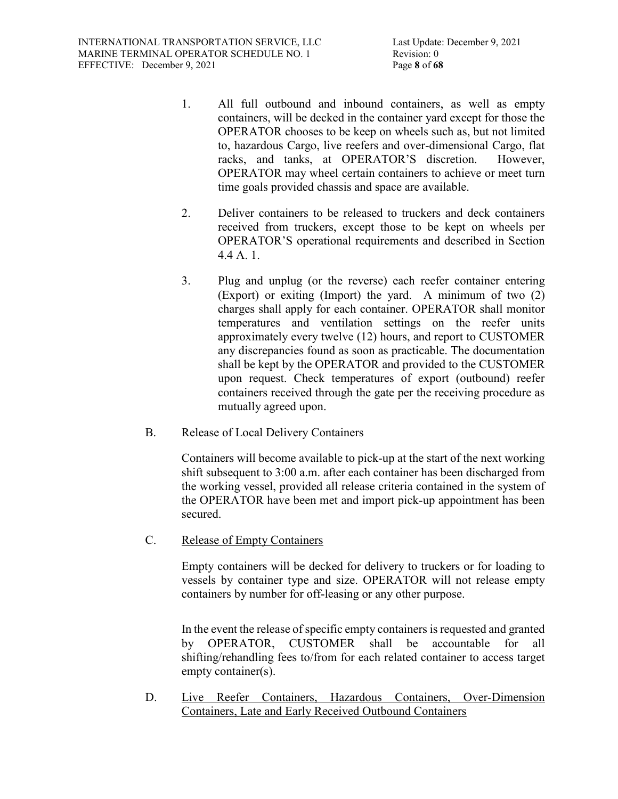- 1. All full outbound and inbound containers, as well as empty containers, will be decked in the container yard except for those the OPERATOR chooses to be keep on wheels such as, but not limited to, hazardous Cargo, live reefers and over-dimensional Cargo, flat racks, and tanks, at OPERATOR'S discretion. However, OPERATOR may wheel certain containers to achieve or meet turn time goals provided chassis and space are available.
- 2. Deliver containers to be released to truckers and deck containers received from truckers, except those to be kept on wheels per OPERATOR'S operational requirements and described in Section 4.4 A. 1.
- 3. Plug and unplug (or the reverse) each reefer container entering (Export) or exiting (Import) the yard. A minimum of two (2) charges shall apply for each container. OPERATOR shall monitor temperatures and ventilation settings on the reefer units approximately every twelve (12) hours, and report to CUSTOMER any discrepancies found as soon as practicable. The documentation shall be kept by the OPERATOR and provided to the CUSTOMER upon request. Check temperatures of export (outbound) reefer containers received through the gate per the receiving procedure as mutually agreed upon.
- B. Release of Local Delivery Containers

Containers will become available to pick-up at the start of the next working shift subsequent to 3:00 a.m. after each container has been discharged from the working vessel, provided all release criteria contained in the system of the OPERATOR have been met and import pick-up appointment has been secured.

C. Release of Empty Containers

Empty containers will be decked for delivery to truckers or for loading to vessels by container type and size. OPERATOR will not release empty containers by number for off-leasing or any other purpose.

In the event the release of specific empty containers is requested and granted by OPERATOR, CUSTOMER shall be accountable for all shifting/rehandling fees to/from for each related container to access target empty container(s).

D. Live Reefer Containers, Hazardous Containers, Over-Dimension Containers, Late and Early Received Outbound Containers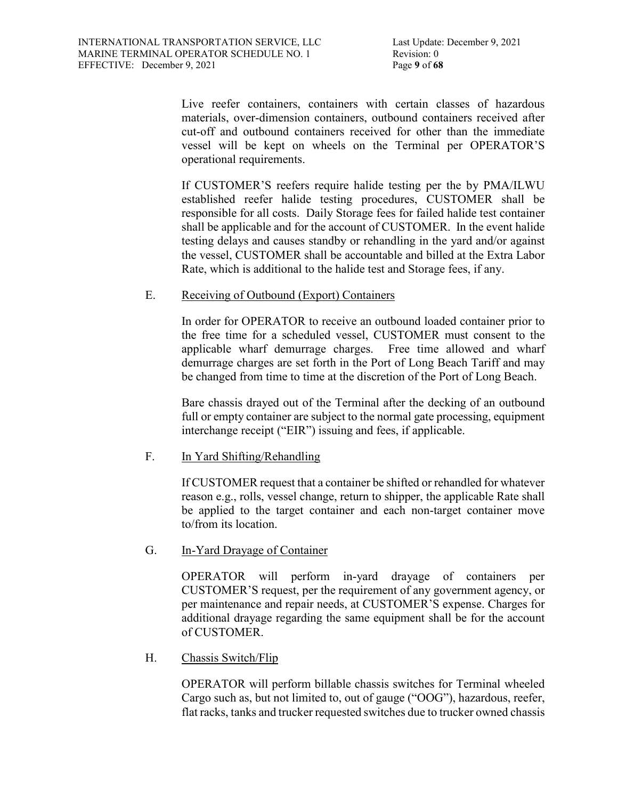Live reefer containers, containers with certain classes of hazardous materials, over-dimension containers, outbound containers received after cut-off and outbound containers received for other than the immediate vessel will be kept on wheels on the Terminal per OPERATOR'S operational requirements.

If CUSTOMER'S reefers require halide testing per the by PMA/ILWU established reefer halide testing procedures, CUSTOMER shall be responsible for all costs. Daily Storage fees for failed halide test container shall be applicable and for the account of CUSTOMER. In the event halide testing delays and causes standby or rehandling in the yard and/or against the vessel, CUSTOMER shall be accountable and billed at the Extra Labor Rate, which is additional to the halide test and Storage fees, if any.

### E. Receiving of Outbound (Export) Containers

In order for OPERATOR to receive an outbound loaded container prior to the free time for a scheduled vessel, CUSTOMER must consent to the applicable wharf demurrage charges. Free time allowed and wharf demurrage charges are set forth in the Port of Long Beach Tariff and may be changed from time to time at the discretion of the Port of Long Beach.

Bare chassis drayed out of the Terminal after the decking of an outbound full or empty container are subject to the normal gate processing, equipment interchange receipt ("EIR") issuing and fees, if applicable.

# F. In Yard Shifting/Rehandling

If CUSTOMER request that a container be shifted or rehandled for whatever reason e.g., rolls, vessel change, return to shipper, the applicable Rate shall be applied to the target container and each non-target container move to/from its location.

# G. In-Yard Drayage of Container

OPERATOR will perform in-yard drayage of containers per CUSTOMER'S request, per the requirement of any government agency, or per maintenance and repair needs, at CUSTOMER'S expense. Charges for additional drayage regarding the same equipment shall be for the account of CUSTOMER.

# H. Chassis Switch/Flip

OPERATOR will perform billable chassis switches for Terminal wheeled Cargo such as, but not limited to, out of gauge ("OOG"), hazardous, reefer, flat racks, tanks and trucker requested switches due to trucker owned chassis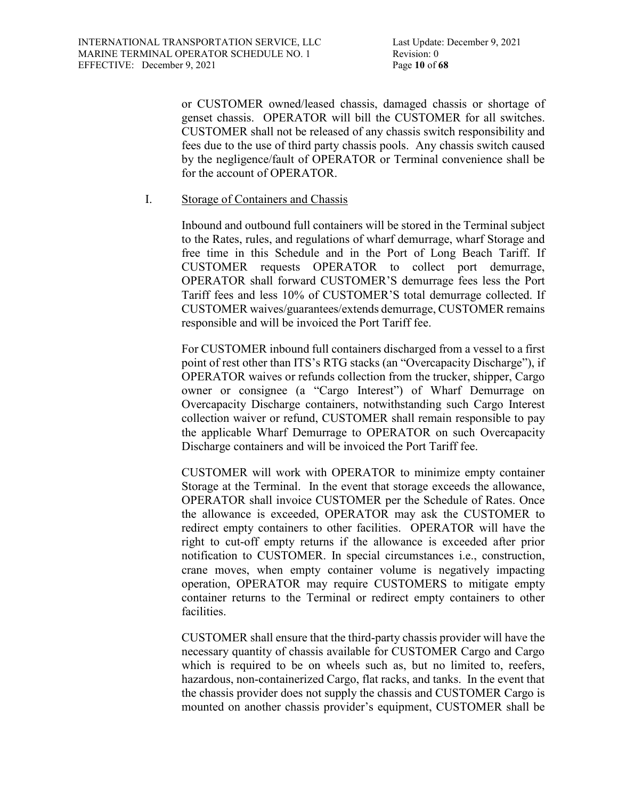or CUSTOMER owned/leased chassis, damaged chassis or shortage of genset chassis. OPERATOR will bill the CUSTOMER for all switches. CUSTOMER shall not be released of any chassis switch responsibility and fees due to the use of third party chassis pools. Any chassis switch caused by the negligence/fault of OPERATOR or Terminal convenience shall be for the account of OPERATOR.

### I. Storage of Containers and Chassis

Inbound and outbound full containers will be stored in the Terminal subject to the Rates, rules, and regulations of wharf demurrage, wharf Storage and free time in this Schedule and in the Port of Long Beach Tariff. If CUSTOMER requests OPERATOR to collect port demurrage, OPERATOR shall forward CUSTOMER'S demurrage fees less the Port Tariff fees and less 10% of CUSTOMER'S total demurrage collected. If CUSTOMER waives/guarantees/extends demurrage, CUSTOMER remains responsible and will be invoiced the Port Tariff fee.

For CUSTOMER inbound full containers discharged from a vessel to a first point of rest other than ITS's RTG stacks (an "Overcapacity Discharge"), if OPERATOR waives or refunds collection from the trucker, shipper, Cargo owner or consignee (a "Cargo Interest") of Wharf Demurrage on Overcapacity Discharge containers, notwithstanding such Cargo Interest collection waiver or refund, CUSTOMER shall remain responsible to pay the applicable Wharf Demurrage to OPERATOR on such Overcapacity Discharge containers and will be invoiced the Port Tariff fee.

CUSTOMER will work with OPERATOR to minimize empty container Storage at the Terminal. In the event that storage exceeds the allowance, OPERATOR shall invoice CUSTOMER per the Schedule of Rates. Once the allowance is exceeded, OPERATOR may ask the CUSTOMER to redirect empty containers to other facilities. OPERATOR will have the right to cut-off empty returns if the allowance is exceeded after prior notification to CUSTOMER. In special circumstances i.e., construction, crane moves, when empty container volume is negatively impacting operation, OPERATOR may require CUSTOMERS to mitigate empty container returns to the Terminal or redirect empty containers to other facilities.

CUSTOMER shall ensure that the third-party chassis provider will have the necessary quantity of chassis available for CUSTOMER Cargo and Cargo which is required to be on wheels such as, but no limited to, reefers, hazardous, non-containerized Cargo, flat racks, and tanks. In the event that the chassis provider does not supply the chassis and CUSTOMER Cargo is mounted on another chassis provider's equipment, CUSTOMER shall be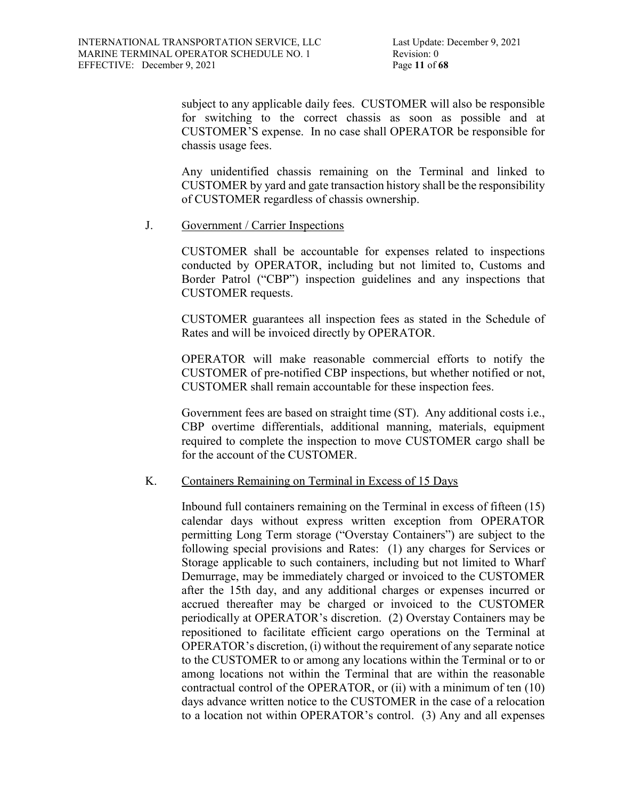subject to any applicable daily fees. CUSTOMER will also be responsible for switching to the correct chassis as soon as possible and at CUSTOMER'S expense. In no case shall OPERATOR be responsible for chassis usage fees.

Any unidentified chassis remaining on the Terminal and linked to CUSTOMER by yard and gate transaction history shall be the responsibility of CUSTOMER regardless of chassis ownership.

### J. Government / Carrier Inspections

CUSTOMER shall be accountable for expenses related to inspections conducted by OPERATOR, including but not limited to, Customs and Border Patrol ("CBP") inspection guidelines and any inspections that CUSTOMER requests.

CUSTOMER guarantees all inspection fees as stated in the Schedule of Rates and will be invoiced directly by OPERATOR.

OPERATOR will make reasonable commercial efforts to notify the CUSTOMER of pre-notified CBP inspections, but whether notified or not, CUSTOMER shall remain accountable for these inspection fees.

Government fees are based on straight time (ST). Any additional costs i.e., CBP overtime differentials, additional manning, materials, equipment required to complete the inspection to move CUSTOMER cargo shall be for the account of the CUSTOMER.

### K. Containers Remaining on Terminal in Excess of 15 Days

Inbound full containers remaining on the Terminal in excess of fifteen (15) calendar days without express written exception from OPERATOR permitting Long Term storage ("Overstay Containers") are subject to the following special provisions and Rates: (1) any charges for Services or Storage applicable to such containers, including but not limited to Wharf Demurrage, may be immediately charged or invoiced to the CUSTOMER after the 15th day, and any additional charges or expenses incurred or accrued thereafter may be charged or invoiced to the CUSTOMER periodically at OPERATOR's discretion. (2) Overstay Containers may be repositioned to facilitate efficient cargo operations on the Terminal at OPERATOR's discretion, (i) without the requirement of any separate notice to the CUSTOMER to or among any locations within the Terminal or to or among locations not within the Terminal that are within the reasonable contractual control of the OPERATOR, or (ii) with a minimum of ten (10) days advance written notice to the CUSTOMER in the case of a relocation to a location not within OPERATOR's control. (3) Any and all expenses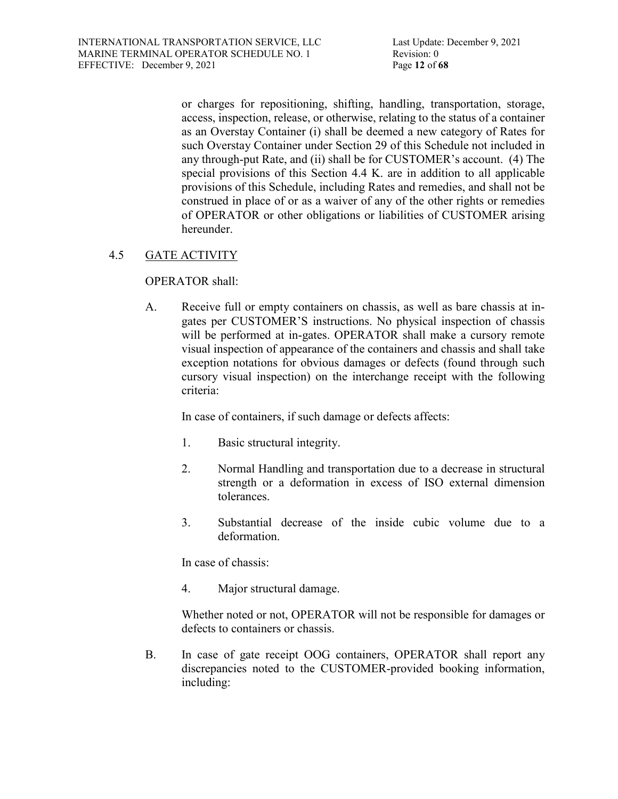or charges for repositioning, shifting, handling, transportation, storage, access, inspection, release, or otherwise, relating to the status of a container as an Overstay Container (i) shall be deemed a new category of Rates for such Overstay Container under Section 29 of this Schedule not included in any through-put Rate, and (ii) shall be for CUSTOMER's account. (4) The special provisions of this Section 4.4 K. are in addition to all applicable provisions of this Schedule, including Rates and remedies, and shall not be construed in place of or as a waiver of any of the other rights or remedies of OPERATOR or other obligations or liabilities of CUSTOMER arising hereunder.

# 4.5 GATE ACTIVITY

### OPERATOR shall:

A. Receive full or empty containers on chassis, as well as bare chassis at ingates per CUSTOMER'S instructions. No physical inspection of chassis will be performed at in-gates. OPERATOR shall make a cursory remote visual inspection of appearance of the containers and chassis and shall take exception notations for obvious damages or defects (found through such cursory visual inspection) on the interchange receipt with the following criteria:

In case of containers, if such damage or defects affects:

- 1. Basic structural integrity.
- 2. Normal Handling and transportation due to a decrease in structural strength or a deformation in excess of ISO external dimension tolerances.
- 3. Substantial decrease of the inside cubic volume due to a deformation.

In case of chassis:

4. Major structural damage.

Whether noted or not, OPERATOR will not be responsible for damages or defects to containers or chassis.

B. In case of gate receipt OOG containers, OPERATOR shall report any discrepancies noted to the CUSTOMER-provided booking information, including: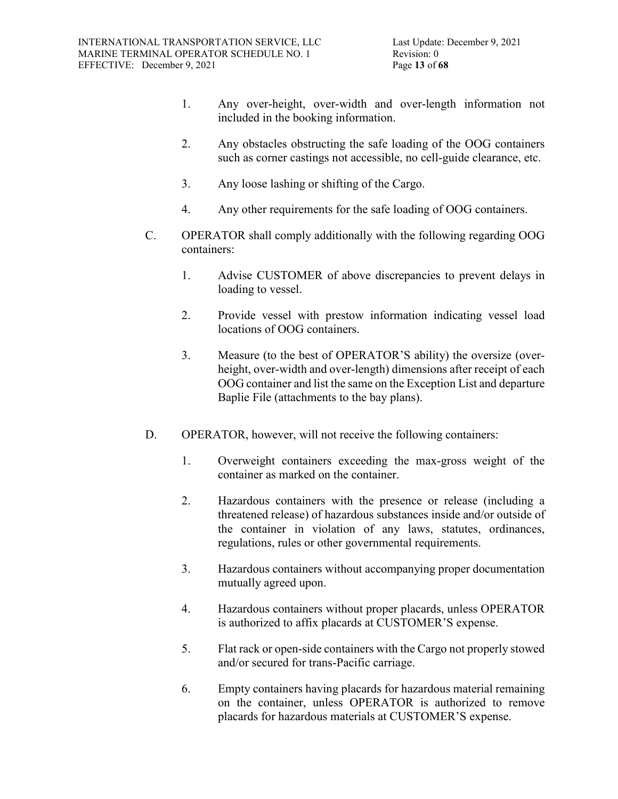- 1. Any over-height, over-width and over-length information not included in the booking information.
- 2. Any obstacles obstructing the safe loading of the OOG containers such as corner castings not accessible, no cell-guide clearance, etc.
- 3. Any loose lashing or shifting of the Cargo.
- 4. Any other requirements for the safe loading of OOG containers.
- C. OPERATOR shall comply additionally with the following regarding OOG containers:
	- 1. Advise CUSTOMER of above discrepancies to prevent delays in loading to vessel.
	- 2. Provide vessel with prestow information indicating vessel load locations of OOG containers.
	- 3. Measure (to the best of OPERATOR'S ability) the oversize (overheight, over-width and over-length) dimensions after receipt of each OOG container and list the same on the Exception List and departure Baplie File (attachments to the bay plans).
- D. OPERATOR, however, will not receive the following containers:
	- 1. Overweight containers exceeding the max-gross weight of the container as marked on the container.
	- 2. Hazardous containers with the presence or release (including a threatened release) of hazardous substances inside and/or outside of the container in violation of any laws, statutes, ordinances, regulations, rules or other governmental requirements.
	- 3. Hazardous containers without accompanying proper documentation mutually agreed upon.
	- 4. Hazardous containers without proper placards, unless OPERATOR is authorized to affix placards at CUSTOMER'S expense.
	- 5. Flat rack or open-side containers with the Cargo not properly stowed and/or secured for trans-Pacific carriage.
	- 6. Empty containers having placards for hazardous material remaining on the container, unless OPERATOR is authorized to remove placards for hazardous materials at CUSTOMER'S expense.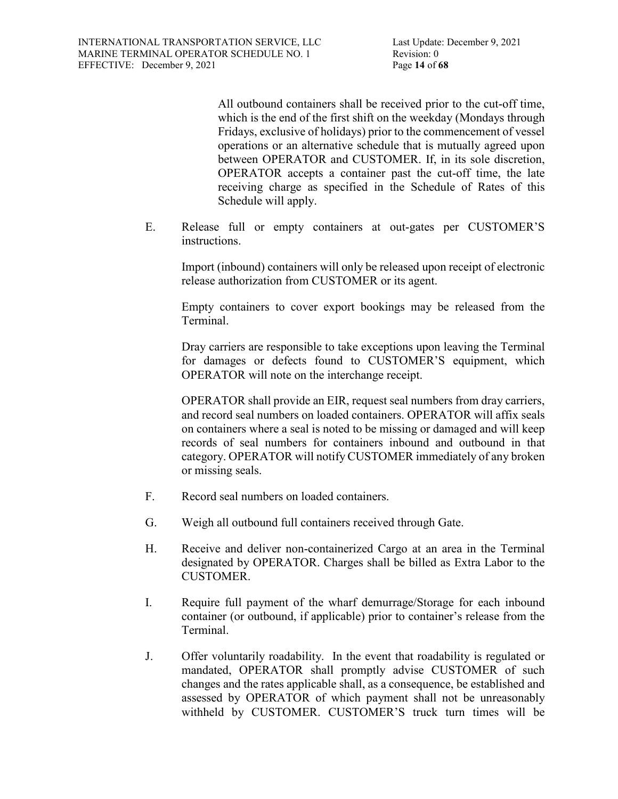All outbound containers shall be received prior to the cut-off time, which is the end of the first shift on the weekday (Mondays through Fridays, exclusive of holidays) prior to the commencement of vessel operations or an alternative schedule that is mutually agreed upon between OPERATOR and CUSTOMER. If, in its sole discretion, OPERATOR accepts a container past the cut-off time, the late receiving charge as specified in the Schedule of Rates of this Schedule will apply.

E. Release full or empty containers at out-gates per CUSTOMER'S instructions.

Import (inbound) containers will only be released upon receipt of electronic release authorization from CUSTOMER or its agent.

Empty containers to cover export bookings may be released from the Terminal.

Dray carriers are responsible to take exceptions upon leaving the Terminal for damages or defects found to CUSTOMER'S equipment, which OPERATOR will note on the interchange receipt.

OPERATOR shall provide an EIR, request seal numbers from dray carriers, and record seal numbers on loaded containers. OPERATOR will affix seals on containers where a seal is noted to be missing or damaged and will keep records of seal numbers for containers inbound and outbound in that category. OPERATOR will notify CUSTOMER immediately of any broken or missing seals.

- F. Record seal numbers on loaded containers.
- G. Weigh all outbound full containers received through Gate.
- H. Receive and deliver non-containerized Cargo at an area in the Terminal designated by OPERATOR. Charges shall be billed as Extra Labor to the CUSTOMER.
- I. Require full payment of the wharf demurrage/Storage for each inbound container (or outbound, if applicable) prior to container's release from the Terminal.
- J. Offer voluntarily roadability. In the event that roadability is regulated or mandated, OPERATOR shall promptly advise CUSTOMER of such changes and the rates applicable shall, as a consequence, be established and assessed by OPERATOR of which payment shall not be unreasonably withheld by CUSTOMER. CUSTOMER'S truck turn times will be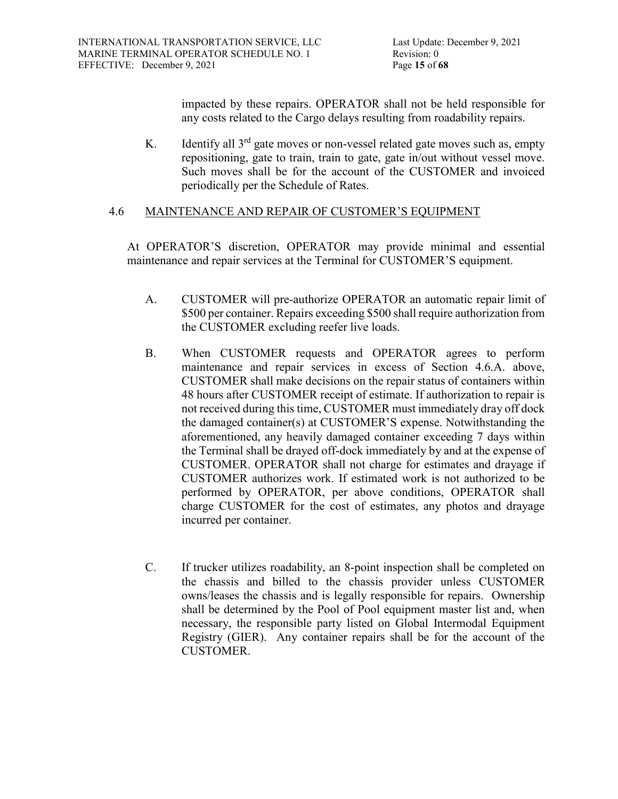impacted by these repairs. OPERATOR shall not be held responsible for any costs related to the Cargo delays resulting from roadability repairs.

K. Identify all  $3<sup>rd</sup>$  gate moves or non-vessel related gate moves such as, empty repositioning, gate to train, train to gate, gate in/out without vessel move. Such moves shall be for the account of the CUSTOMER and invoiced periodically per the Schedule of Rates.

# 4.6 MAINTENANCE AND REPAIR OF CUSTOMER'S EQUIPMENT

At OPERATOR'S discretion, OPERATOR may provide minimal and essential maintenance and repair services at the Terminal for CUSTOMER'S equipment.

- A. CUSTOMER will pre-authorize OPERATOR an automatic repair limit of \$500 per container. Repairs exceeding \$500 shall require authorization from the CUSTOMER excluding reefer live loads.
- B. When CUSTOMER requests and OPERATOR agrees to perform maintenance and repair services in excess of Section 4.6.A. above, CUSTOMER shall make decisions on the repair status of containers within 48 hours after CUSTOMER receipt of estimate. If authorization to repair is not received during this time, CUSTOMER must immediately dray off dock the damaged container(s) at CUSTOMER'S expense. Notwithstanding the aforementioned, any heavily damaged container exceeding 7 days within the Terminal shall be drayed off-dock immediately by and at the expense of CUSTOMER. OPERATOR shall not charge for estimates and drayage if CUSTOMER authorizes work. If estimated work is not authorized to be performed by OPERATOR, per above conditions, OPERATOR shall charge CUSTOMER for the cost of estimates, any photos and drayage incurred per container.
- C. If trucker utilizes roadability, an 8-point inspection shall be completed on the chassis and billed to the chassis provider unless CUSTOMER owns/leases the chassis and is legally responsible for repairs. Ownership shall be determined by the Pool of Pool equipment master list and, when necessary, the responsible party listed on Global Intermodal Equipment Registry (GIER). Any container repairs shall be for the account of the CUSTOMER.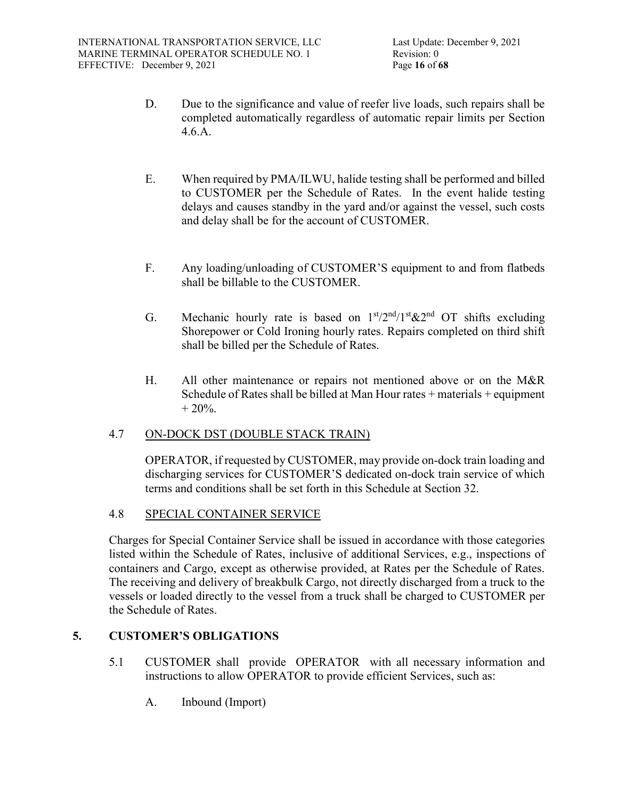- D. Due to the significance and value of reefer live loads, such repairs shall be completed automatically regardless of automatic repair limits per Section 4.6.A.
- E. When required by PMA/ILWU, halide testing shall be performed and billed to CUSTOMER per the Schedule of Rates. In the event halide testing delays and causes standby in the yard and/or against the vessel, such costs and delay shall be for the account of CUSTOMER.
- F. Any loading/unloading of CUSTOMER'S equipment to and from flatbeds shall be billable to the CUSTOMER.
- G. Mechanic hourly rate is based on  $1<sup>st</sup>/2<sup>nd</sup>/1<sup>st</sup> \& 2<sup>nd</sup>$  OT shifts excluding Shorepower or Cold Ironing hourly rates. Repairs completed on third shift shall be billed per the Schedule of Rates.
- H. All other maintenance or repairs not mentioned above or on the M&R Schedule of Rates shall be billed at Man Hour rates + materials + equipment  $+ 20\%$ .

# 4.7 ON-DOCK DST (DOUBLE STACK TRAIN)

OPERATOR, if requested by CUSTOMER, may provide on-dock train loading and discharging services for CUSTOMER'S dedicated on-dock train service of which terms and conditions shall be set forth in this Schedule at Section 32.

# 4.8 SPECIAL CONTAINER SERVICE

Charges for Special Container Service shall be issued in accordance with those categories listed within the Schedule of Rates, inclusive of additional Services, e.g., inspections of containers and Cargo, except as otherwise provided, at Rates per the Schedule of Rates. The receiving and delivery of breakbulk Cargo, not directly discharged from a truck to the vessels or loaded directly to the vessel from a truck shall be charged to CUSTOMER per the Schedule of Rates.

# **5. CUSTOMER'S OBLIGATIONS**

- 5.1 CUSTOMER shall provide OPERATOR with all necessary information and instructions to allow OPERATOR to provide efficient Services, such as:
	- A. Inbound (Import)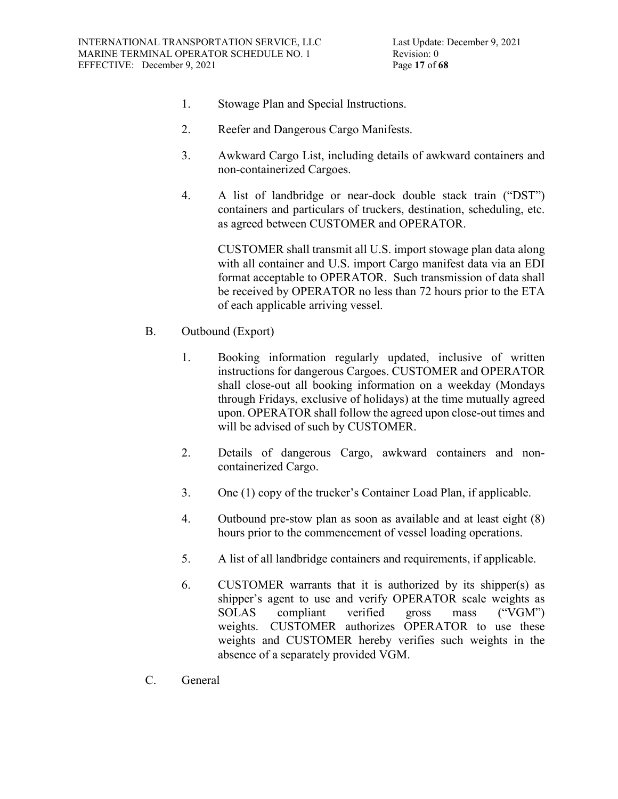- 1. Stowage Plan and Special Instructions.
- 2. Reefer and Dangerous Cargo Manifests.
- 3. Awkward Cargo List, including details of awkward containers and non-containerized Cargoes.
- 4. A list of landbridge or near-dock double stack train ("DST") containers and particulars of truckers, destination, scheduling, etc. as agreed between CUSTOMER and OPERATOR.

CUSTOMER shall transmit all U.S. import stowage plan data along with all container and U.S. import Cargo manifest data via an EDI format acceptable to OPERATOR. Such transmission of data shall be received by OPERATOR no less than 72 hours prior to the ETA of each applicable arriving vessel.

- B. Outbound (Export)
	- 1. Booking information regularly updated, inclusive of written instructions for dangerous Cargoes. CUSTOMER and OPERATOR shall close-out all booking information on a weekday (Mondays through Fridays, exclusive of holidays) at the time mutually agreed upon. OPERATOR shall follow the agreed upon close-out times and will be advised of such by CUSTOMER.
	- 2. Details of dangerous Cargo, awkward containers and noncontainerized Cargo.
	- 3. One (1) copy of the trucker's Container Load Plan, if applicable.
	- 4. Outbound pre-stow plan as soon as available and at least eight (8) hours prior to the commencement of vessel loading operations.
	- 5. A list of all landbridge containers and requirements, if applicable.
	- 6. CUSTOMER warrants that it is authorized by its shipper(s) as shipper's agent to use and verify OPERATOR scale weights as SOLAS compliant verified gross mass ("VGM") weights. CUSTOMER authorizes OPERATOR to use these weights and CUSTOMER hereby verifies such weights in the absence of a separately provided VGM.
- C. General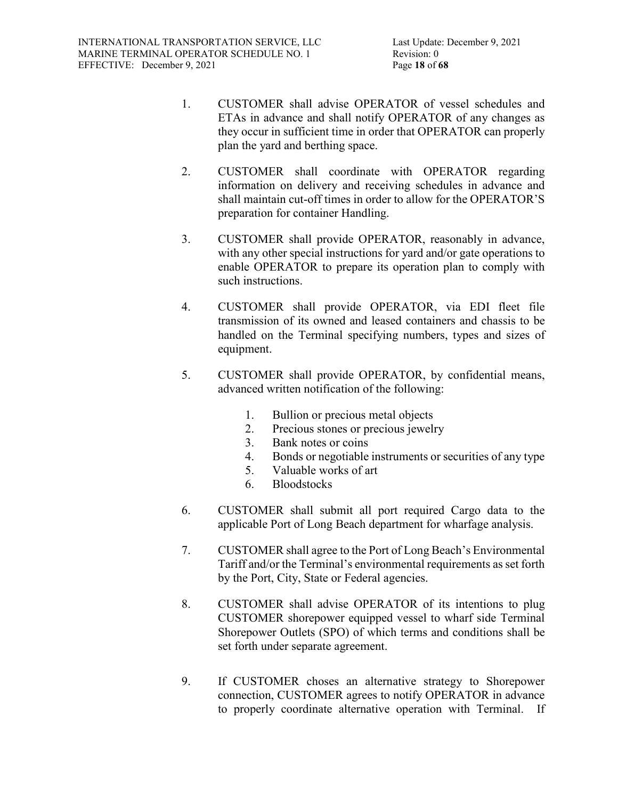- 1. CUSTOMER shall advise OPERATOR of vessel schedules and ETAs in advance and shall notify OPERATOR of any changes as they occur in sufficient time in order that OPERATOR can properly plan the yard and berthing space.
- 2. CUSTOMER shall coordinate with OPERATOR regarding information on delivery and receiving schedules in advance and shall maintain cut-off times in order to allow for the OPERATOR'S preparation for container Handling.
- 3. CUSTOMER shall provide OPERATOR, reasonably in advance, with any other special instructions for yard and/or gate operations to enable OPERATOR to prepare its operation plan to comply with such instructions.
- 4. CUSTOMER shall provide OPERATOR, via EDI fleet file transmission of its owned and leased containers and chassis to be handled on the Terminal specifying numbers, types and sizes of equipment.
- 5. CUSTOMER shall provide OPERATOR, by confidential means, advanced written notification of the following:
	- 1. Bullion or precious metal objects
	- 2. Precious stones or precious jewelry
	- 3. Bank notes or coins
	- 4. Bonds or negotiable instruments or securities of any type
	- 5. Valuable works of art
	- 6. Bloodstocks
- 6. CUSTOMER shall submit all port required Cargo data to the applicable Port of Long Beach department for wharfage analysis.
- 7. CUSTOMER shall agree to the Port of Long Beach's Environmental Tariff and/or the Terminal's environmental requirements as set forth by the Port, City, State or Federal agencies.
- 8. CUSTOMER shall advise OPERATOR of its intentions to plug CUSTOMER shorepower equipped vessel to wharf side Terminal Shorepower Outlets (SPO) of which terms and conditions shall be set forth under separate agreement.
- 9. If CUSTOMER choses an alternative strategy to Shorepower connection, CUSTOMER agrees to notify OPERATOR in advance to properly coordinate alternative operation with Terminal. If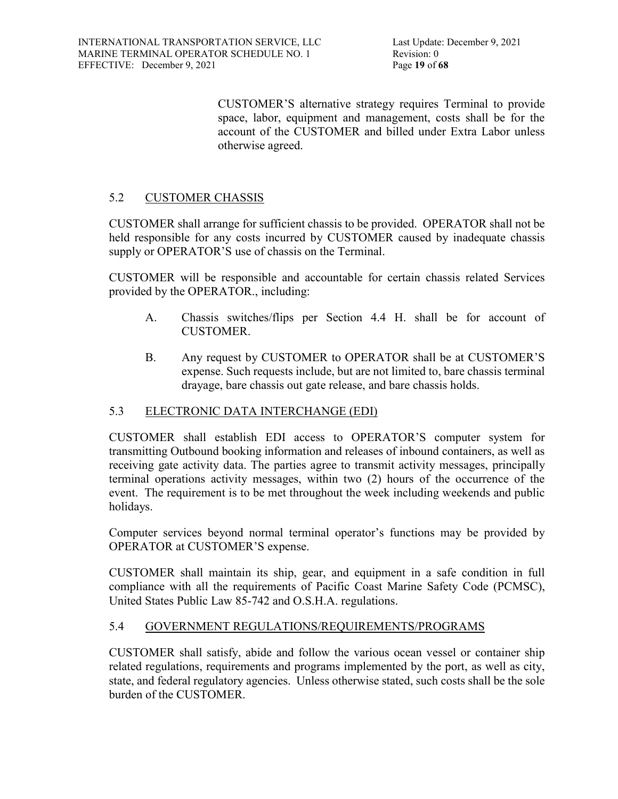CUSTOMER'S alternative strategy requires Terminal to provide space, labor, equipment and management, costs shall be for the account of the CUSTOMER and billed under Extra Labor unless otherwise agreed.

# 5.2 CUSTOMER CHASSIS

CUSTOMER shall arrange for sufficient chassis to be provided. OPERATOR shall not be held responsible for any costs incurred by CUSTOMER caused by inadequate chassis supply or OPERATOR'S use of chassis on the Terminal.

CUSTOMER will be responsible and accountable for certain chassis related Services provided by the OPERATOR., including:

- A. Chassis switches/flips per Section 4.4 H. shall be for account of CUSTOMER.
- B. Any request by CUSTOMER to OPERATOR shall be at CUSTOMER'S expense. Such requests include, but are not limited to, bare chassis terminal drayage, bare chassis out gate release, and bare chassis holds.

# 5.3 ELECTRONIC DATA INTERCHANGE (EDI)

CUSTOMER shall establish EDI access to OPERATOR'S computer system for transmitting Outbound booking information and releases of inbound containers, as well as receiving gate activity data. The parties agree to transmit activity messages, principally terminal operations activity messages, within two (2) hours of the occurrence of the event. The requirement is to be met throughout the week including weekends and public holidays.

Computer services beyond normal terminal operator's functions may be provided by OPERATOR at CUSTOMER'S expense.

CUSTOMER shall maintain its ship, gear, and equipment in a safe condition in full compliance with all the requirements of Pacific Coast Marine Safety Code (PCMSC), United States Public Law 85-742 and O.S.H.A. regulations.

# 5.4 GOVERNMENT REGULATIONS/REQUIREMENTS/PROGRAMS

CUSTOMER shall satisfy, abide and follow the various ocean vessel or container ship related regulations, requirements and programs implemented by the port, as well as city, state, and federal regulatory agencies. Unless otherwise stated, such costs shall be the sole burden of the CUSTOMER.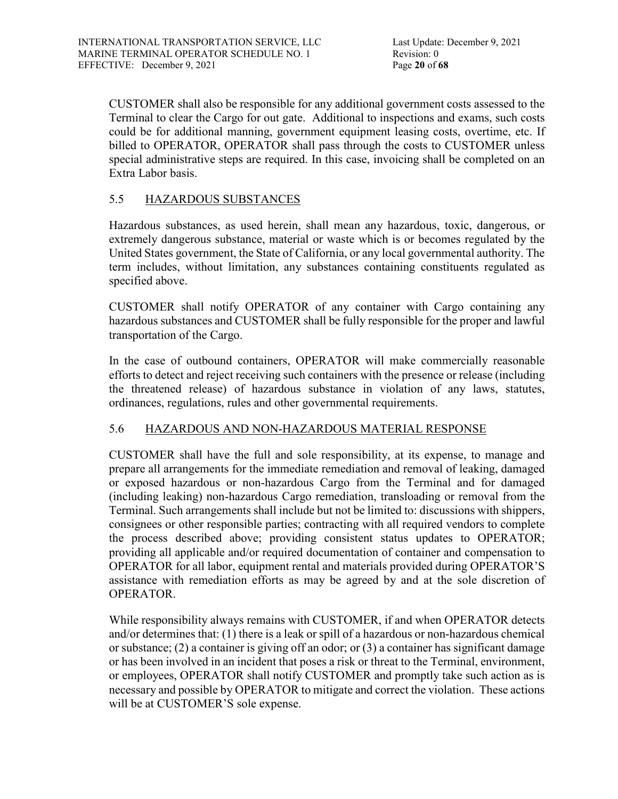CUSTOMER shall also be responsible for any additional government costs assessed to the Terminal to clear the Cargo for out gate. Additional to inspections and exams, such costs could be for additional manning, government equipment leasing costs, overtime, etc. If billed to OPERATOR, OPERATOR shall pass through the costs to CUSTOMER unless special administrative steps are required. In this case, invoicing shall be completed on an Extra Labor basis.

# 5.5 HAZARDOUS SUBSTANCES

Hazardous substances, as used herein, shall mean any hazardous, toxic, dangerous, or extremely dangerous substance, material or waste which is or becomes regulated by the United States government, the State of California, or any local governmental authority. The term includes, without limitation, any substances containing constituents regulated as specified above.

CUSTOMER shall notify OPERATOR of any container with Cargo containing any hazardous substances and CUSTOMER shall be fully responsible for the proper and lawful transportation of the Cargo.

In the case of outbound containers, OPERATOR will make commercially reasonable efforts to detect and reject receiving such containers with the presence or release (including the threatened release) of hazardous substance in violation of any laws, statutes, ordinances, regulations, rules and other governmental requirements.

# 5.6 HAZARDOUS AND NON-HAZARDOUS MATERIAL RESPONSE

CUSTOMER shall have the full and sole responsibility, at its expense, to manage and prepare all arrangements for the immediate remediation and removal of leaking, damaged or exposed hazardous or non-hazardous Cargo from the Terminal and for damaged (including leaking) non-hazardous Cargo remediation, transloading or removal from the Terminal. Such arrangements shall include but not be limited to: discussions with shippers, consignees or other responsible parties; contracting with all required vendors to complete the process described above; providing consistent status updates to OPERATOR; providing all applicable and/or required documentation of container and compensation to OPERATOR for all labor, equipment rental and materials provided during OPERATOR'S assistance with remediation efforts as may be agreed by and at the sole discretion of OPERATOR.

While responsibility always remains with CUSTOMER, if and when OPERATOR detects and/or determines that: (1) there is a leak or spill of a hazardous or non-hazardous chemical or substance;  $(2)$  a container is giving off an odor; or  $(3)$  a container has significant damage or has been involved in an incident that poses a risk or threat to the Terminal, environment, or employees, OPERATOR shall notify CUSTOMER and promptly take such action as is necessary and possible by OPERATOR to mitigate and correct the violation. These actions will be at CUSTOMER'S sole expense.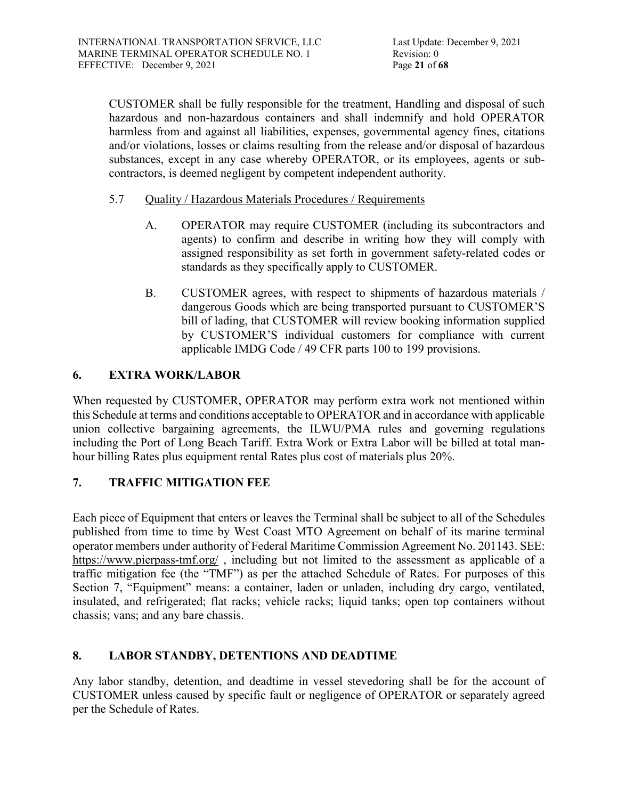CUSTOMER shall be fully responsible for the treatment, Handling and disposal of such hazardous and non-hazardous containers and shall indemnify and hold OPERATOR harmless from and against all liabilities, expenses, governmental agency fines, citations and/or violations, losses or claims resulting from the release and/or disposal of hazardous substances, except in any case whereby OPERATOR, or its employees, agents or subcontractors, is deemed negligent by competent independent authority.

- 5.7 Quality / Hazardous Materials Procedures / Requirements
	- A. OPERATOR may require CUSTOMER (including its subcontractors and agents) to confirm and describe in writing how they will comply with assigned responsibility as set forth in government safety-related codes or standards as they specifically apply to CUSTOMER.
	- B. CUSTOMER agrees, with respect to shipments of hazardous materials / dangerous Goods which are being transported pursuant to CUSTOMER'S bill of lading, that CUSTOMER will review booking information supplied by CUSTOMER'S individual customers for compliance with current applicable IMDG Code / 49 CFR parts 100 to 199 provisions.

# **6. EXTRA WORK/LABOR**

When requested by CUSTOMER, OPERATOR may perform extra work not mentioned within this Schedule at terms and conditions acceptable to OPERATOR and in accordance with applicable union collective bargaining agreements, the ILWU/PMA rules and governing regulations including the Port of Long Beach Tariff. Extra Work or Extra Labor will be billed at total manhour billing Rates plus equipment rental Rates plus cost of materials plus 20%.

# **7. TRAFFIC MITIGATION FEE**

Each piece of Equipment that enters or leaves the Terminal shall be subject to all of the Schedules published from time to time by West Coast MTO Agreement on behalf of its marine terminal operator members under authority of Federal Maritime Commission Agreement No. 201143. SEE: <https://www.pierpass-tmf.org/>, including but not limited to the assessment as applicable of a traffic mitigation fee (the "TMF") as per the attached Schedule of Rates. For purposes of this Section 7, "Equipment" means: a container, laden or unladen, including dry cargo, ventilated, insulated, and refrigerated; flat racks; vehicle racks; liquid tanks; open top containers without chassis; vans; and any bare chassis.

# **8. LABOR STANDBY, DETENTIONS AND DEADTIME**

Any labor standby, detention, and deadtime in vessel stevedoring shall be for the account of CUSTOMER unless caused by specific fault or negligence of OPERATOR or separately agreed per the Schedule of Rates.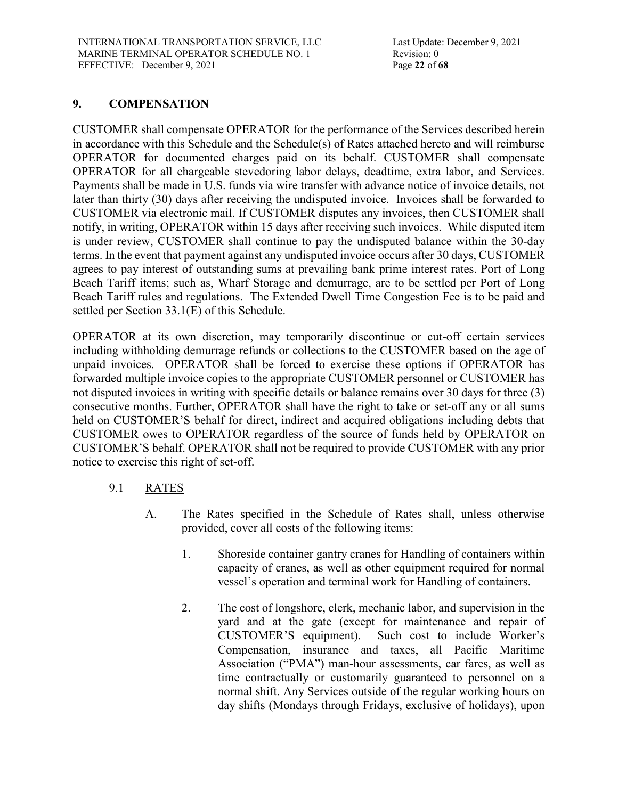# **9. COMPENSATION**

CUSTOMER shall compensate OPERATOR for the performance of the Services described herein in accordance with this Schedule and the Schedule(s) of Rates attached hereto and will reimburse OPERATOR for documented charges paid on its behalf. CUSTOMER shall compensate OPERATOR for all chargeable stevedoring labor delays, deadtime, extra labor, and Services. Payments shall be made in U.S. funds via wire transfer with advance notice of invoice details, not later than thirty (30) days after receiving the undisputed invoice. Invoices shall be forwarded to CUSTOMER via electronic mail. If CUSTOMER disputes any invoices, then CUSTOMER shall notify, in writing, OPERATOR within 15 days after receiving such invoices. While disputed item is under review, CUSTOMER shall continue to pay the undisputed balance within the 30-day terms. In the event that payment against any undisputed invoice occurs after 30 days, CUSTOMER agrees to pay interest of outstanding sums at prevailing bank prime interest rates. Port of Long Beach Tariff items; such as, Wharf Storage and demurrage, are to be settled per Port of Long Beach Tariff rules and regulations. The Extended Dwell Time Congestion Fee is to be paid and settled per Section 33.1(E) of this Schedule.

OPERATOR at its own discretion, may temporarily discontinue or cut-off certain services including withholding demurrage refunds or collections to the CUSTOMER based on the age of unpaid invoices. OPERATOR shall be forced to exercise these options if OPERATOR has forwarded multiple invoice copies to the appropriate CUSTOMER personnel or CUSTOMER has not disputed invoices in writing with specific details or balance remains over 30 days for three (3) consecutive months. Further, OPERATOR shall have the right to take or set-off any or all sums held on CUSTOMER'S behalf for direct, indirect and acquired obligations including debts that CUSTOMER owes to OPERATOR regardless of the source of funds held by OPERATOR on CUSTOMER'S behalf. OPERATOR shall not be required to provide CUSTOMER with any prior notice to exercise this right of set-off.

- 9.1 RATES
	- A. The Rates specified in the Schedule of Rates shall, unless otherwise provided, cover all costs of the following items:
		- 1. Shoreside container gantry cranes for Handling of containers within capacity of cranes, as well as other equipment required for normal vessel's operation and terminal work for Handling of containers.
		- 2. The cost of longshore, clerk, mechanic labor, and supervision in the yard and at the gate (except for maintenance and repair of CUSTOMER'S equipment). Such cost to include Worker's Compensation, insurance and taxes, all Pacific Maritime Association ("PMA") man-hour assessments, car fares, as well as time contractually or customarily guaranteed to personnel on a normal shift. Any Services outside of the regular working hours on day shifts (Mondays through Fridays, exclusive of holidays), upon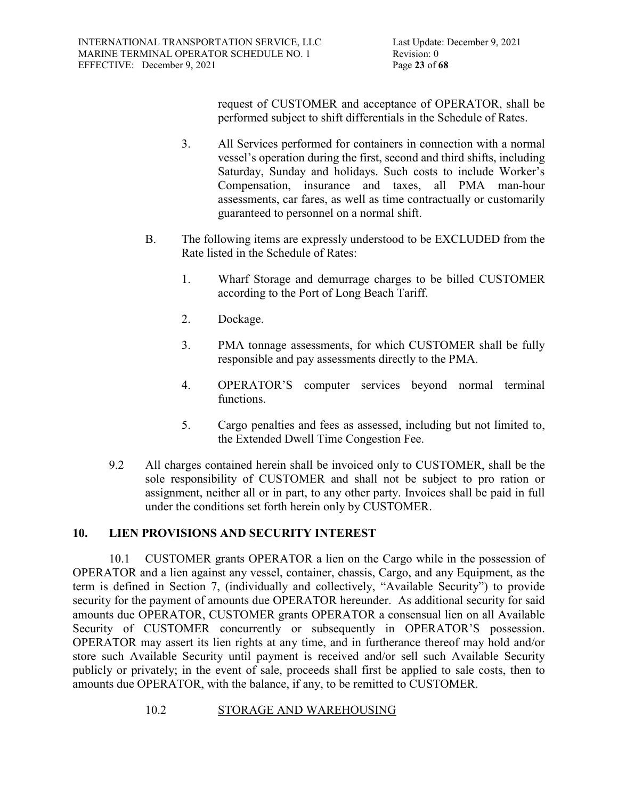request of CUSTOMER and acceptance of OPERATOR, shall be performed subject to shift differentials in the Schedule of Rates.

- 3. All Services performed for containers in connection with a normal vessel's operation during the first, second and third shifts, including Saturday, Sunday and holidays. Such costs to include Worker's Compensation, insurance and taxes, all PMA man-hour assessments, car fares, as well as time contractually or customarily guaranteed to personnel on a normal shift.
- B. The following items are expressly understood to be EXCLUDED from the Rate listed in the Schedule of Rates:
	- 1. Wharf Storage and demurrage charges to be billed CUSTOMER according to the Port of Long Beach Tariff.
	- 2. Dockage.
	- 3. PMA tonnage assessments, for which CUSTOMER shall be fully responsible and pay assessments directly to the PMA.
	- 4. OPERATOR'S computer services beyond normal terminal functions.
	- 5. Cargo penalties and fees as assessed, including but not limited to, the Extended Dwell Time Congestion Fee.
- 9.2 All charges contained herein shall be invoiced only to CUSTOMER, shall be the sole responsibility of CUSTOMER and shall not be subject to pro ration or assignment, neither all or in part, to any other party. Invoices shall be paid in full under the conditions set forth herein only by CUSTOMER.

# **10. LIEN PROVISIONS AND SECURITY INTEREST**

10.1 CUSTOMER grants OPERATOR a lien on the Cargo while in the possession of OPERATOR and a lien against any vessel, container, chassis, Cargo, and any Equipment, as the term is defined in Section 7, (individually and collectively, "Available Security") to provide security for the payment of amounts due OPERATOR hereunder. As additional security for said amounts due OPERATOR, CUSTOMER grants OPERATOR a consensual lien on all Available Security of CUSTOMER concurrently or subsequently in OPERATOR'S possession. OPERATOR may assert its lien rights at any time, and in furtherance thereof may hold and/or store such Available Security until payment is received and/or sell such Available Security publicly or privately; in the event of sale, proceeds shall first be applied to sale costs, then to amounts due OPERATOR, with the balance, if any, to be remitted to CUSTOMER.

10.2 STORAGE AND WAREHOUSING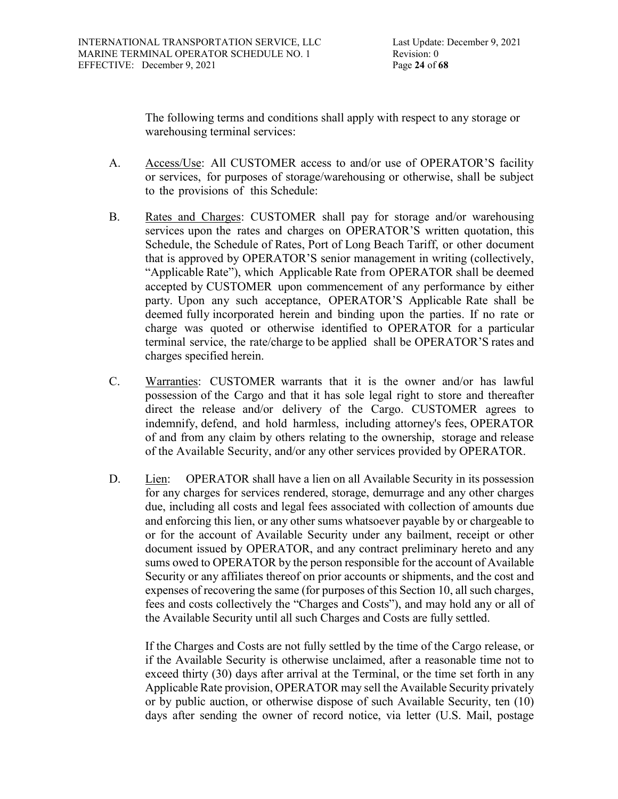Last Update: December 9, 2021 Revision: 0

The following terms and conditions shall apply with respect to any storage or warehousing terminal services:

- A. Access/Use: All CUSTOMER access to and/or use of OPERATOR'S facility or services, for purposes of storage/warehousing or otherwise, shall be subject to the provisions of this Schedule:
- B. Rates and Charges: CUSTOMER shall pay for storage and/or warehousing services upon the rates and charges on OPERATOR'S written quotation, this Schedule, the Schedule of Rates, Port of Long Beach Tariff, or other document that is approved by OPERATOR'S senior management in writing (collectively, "Applicable Rate"), which Applicable Rate from OPERATOR shall be deemed accepted by CUSTOMER upon commencement of any performance by either party. Upon any such acceptance, OPERATOR'S Applicable Rate shall be deemed fully incorporated herein and binding upon the parties. If no rate or charge was quoted or otherwise identified to OPERATOR for a particular terminal service, the rate/charge to be applied shall be OPERATOR'S rates and charges specified herein.
- C. Warranties: CUSTOMER warrants that it is the owner and/or has lawful possession of the Cargo and that it has sole legal right to store and thereafter direct the release and/or delivery of the Cargo. CUSTOMER agrees to indemnify, defend, and hold harmless, including attorney's fees, OPERATOR of and from any claim by others relating to the ownership, storage and release of the Available Security, and/or any other services provided by OPERATOR.
- D. Lien: OPERATOR shall have a lien on all Available Security in its possession for any charges for services rendered, storage, demurrage and any other charges due, including all costs and legal fees associated with collection of amounts due and enforcing this lien, or any other sums whatsoever payable by or chargeable to or for the account of Available Security under any bailment, receipt or other document issued by OPERATOR, and any contract preliminary hereto and any sums owed to OPERATOR by the person responsible for the account of Available Security or any affiliates thereof on prior accounts or shipments, and the cost and expenses of recovering the same (for purposes of this Section 10, all such charges, fees and costs collectively the "Charges and Costs"), and may hold any or all of the Available Security until all such Charges and Costs are fully settled.

If the Charges and Costs are not fully settled by the time of the Cargo release, or if the Available Security is otherwise unclaimed, after a reasonable time not to exceed thirty (30) days after arrival at the Terminal, or the time set forth in any Applicable Rate provision, OPERATOR may sell the Available Security privately or by public auction, or otherwise dispose of such Available Security, ten (10) days after sending the owner of record notice, via letter (U.S. Mail, postage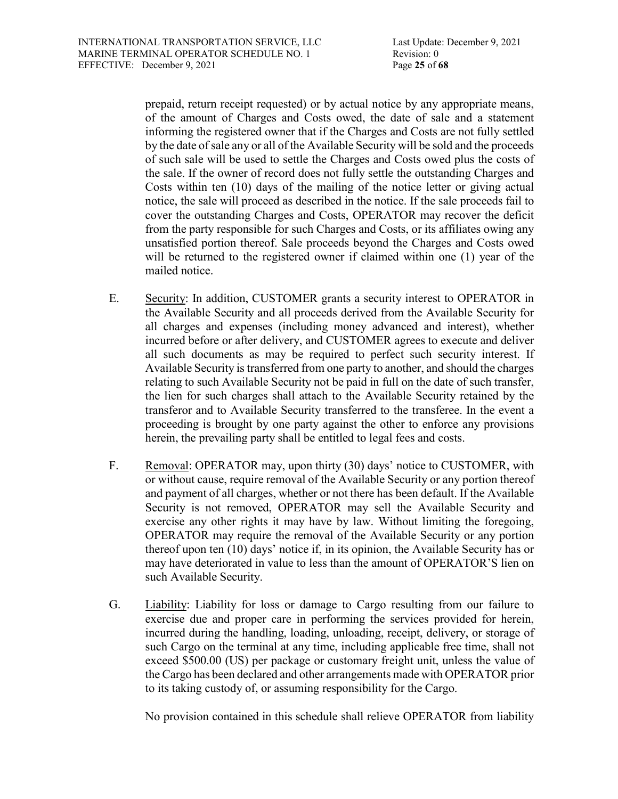prepaid, return receipt requested) or by actual notice by any appropriate means, of the amount of Charges and Costs owed, the date of sale and a statement informing the registered owner that if the Charges and Costs are not fully settled by the date of sale any or all of the Available Security will be sold and the proceeds of such sale will be used to settle the Charges and Costs owed plus the costs of the sale. If the owner of record does not fully settle the outstanding Charges and Costs within ten (10) days of the mailing of the notice letter or giving actual notice, the sale will proceed as described in the notice. If the sale proceeds fail to cover the outstanding Charges and Costs, OPERATOR may recover the deficit from the party responsible for such Charges and Costs, or its affiliates owing any unsatisfied portion thereof. Sale proceeds beyond the Charges and Costs owed will be returned to the registered owner if claimed within one (1) year of the mailed notice.

- E. Security: In addition, CUSTOMER grants a security interest to OPERATOR in the Available Security and all proceeds derived from the Available Security for all charges and expenses (including money advanced and interest), whether incurred before or after delivery, and CUSTOMER agrees to execute and deliver all such documents as may be required to perfect such security interest. If Available Security is transferred from one party to another, and should the charges relating to such Available Security not be paid in full on the date of such transfer, the lien for such charges shall attach to the Available Security retained by the transferor and to Available Security transferred to the transferee. In the event a proceeding is brought by one party against the other to enforce any provisions herein, the prevailing party shall be entitled to legal fees and costs.
- F. Removal: OPERATOR may, upon thirty (30) days' notice to CUSTOMER, with or without cause, require removal of the Available Security or any portion thereof and payment of all charges, whether or not there has been default. If the Available Security is not removed, OPERATOR may sell the Available Security and exercise any other rights it may have by law. Without limiting the foregoing, OPERATOR may require the removal of the Available Security or any portion thereof upon ten (10) days' notice if, in its opinion, the Available Security has or may have deteriorated in value to less than the amount of OPERATOR'S lien on such Available Security.
- G. Liability: Liability for loss or damage to Cargo resulting from our failure to exercise due and proper care in performing the services provided for herein, incurred during the handling, loading, unloading, receipt, delivery, or storage of such Cargo on the terminal at any time, including applicable free time, shall not exceed \$500.00 (US) per package or customary freight unit, unless the value of the Cargo has been declared and other arrangements made with OPERATOR prior to its taking custody of, or assuming responsibility for the Cargo.

No provision contained in this schedule shall relieve OPERATOR from liability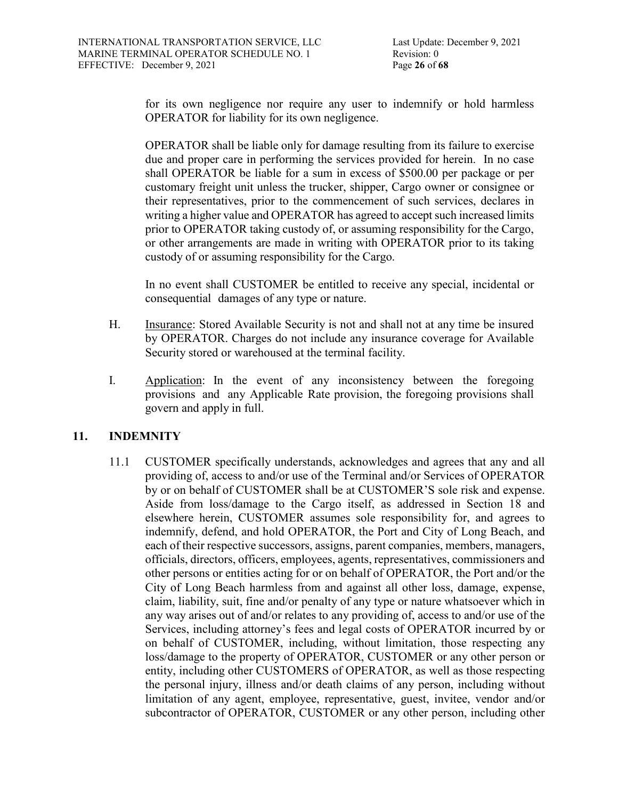for its own negligence nor require any user to indemnify or hold harmless OPERATOR for liability for its own negligence.

OPERATOR shall be liable only for damage resulting from its failure to exercise due and proper care in performing the services provided for herein. In no case shall OPERATOR be liable for a sum in excess of \$500.00 per package or per customary freight unit unless the trucker, shipper, Cargo owner or consignee or their representatives, prior to the commencement of such services, declares in writing a higher value and OPERATOR has agreed to accept such increased limits prior to OPERATOR taking custody of, or assuming responsibility for the Cargo, or other arrangements are made in writing with OPERATOR prior to its taking custody of or assuming responsibility for the Cargo.

In no event shall CUSTOMER be entitled to receive any special, incidental or consequential damages of any type or nature.

- H. Insurance: Stored Available Security is not and shall not at any time be insured by OPERATOR. Charges do not include any insurance coverage for Available Security stored or warehoused at the terminal facility.
- I. Application: In the event of any inconsistency between the foregoing provisions and any Applicable Rate provision, the foregoing provisions shall govern and apply in full.

# **11. INDEMNITY**

11.1 CUSTOMER specifically understands, acknowledges and agrees that any and all providing of, access to and/or use of the Terminal and/or Services of OPERATOR by or on behalf of CUSTOMER shall be at CUSTOMER'S sole risk and expense. Aside from loss/damage to the Cargo itself, as addressed in Section 18 and elsewhere herein, CUSTOMER assumes sole responsibility for, and agrees to indemnify, defend, and hold OPERATOR, the Port and City of Long Beach, and each of their respective successors, assigns, parent companies, members, managers, officials, directors, officers, employees, agents, representatives, commissioners and other persons or entities acting for or on behalf of OPERATOR, the Port and/or the City of Long Beach harmless from and against all other loss, damage, expense, claim, liability, suit, fine and/or penalty of any type or nature whatsoever which in any way arises out of and/or relates to any providing of, access to and/or use of the Services, including attorney's fees and legal costs of OPERATOR incurred by or on behalf of CUSTOMER, including, without limitation, those respecting any loss/damage to the property of OPERATOR, CUSTOMER or any other person or entity, including other CUSTOMERS of OPERATOR, as well as those respecting the personal injury, illness and/or death claims of any person, including without limitation of any agent, employee, representative, guest, invitee, vendor and/or subcontractor of OPERATOR, CUSTOMER or any other person, including other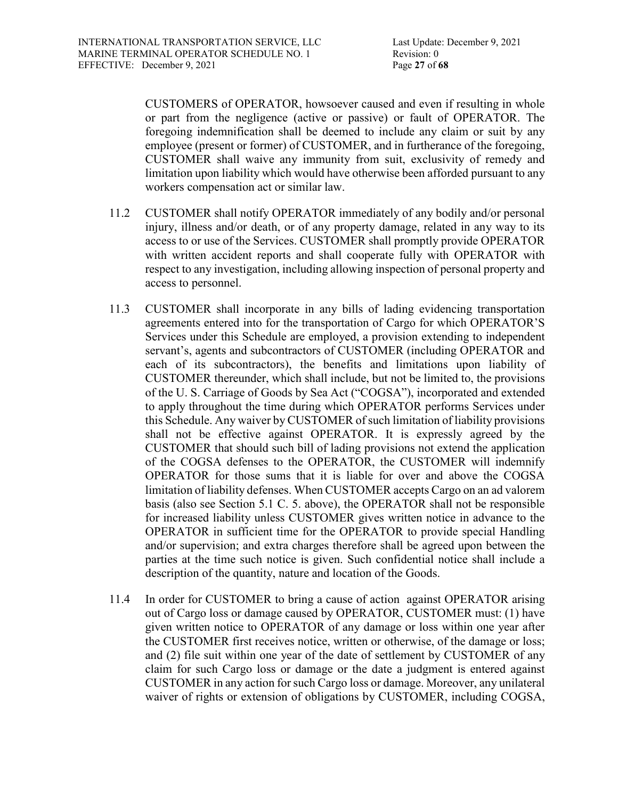CUSTOMERS of OPERATOR, howsoever caused and even if resulting in whole or part from the negligence (active or passive) or fault of OPERATOR. The foregoing indemnification shall be deemed to include any claim or suit by any employee (present or former) of CUSTOMER, and in furtherance of the foregoing, CUSTOMER shall waive any immunity from suit, exclusivity of remedy and limitation upon liability which would have otherwise been afforded pursuant to any workers compensation act or similar law.

- 11.2 CUSTOMER shall notify OPERATOR immediately of any bodily and/or personal injury, illness and/or death, or of any property damage, related in any way to its access to or use of the Services. CUSTOMER shall promptly provide OPERATOR with written accident reports and shall cooperate fully with OPERATOR with respect to any investigation, including allowing inspection of personal property and access to personnel.
- 11.3 CUSTOMER shall incorporate in any bills of lading evidencing transportation agreements entered into for the transportation of Cargo for which OPERATOR'S Services under this Schedule are employed, a provision extending to independent servant's, agents and subcontractors of CUSTOMER (including OPERATOR and each of its subcontractors), the benefits and limitations upon liability of CUSTOMER thereunder, which shall include, but not be limited to, the provisions of the U. S. Carriage of Goods by Sea Act ("COGSA"), incorporated and extended to apply throughout the time during which OPERATOR performs Services under this Schedule. Any waiver by CUSTOMER of such limitation of liability provisions shall not be effective against OPERATOR. It is expressly agreed by the CUSTOMER that should such bill of lading provisions not extend the application of the COGSA defenses to the OPERATOR, the CUSTOMER will indemnify OPERATOR for those sums that it is liable for over and above the COGSA limitation of liability defenses. When CUSTOMER accepts Cargo on an ad valorem basis (also see Section 5.1 C. 5. above), the OPERATOR shall not be responsible for increased liability unless CUSTOMER gives written notice in advance to the OPERATOR in sufficient time for the OPERATOR to provide special Handling and/or supervision; and extra charges therefore shall be agreed upon between the parties at the time such notice is given. Such confidential notice shall include a description of the quantity, nature and location of the Goods.
- 11.4 In order for CUSTOMER to bring a cause of action against OPERATOR arising out of Cargo loss or damage caused by OPERATOR, CUSTOMER must: (1) have given written notice to OPERATOR of any damage or loss within one year after the CUSTOMER first receives notice, written or otherwise, of the damage or loss; and (2) file suit within one year of the date of settlement by CUSTOMER of any claim for such Cargo loss or damage or the date a judgment is entered against CUSTOMER in any action for such Cargo loss or damage. Moreover, any unilateral waiver of rights or extension of obligations by CUSTOMER, including COGSA,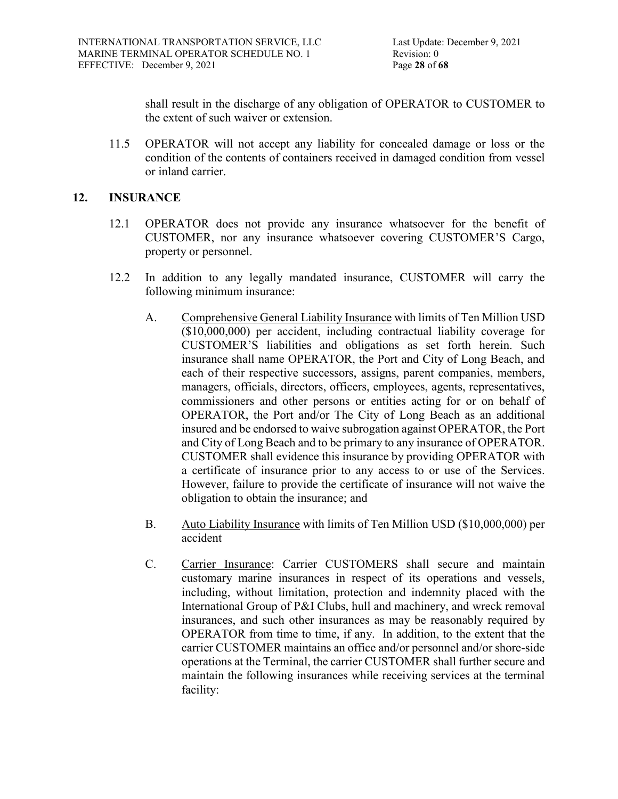shall result in the discharge of any obligation of OPERATOR to CUSTOMER to the extent of such waiver or extension.

11.5 OPERATOR will not accept any liability for concealed damage or loss or the condition of the contents of containers received in damaged condition from vessel or inland carrier.

### **12. INSURANCE**

- 12.1 OPERATOR does not provide any insurance whatsoever for the benefit of CUSTOMER, nor any insurance whatsoever covering CUSTOMER'S Cargo, property or personnel.
- 12.2 In addition to any legally mandated insurance, CUSTOMER will carry the following minimum insurance:
	- A. Comprehensive General Liability Insurance with limits of Ten Million USD (\$10,000,000) per accident, including contractual liability coverage for CUSTOMER'S liabilities and obligations as set forth herein. Such insurance shall name OPERATOR, the Port and City of Long Beach, and each of their respective successors, assigns, parent companies, members, managers, officials, directors, officers, employees, agents, representatives, commissioners and other persons or entities acting for or on behalf of OPERATOR, the Port and/or The City of Long Beach as an additional insured and be endorsed to waive subrogation against OPERATOR, the Port and City of Long Beach and to be primary to any insurance of OPERATOR. CUSTOMER shall evidence this insurance by providing OPERATOR with a certificate of insurance prior to any access to or use of the Services. However, failure to provide the certificate of insurance will not waive the obligation to obtain the insurance; and
	- B. Auto Liability Insurance with limits of Ten Million USD (\$10,000,000) per accident
	- C. Carrier Insurance: Carrier CUSTOMERS shall secure and maintain customary marine insurances in respect of its operations and vessels, including, without limitation, protection and indemnity placed with the International Group of P&I Clubs, hull and machinery, and wreck removal insurances, and such other insurances as may be reasonably required by OPERATOR from time to time, if any. In addition, to the extent that the carrier CUSTOMER maintains an office and/or personnel and/or shore-side operations at the Terminal, the carrier CUSTOMER shall further secure and maintain the following insurances while receiving services at the terminal facility: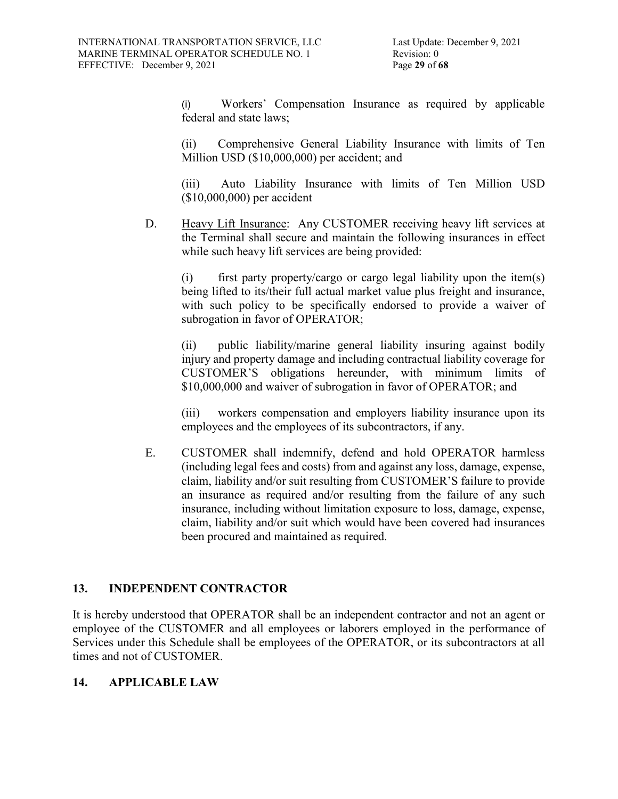(i) Workers' Compensation Insurance as required by applicable federal and state laws;

(ii) Comprehensive General Liability Insurance with limits of Ten Million USD (\$10,000,000) per accident; and

(iii) Auto Liability Insurance with limits of Ten Million USD (\$10,000,000) per accident

D. Heavy Lift Insurance: Any CUSTOMER receiving heavy lift services at the Terminal shall secure and maintain the following insurances in effect while such heavy lift services are being provided:

(i) first party property/cargo or cargo legal liability upon the item(s) being lifted to its/their full actual market value plus freight and insurance, with such policy to be specifically endorsed to provide a waiver of subrogation in favor of OPERATOR;

(ii) public liability/marine general liability insuring against bodily injury and property damage and including contractual liability coverage for CUSTOMER'S obligations hereunder, with minimum limits of \$10,000,000 and waiver of subrogation in favor of OPERATOR; and

(iii) workers compensation and employers liability insurance upon its employees and the employees of its subcontractors, if any.

E. CUSTOMER shall indemnify, defend and hold OPERATOR harmless (including legal fees and costs) from and against any loss, damage, expense, claim, liability and/or suit resulting from CUSTOMER'S failure to provide an insurance as required and/or resulting from the failure of any such insurance, including without limitation exposure to loss, damage, expense, claim, liability and/or suit which would have been covered had insurances been procured and maintained as required.

# **13. INDEPENDENT CONTRACTOR**

It is hereby understood that OPERATOR shall be an independent contractor and not an agent or employee of the CUSTOMER and all employees or laborers employed in the performance of Services under this Schedule shall be employees of the OPERATOR, or its subcontractors at all times and not of CUSTOMER.

# **14. APPLICABLE LAW**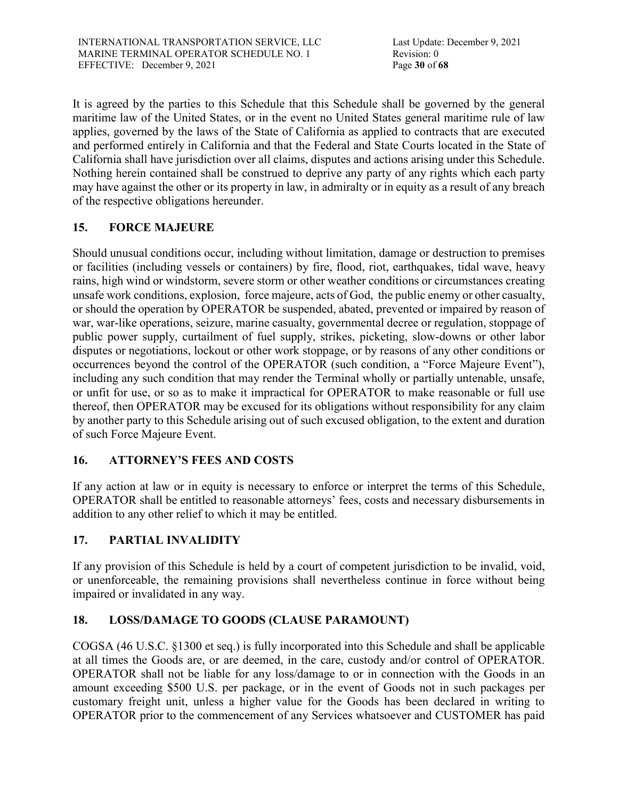It is agreed by the parties to this Schedule that this Schedule shall be governed by the general maritime law of the United States, or in the event no United States general maritime rule of law applies, governed by the laws of the State of California as applied to contracts that are executed and performed entirely in California and that the Federal and State Courts located in the State of California shall have jurisdiction over all claims, disputes and actions arising under this Schedule. Nothing herein contained shall be construed to deprive any party of any rights which each party may have against the other or its property in law, in admiralty or in equity as a result of any breach of the respective obligations hereunder.

# **15. FORCE MAJEURE**

Should unusual conditions occur, including without limitation, damage or destruction to premises or facilities (including vessels or containers) by fire, flood, riot, earthquakes, tidal wave, heavy rains, high wind or windstorm, severe storm or other weather conditions or circumstances creating unsafe work conditions, explosion, force majeure, acts of God, the public enemy or other casualty, or should the operation by OPERATOR be suspended, abated, prevented or impaired by reason of war, war-like operations, seizure, marine casualty, governmental decree or regulation, stoppage of public power supply, curtailment of fuel supply, strikes, picketing, slow-downs or other labor disputes or negotiations, lockout or other work stoppage, or by reasons of any other conditions or occurrences beyond the control of the OPERATOR (such condition, a "Force Majeure Event"), including any such condition that may render the Terminal wholly or partially untenable, unsafe, or unfit for use, or so as to make it impractical for OPERATOR to make reasonable or full use thereof, then OPERATOR may be excused for its obligations without responsibility for any claim by another party to this Schedule arising out of such excused obligation, to the extent and duration of such Force Majeure Event.

# **16. ATTORNEY'S FEES AND COSTS**

If any action at law or in equity is necessary to enforce or interpret the terms of this Schedule, OPERATOR shall be entitled to reasonable attorneys' fees, costs and necessary disbursements in addition to any other relief to which it may be entitled.

# **17. PARTIAL INVALIDITY**

If any provision of this Schedule is held by a court of competent jurisdiction to be invalid, void, or unenforceable, the remaining provisions shall nevertheless continue in force without being impaired or invalidated in any way.

# **18. LOSS/DAMAGE TO GOODS (CLAUSE PARAMOUNT)**

COGSA (46 U.S.C. §1300 et seq.) is fully incorporated into this Schedule and shall be applicable at all times the Goods are, or are deemed, in the care, custody and/or control of OPERATOR. OPERATOR shall not be liable for any loss/damage to or in connection with the Goods in an amount exceeding \$500 U.S. per package, or in the event of Goods not in such packages per customary freight unit, unless a higher value for the Goods has been declared in writing to OPERATOR prior to the commencement of any Services whatsoever and CUSTOMER has paid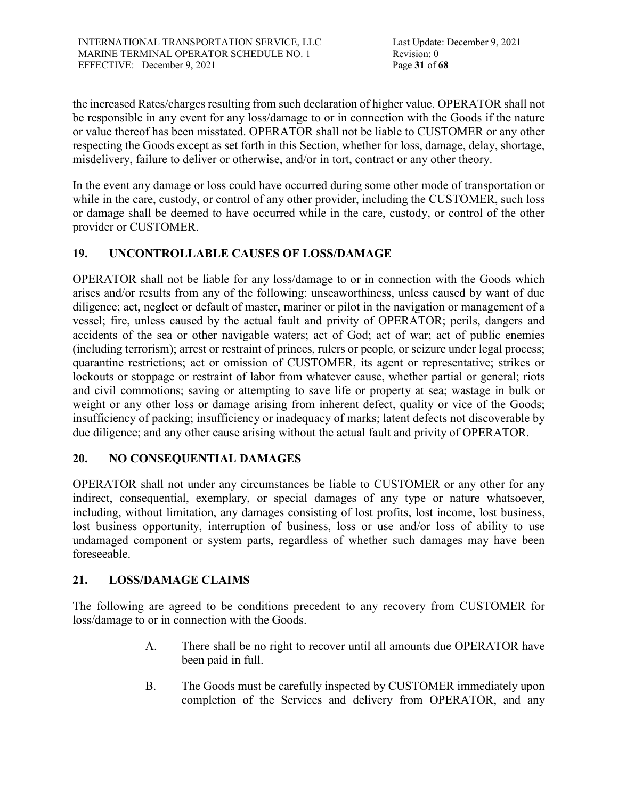the increased Rates/charges resulting from such declaration of higher value. OPERATOR shall not be responsible in any event for any loss/damage to or in connection with the Goods if the nature or value thereof has been misstated. OPERATOR shall not be liable to CUSTOMER or any other respecting the Goods except as set forth in this Section, whether for loss, damage, delay, shortage, misdelivery, failure to deliver or otherwise, and/or in tort, contract or any other theory.

In the event any damage or loss could have occurred during some other mode of transportation or while in the care, custody, or control of any other provider, including the CUSTOMER, such loss or damage shall be deemed to have occurred while in the care, custody, or control of the other provider or CUSTOMER.

# **19. UNCONTROLLABLE CAUSES OF LOSS/DAMAGE**

OPERATOR shall not be liable for any loss/damage to or in connection with the Goods which arises and/or results from any of the following: unseaworthiness, unless caused by want of due diligence; act, neglect or default of master, mariner or pilot in the navigation or management of a vessel; fire, unless caused by the actual fault and privity of OPERATOR; perils, dangers and accidents of the sea or other navigable waters; act of God; act of war; act of public enemies (including terrorism); arrest or restraint of princes, rulers or people, or seizure under legal process; quarantine restrictions; act or omission of CUSTOMER, its agent or representative; strikes or lockouts or stoppage or restraint of labor from whatever cause, whether partial or general; riots and civil commotions; saving or attempting to save life or property at sea; wastage in bulk or weight or any other loss or damage arising from inherent defect, quality or vice of the Goods; insufficiency of packing; insufficiency or inadequacy of marks; latent defects not discoverable by due diligence; and any other cause arising without the actual fault and privity of OPERATOR.

# **20. NO CONSEQUENTIAL DAMAGES**

OPERATOR shall not under any circumstances be liable to CUSTOMER or any other for any indirect, consequential, exemplary, or special damages of any type or nature whatsoever, including, without limitation, any damages consisting of lost profits, lost income, lost business, lost business opportunity, interruption of business, loss or use and/or loss of ability to use undamaged component or system parts, regardless of whether such damages may have been foreseeable.

# **21. LOSS/DAMAGE CLAIMS**

The following are agreed to be conditions precedent to any recovery from CUSTOMER for loss/damage to or in connection with the Goods.

- A. There shall be no right to recover until all amounts due OPERATOR have been paid in full.
- B. The Goods must be carefully inspected by CUSTOMER immediately upon completion of the Services and delivery from OPERATOR, and any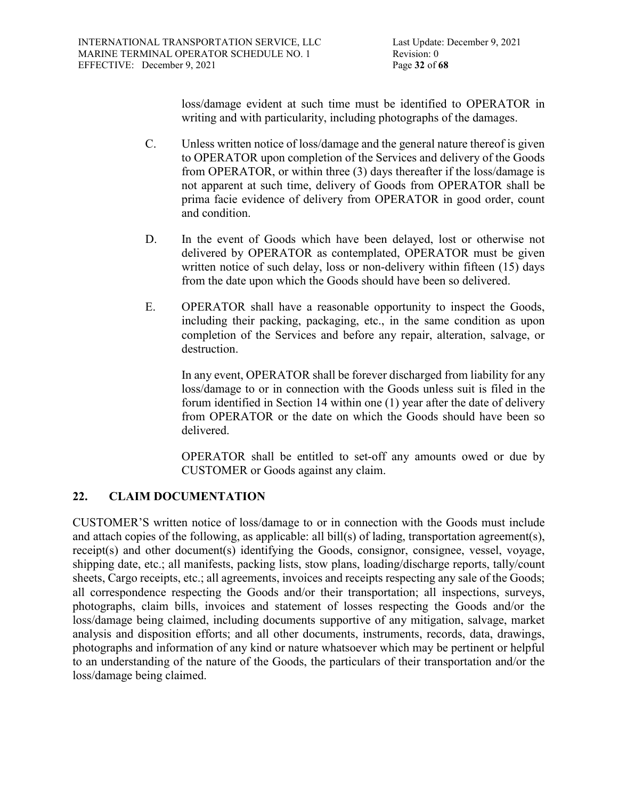loss/damage evident at such time must be identified to OPERATOR in writing and with particularity, including photographs of the damages.

- C. Unless written notice of loss/damage and the general nature thereof is given to OPERATOR upon completion of the Services and delivery of the Goods from OPERATOR, or within three (3) days thereafter if the loss/damage is not apparent at such time, delivery of Goods from OPERATOR shall be prima facie evidence of delivery from OPERATOR in good order, count and condition.
- D. In the event of Goods which have been delayed, lost or otherwise not delivered by OPERATOR as contemplated, OPERATOR must be given written notice of such delay, loss or non-delivery within fifteen (15) days from the date upon which the Goods should have been so delivered.
- E. OPERATOR shall have a reasonable opportunity to inspect the Goods, including their packing, packaging, etc., in the same condition as upon completion of the Services and before any repair, alteration, salvage, or destruction.

In any event, OPERATOR shall be forever discharged from liability for any loss/damage to or in connection with the Goods unless suit is filed in the forum identified in Section 14 within one (1) year after the date of delivery from OPERATOR or the date on which the Goods should have been so delivered.

OPERATOR shall be entitled to set-off any amounts owed or due by CUSTOMER or Goods against any claim.

# **22. CLAIM DOCUMENTATION**

CUSTOMER'S written notice of loss/damage to or in connection with the Goods must include and attach copies of the following, as applicable: all bill(s) of lading, transportation agreement(s), receipt(s) and other document(s) identifying the Goods, consignor, consignee, vessel, voyage, shipping date, etc.; all manifests, packing lists, stow plans, loading/discharge reports, tally/count sheets, Cargo receipts, etc.; all agreements, invoices and receipts respecting any sale of the Goods; all correspondence respecting the Goods and/or their transportation; all inspections, surveys, photographs, claim bills, invoices and statement of losses respecting the Goods and/or the loss/damage being claimed, including documents supportive of any mitigation, salvage, market analysis and disposition efforts; and all other documents, instruments, records, data, drawings, photographs and information of any kind or nature whatsoever which may be pertinent or helpful to an understanding of the nature of the Goods, the particulars of their transportation and/or the loss/damage being claimed.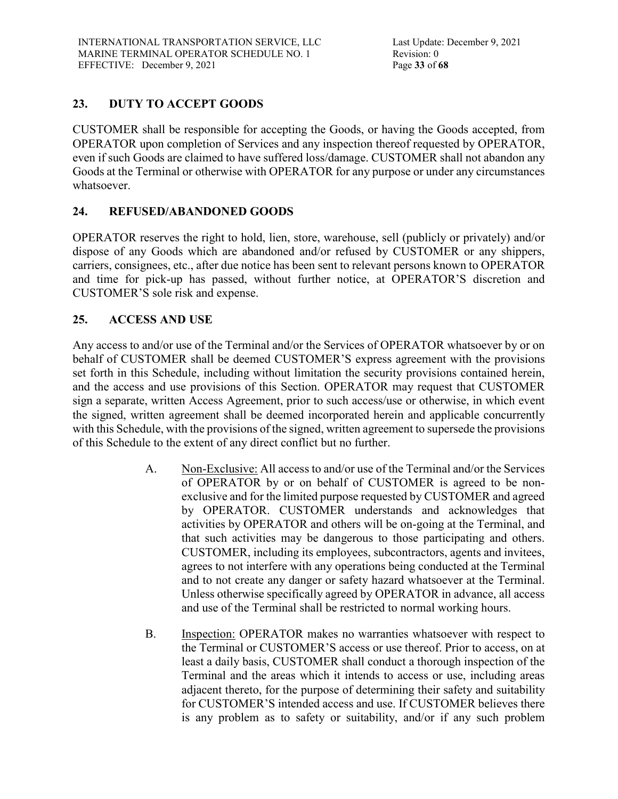# **23. DUTY TO ACCEPT GOODS**

CUSTOMER shall be responsible for accepting the Goods, or having the Goods accepted, from OPERATOR upon completion of Services and any inspection thereof requested by OPERATOR, even if such Goods are claimed to have suffered loss/damage. CUSTOMER shall not abandon any Goods at the Terminal or otherwise with OPERATOR for any purpose or under any circumstances whatsoever.

# **24. REFUSED/ABANDONED GOODS**

OPERATOR reserves the right to hold, lien, store, warehouse, sell (publicly or privately) and/or dispose of any Goods which are abandoned and/or refused by CUSTOMER or any shippers, carriers, consignees, etc., after due notice has been sent to relevant persons known to OPERATOR and time for pick-up has passed, without further notice, at OPERATOR'S discretion and CUSTOMER'S sole risk and expense.

# **25. ACCESS AND USE**

Any access to and/or use of the Terminal and/or the Services of OPERATOR whatsoever by or on behalf of CUSTOMER shall be deemed CUSTOMER'S express agreement with the provisions set forth in this Schedule, including without limitation the security provisions contained herein, and the access and use provisions of this Section. OPERATOR may request that CUSTOMER sign a separate, written Access Agreement, prior to such access/use or otherwise, in which event the signed, written agreement shall be deemed incorporated herein and applicable concurrently with this Schedule, with the provisions of the signed, written agreement to supersede the provisions of this Schedule to the extent of any direct conflict but no further.

- A. Non-Exclusive: All access to and/or use of the Terminal and/or the Services of OPERATOR by or on behalf of CUSTOMER is agreed to be nonexclusive and for the limited purpose requested by CUSTOMER and agreed by OPERATOR. CUSTOMER understands and acknowledges that activities by OPERATOR and others will be on-going at the Terminal, and that such activities may be dangerous to those participating and others. CUSTOMER, including its employees, subcontractors, agents and invitees, agrees to not interfere with any operations being conducted at the Terminal and to not create any danger or safety hazard whatsoever at the Terminal. Unless otherwise specifically agreed by OPERATOR in advance, all access and use of the Terminal shall be restricted to normal working hours.
- B. Inspection: OPERATOR makes no warranties whatsoever with respect to the Terminal or CUSTOMER'S access or use thereof. Prior to access, on at least a daily basis, CUSTOMER shall conduct a thorough inspection of the Terminal and the areas which it intends to access or use, including areas adjacent thereto, for the purpose of determining their safety and suitability for CUSTOMER'S intended access and use. If CUSTOMER believes there is any problem as to safety or suitability, and/or if any such problem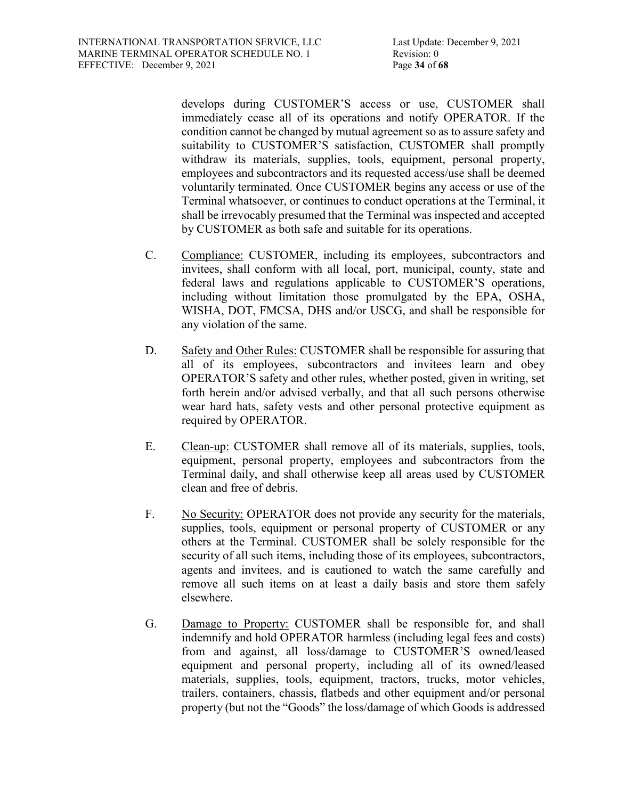develops during CUSTOMER'S access or use, CUSTOMER shall immediately cease all of its operations and notify OPERATOR. If the condition cannot be changed by mutual agreement so as to assure safety and suitability to CUSTOMER'S satisfaction, CUSTOMER shall promptly withdraw its materials, supplies, tools, equipment, personal property, employees and subcontractors and its requested access/use shall be deemed voluntarily terminated. Once CUSTOMER begins any access or use of the Terminal whatsoever, or continues to conduct operations at the Terminal, it shall be irrevocably presumed that the Terminal was inspected and accepted by CUSTOMER as both safe and suitable for its operations.

- C. Compliance: CUSTOMER, including its employees, subcontractors and invitees, shall conform with all local, port, municipal, county, state and federal laws and regulations applicable to CUSTOMER'S operations, including without limitation those promulgated by the EPA, OSHA, WISHA, DOT, FMCSA, DHS and/or USCG, and shall be responsible for any violation of the same.
- D. Safety and Other Rules: CUSTOMER shall be responsible for assuring that all of its employees, subcontractors and invitees learn and obey OPERATOR'S safety and other rules, whether posted, given in writing, set forth herein and/or advised verbally, and that all such persons otherwise wear hard hats, safety vests and other personal protective equipment as required by OPERATOR.
- E. Clean-up: CUSTOMER shall remove all of its materials, supplies, tools, equipment, personal property, employees and subcontractors from the Terminal daily, and shall otherwise keep all areas used by CUSTOMER clean and free of debris.
- F. No Security: OPERATOR does not provide any security for the materials, supplies, tools, equipment or personal property of CUSTOMER or any others at the Terminal. CUSTOMER shall be solely responsible for the security of all such items, including those of its employees, subcontractors, agents and invitees, and is cautioned to watch the same carefully and remove all such items on at least a daily basis and store them safely elsewhere.
- G. Damage to Property: CUSTOMER shall be responsible for, and shall indemnify and hold OPERATOR harmless (including legal fees and costs) from and against, all loss/damage to CUSTOMER'S owned/leased equipment and personal property, including all of its owned/leased materials, supplies, tools, equipment, tractors, trucks, motor vehicles, trailers, containers, chassis, flatbeds and other equipment and/or personal property (but not the "Goods" the loss/damage of which Goods is addressed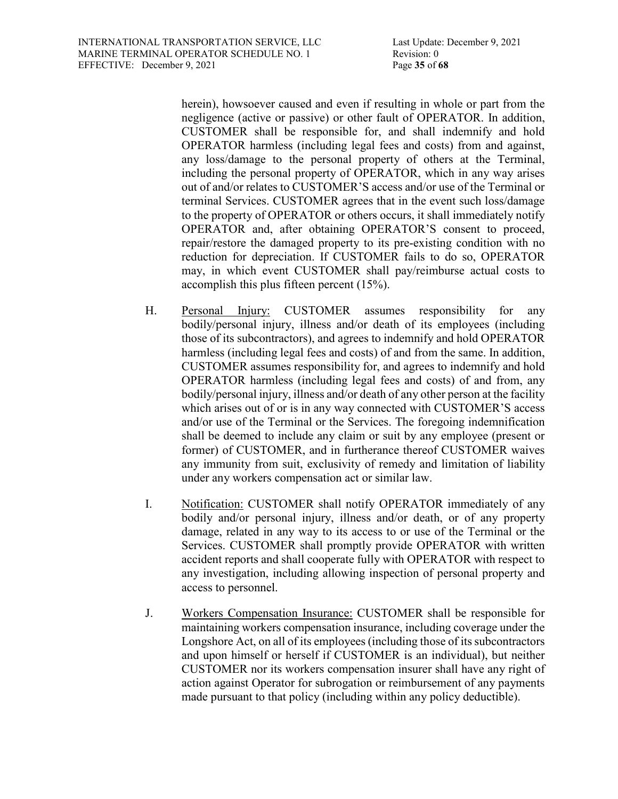herein), howsoever caused and even if resulting in whole or part from the negligence (active or passive) or other fault of OPERATOR. In addition, CUSTOMER shall be responsible for, and shall indemnify and hold OPERATOR harmless (including legal fees and costs) from and against, any loss/damage to the personal property of others at the Terminal, including the personal property of OPERATOR, which in any way arises out of and/or relates to CUSTOMER'S access and/or use of the Terminal or terminal Services. CUSTOMER agrees that in the event such loss/damage to the property of OPERATOR or others occurs, it shall immediately notify OPERATOR and, after obtaining OPERATOR'S consent to proceed, repair/restore the damaged property to its pre-existing condition with no reduction for depreciation. If CUSTOMER fails to do so, OPERATOR may, in which event CUSTOMER shall pay/reimburse actual costs to accomplish this plus fifteen percent (15%).

- H. Personal Injury: CUSTOMER assumes responsibility for any bodily/personal injury, illness and/or death of its employees (including those of its subcontractors), and agrees to indemnify and hold OPERATOR harmless (including legal fees and costs) of and from the same. In addition, CUSTOMER assumes responsibility for, and agrees to indemnify and hold OPERATOR harmless (including legal fees and costs) of and from, any bodily/personal injury, illness and/or death of any other person at the facility which arises out of or is in any way connected with CUSTOMER'S access and/or use of the Terminal or the Services. The foregoing indemnification shall be deemed to include any claim or suit by any employee (present or former) of CUSTOMER, and in furtherance thereof CUSTOMER waives any immunity from suit, exclusivity of remedy and limitation of liability under any workers compensation act or similar law.
- I. Notification: CUSTOMER shall notify OPERATOR immediately of any bodily and/or personal injury, illness and/or death, or of any property damage, related in any way to its access to or use of the Terminal or the Services. CUSTOMER shall promptly provide OPERATOR with written accident reports and shall cooperate fully with OPERATOR with respect to any investigation, including allowing inspection of personal property and access to personnel.
- J. Workers Compensation Insurance: CUSTOMER shall be responsible for maintaining workers compensation insurance, including coverage under the Longshore Act, on all of its employees (including those of its subcontractors and upon himself or herself if CUSTOMER is an individual), but neither CUSTOMER nor its workers compensation insurer shall have any right of action against Operator for subrogation or reimbursement of any payments made pursuant to that policy (including within any policy deductible).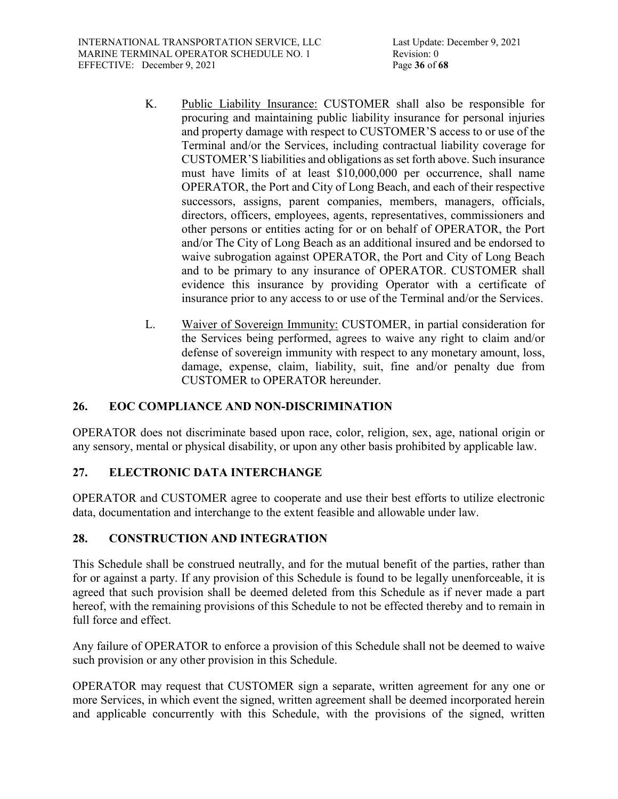- K. Public Liability Insurance: CUSTOMER shall also be responsible for procuring and maintaining public liability insurance for personal injuries and property damage with respect to CUSTOMER'S access to or use of the Terminal and/or the Services, including contractual liability coverage for CUSTOMER'S liabilities and obligations as set forth above. Such insurance must have limits of at least \$10,000,000 per occurrence, shall name OPERATOR, the Port and City of Long Beach, and each of their respective successors, assigns, parent companies, members, managers, officials, directors, officers, employees, agents, representatives, commissioners and other persons or entities acting for or on behalf of OPERATOR, the Port and/or The City of Long Beach as an additional insured and be endorsed to waive subrogation against OPERATOR, the Port and City of Long Beach and to be primary to any insurance of OPERATOR. CUSTOMER shall evidence this insurance by providing Operator with a certificate of insurance prior to any access to or use of the Terminal and/or the Services.
- L. Waiver of Sovereign Immunity: CUSTOMER, in partial consideration for the Services being performed, agrees to waive any right to claim and/or defense of sovereign immunity with respect to any monetary amount, loss, damage, expense, claim, liability, suit, fine and/or penalty due from CUSTOMER to OPERATOR hereunder.

# **26. EOC COMPLIANCE AND NON-DISCRIMINATION**

OPERATOR does not discriminate based upon race, color, religion, sex, age, national origin or any sensory, mental or physical disability, or upon any other basis prohibited by applicable law.

# **27. ELECTRONIC DATA INTERCHANGE**

OPERATOR and CUSTOMER agree to cooperate and use their best efforts to utilize electronic data, documentation and interchange to the extent feasible and allowable under law.

# **28. CONSTRUCTION AND INTEGRATION**

This Schedule shall be construed neutrally, and for the mutual benefit of the parties, rather than for or against a party. If any provision of this Schedule is found to be legally unenforceable, it is agreed that such provision shall be deemed deleted from this Schedule as if never made a part hereof, with the remaining provisions of this Schedule to not be effected thereby and to remain in full force and effect.

Any failure of OPERATOR to enforce a provision of this Schedule shall not be deemed to waive such provision or any other provision in this Schedule.

OPERATOR may request that CUSTOMER sign a separate, written agreement for any one or more Services, in which event the signed, written agreement shall be deemed incorporated herein and applicable concurrently with this Schedule, with the provisions of the signed, written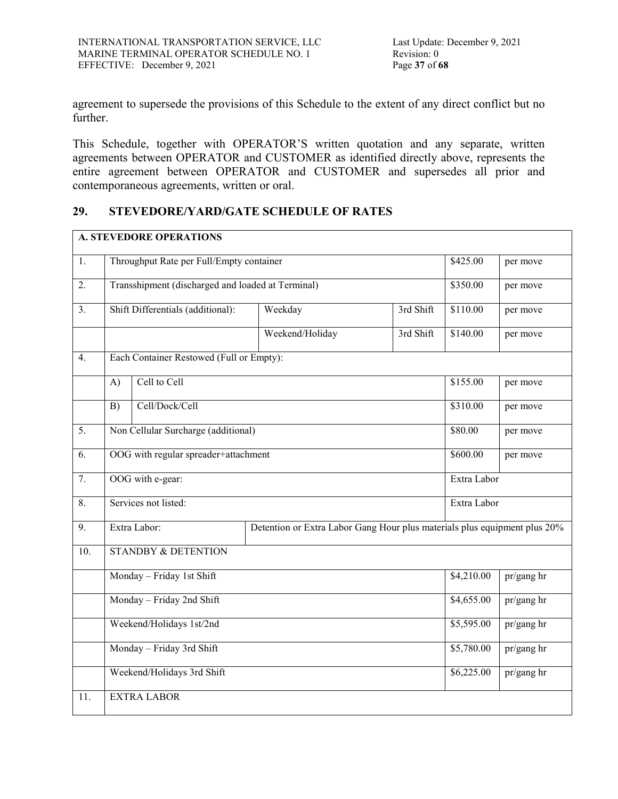agreement to supersede the provisions of this Schedule to the extent of any direct conflict but no further.

This Schedule, together with OPERATOR'S written quotation and any separate, written agreements between OPERATOR and CUSTOMER as identified directly above, represents the entire agreement between OPERATOR and CUSTOMER and supersedes all prior and contemporaneous agreements, written or oral.

# **29. STEVEDORE/YARD/GATE SCHEDULE OF RATES**

|                  |                                                                                           | <b>A. STEVEDORE OPERATIONS</b>                    |                 |             |            |            |
|------------------|-------------------------------------------------------------------------------------------|---------------------------------------------------|-----------------|-------------|------------|------------|
| 1.               | Throughput Rate per Full/Empty container                                                  |                                                   |                 |             |            | per move   |
| 2.               |                                                                                           | Transshipment (discharged and loaded at Terminal) |                 |             | \$350.00   | per move   |
| $\overline{3}$ . |                                                                                           | Shift Differentials (additional):                 | Weekday         | 3rd Shift   | \$110.00   | per move   |
|                  |                                                                                           |                                                   | Weekend/Holiday | 3rd Shift   | \$140.00   | per move   |
| $\overline{4}$ . |                                                                                           | Each Container Restowed (Full or Empty):          |                 |             |            |            |
|                  | A)                                                                                        | Cell to Cell                                      |                 |             | \$155.00   | per move   |
|                  | B)                                                                                        | Cell/Dock/Cell                                    |                 |             | \$310.00   | per move   |
| 5.               | Non Cellular Surcharge (additional)                                                       |                                                   |                 |             | \$80.00    | per move   |
| 6.               | OOG with regular spreader+attachment                                                      |                                                   |                 | \$600.00    | per move   |            |
| $\overline{7}$ . | OOG with e-gear:<br>Extra Labor                                                           |                                                   |                 |             |            |            |
| 8.               | Services not listed:                                                                      |                                                   |                 | Extra Labor |            |            |
| $\overline{9}$ . | Extra Labor:<br>Detention or Extra Labor Gang Hour plus materials plus equipment plus 20% |                                                   |                 |             |            |            |
| 10.              | <b>STANDBY &amp; DETENTION</b>                                                            |                                                   |                 |             |            |            |
|                  | Monday - Friday 1st Shift                                                                 |                                                   |                 |             | \$4,210.00 | pr/gang hr |
|                  | Monday - Friday 2nd Shift                                                                 |                                                   |                 |             | \$4,655.00 | pr/gang hr |
|                  | Weekend/Holidays 1st/2nd                                                                  |                                                   |                 |             | \$5,595.00 | pr/gang hr |
|                  | Monday - Friday 3rd Shift                                                                 |                                                   |                 |             | \$5,780.00 | pr/gang hr |
|                  | Weekend/Holidays 3rd Shift                                                                |                                                   |                 |             | \$6,225.00 | pr/gang hr |
| 11.              | <b>EXTRA LABOR</b>                                                                        |                                                   |                 |             |            |            |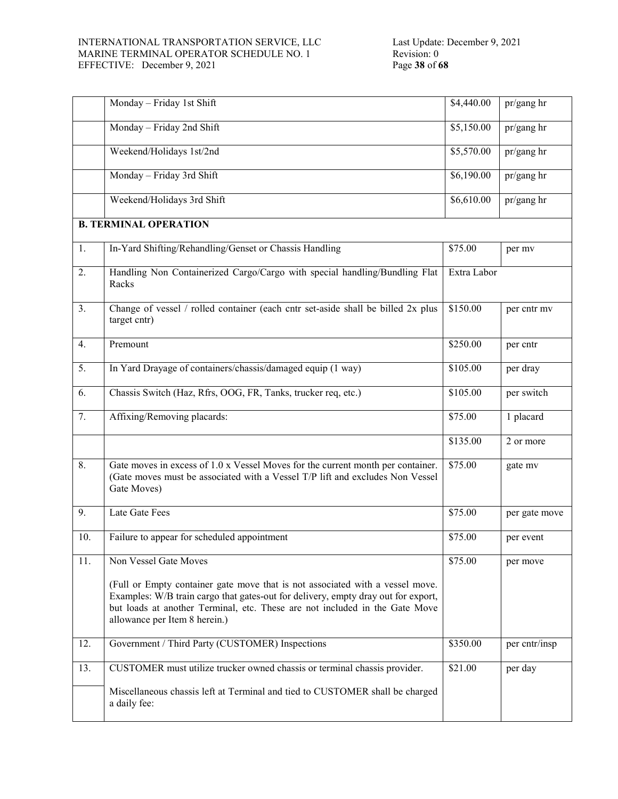#### INTERNATIONAL TRANSPORTATION SERVICE, LLC MARINE TERMINAL OPERATOR SCHEDULE NO. 1 EFFECTIVE: December 9, 2021

|     | Monday - Friday 1st Shift                                                                                                                                                                                                                                                          | \$4,440.00  | pr/gang hr    |
|-----|------------------------------------------------------------------------------------------------------------------------------------------------------------------------------------------------------------------------------------------------------------------------------------|-------------|---------------|
|     | Monday - Friday 2nd Shift                                                                                                                                                                                                                                                          | \$5,150.00  | pr/gang hr    |
|     | Weekend/Holidays 1st/2nd                                                                                                                                                                                                                                                           | \$5,570.00  | pr/gang hr    |
|     | Monday - Friday 3rd Shift                                                                                                                                                                                                                                                          | \$6,190.00  | pr/gang hr    |
|     | Weekend/Holidays 3rd Shift                                                                                                                                                                                                                                                         | \$6,610.00  | pr/gang hr    |
|     | <b>B. TERMINAL OPERATION</b>                                                                                                                                                                                                                                                       |             |               |
| 1.  | In-Yard Shifting/Rehandling/Genset or Chassis Handling                                                                                                                                                                                                                             | \$75.00     | per mv        |
| 2.  | Handling Non Containerized Cargo/Cargo with special handling/Bundling Flat<br>Racks                                                                                                                                                                                                | Extra Labor |               |
| 3.  | Change of vessel / rolled container (each cntr set-aside shall be billed 2x plus<br>target cntr)                                                                                                                                                                                   | \$150.00    | per cntr mv   |
| 4.  | Premount                                                                                                                                                                                                                                                                           | \$250.00    | per cntr      |
| 5.  | In Yard Drayage of containers/chassis/damaged equip (1 way)                                                                                                                                                                                                                        | \$105.00    | per dray      |
| 6.  | Chassis Switch (Haz, Rfrs, OOG, FR, Tanks, trucker req, etc.)                                                                                                                                                                                                                      | \$105.00    | per switch    |
| 7.  | Affixing/Removing placards:                                                                                                                                                                                                                                                        | \$75.00     | 1 placard     |
|     |                                                                                                                                                                                                                                                                                    | \$135.00    | 2 or more     |
| 8.  | Gate moves in excess of 1.0 x Vessel Moves for the current month per container.<br>(Gate moves must be associated with a Vessel T/P lift and excludes Non Vessel<br>Gate Moves)                                                                                                    | \$75.00     | gate mv       |
| 9.  | Late Gate Fees                                                                                                                                                                                                                                                                     | \$75.00     | per gate move |
| 10. | Failure to appear for scheduled appointment                                                                                                                                                                                                                                        | \$75.00     | per event     |
| 11. | Non Vessel Gate Moves                                                                                                                                                                                                                                                              | \$75.00     | per move      |
|     | (Full or Empty container gate move that is not associated with a vessel move.<br>Examples: W/B train cargo that gates-out for delivery, empty dray out for export,<br>but loads at another Terminal, etc. These are not included in the Gate Move<br>allowance per Item 8 herein.) |             |               |
| 12. | Government / Third Party (CUSTOMER) Inspections                                                                                                                                                                                                                                    | \$350.00    | per cntr/insp |
| 13. | CUSTOMER must utilize trucker owned chassis or terminal chassis provider.                                                                                                                                                                                                          | \$21.00     | per day       |
|     | Miscellaneous chassis left at Terminal and tied to CUSTOMER shall be charged<br>a daily fee:                                                                                                                                                                                       |             |               |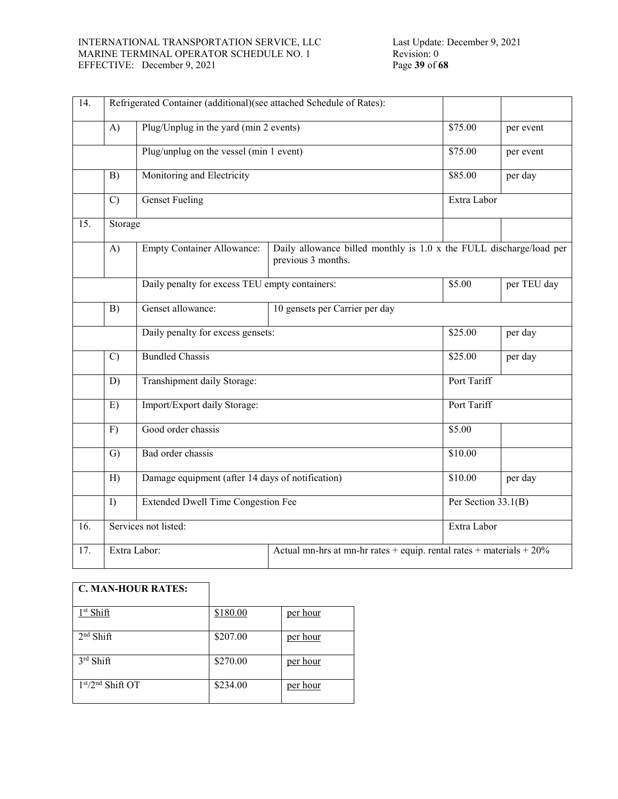#### INTERNATIONAL TRANSPORTATION SERVICE, LLC MARINE TERMINAL OPERATOR SCHEDULE NO. 1 EFFECTIVE: December 9, 2021

| $\overline{14}$ . |               | Refrigerated Container (additional)(see attached Schedule of Rates): |                                                                                           |                       |             |  |
|-------------------|---------------|----------------------------------------------------------------------|-------------------------------------------------------------------------------------------|-----------------------|-------------|--|
|                   | A)            | Plug/Unplug in the yard (min 2 events)                               |                                                                                           |                       | per event   |  |
|                   |               | Plug/unplug on the vessel (min 1 event)                              |                                                                                           | \$75.00               | per event   |  |
|                   | B)            | Monitoring and Electricity                                           |                                                                                           | \$85.00               | per day     |  |
|                   | $\mathcal{C}$ | <b>Genset Fueling</b>                                                |                                                                                           |                       | Extra Labor |  |
| 15.               | Storage       |                                                                      |                                                                                           |                       |             |  |
|                   | A)            | <b>Empty Container Allowance:</b>                                    | Daily allowance billed monthly is 1.0 x the FULL discharge/load per<br>previous 3 months. |                       |             |  |
|                   |               | Daily penalty for excess TEU empty containers:                       |                                                                                           | \$5.00                | per TEU day |  |
|                   | B)            | Genset allowance:<br>10 gensets per Carrier per day                  |                                                                                           |                       |             |  |
|                   |               | Daily penalty for excess gensets:                                    |                                                                                           | \$25.00               | per day     |  |
|                   | $\mathcal{C}$ | <b>Bundled Chassis</b>                                               |                                                                                           | \$25.00               | per day     |  |
|                   | D)            | Transhipment daily Storage:                                          |                                                                                           | Port Tariff           |             |  |
|                   | E)            | Import/Export daily Storage:                                         |                                                                                           | Port Tariff           |             |  |
|                   | F)            | Good order chassis                                                   |                                                                                           | \$5.00                |             |  |
|                   | G)            | Bad order chassis                                                    |                                                                                           | \$10.00               |             |  |
|                   | H)            | Damage equipment (after 14 days of notification)                     |                                                                                           | \$10.00               | per day     |  |
|                   | I             | <b>Extended Dwell Time Congestion Fee</b>                            |                                                                                           | Per Section $33.1(B)$ |             |  |
| 16.               |               | Services not listed:                                                 |                                                                                           | Extra Labor           |             |  |
| 17.               |               | Extra Labor:                                                         | Actual mn-hrs at mn-hr rates + equip. rental rates + materials + $20\%$                   |                       |             |  |

# **C. MAN-HOUR RATES:**

| 1 <sup>st</sup> Shift        | \$180.00 | per hour |
|------------------------------|----------|----------|
| $2nd$ Shift                  | \$207.00 | per hour |
| $3rd$ Shift                  | \$270.00 | per hour |
| 1st/2 <sup>nd</sup> Shift OT | \$234.00 | per hour |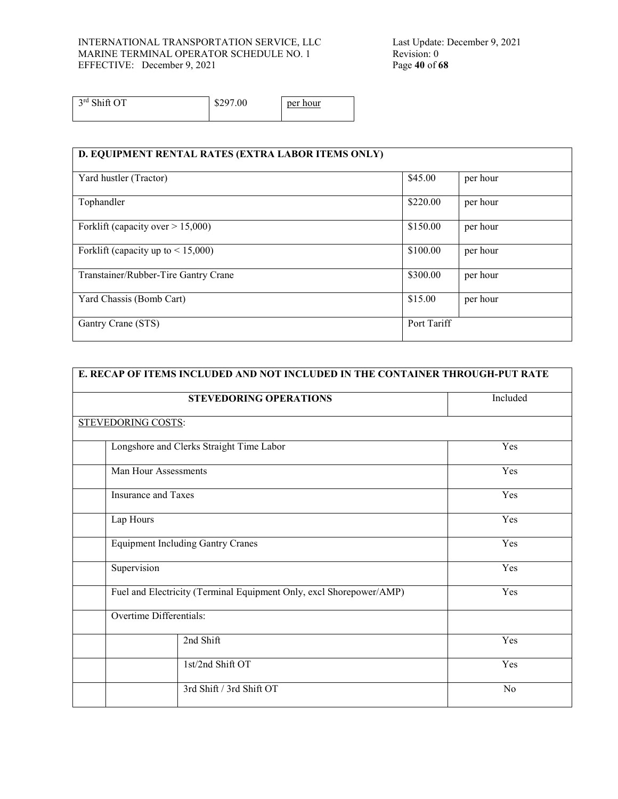#### INTERNATIONAL TRANSPORTATION SERVICE, LLC MARINE TERMINAL OPERATOR SCHEDULE NO. 1 EFFECTIVE: December 9, 2021 Page 40 of 68

Last Update: December 9, 2021 Revision: 0

 $3<sup>rd</sup> Shift OT$  \$297.00 per hour

| D. EQUIPMENT RENTAL RATES (EXTRA LABOR ITEMS ONLY) |             |          |
|----------------------------------------------------|-------------|----------|
| Yard hustler (Tractor)                             | \$45.00     | per hour |
| Tophandler                                         | \$220.00    | per hour |
| Forklift (capacity over $> 15,000$ )               | \$150.00    | per hour |
| Forklift (capacity up to $\leq 15,000$ )           | \$100.00    | per hour |
| Transtainer/Rubber-Tire Gantry Crane               | \$300.00    | per hour |
| Yard Chassis (Bomb Cart)                           | \$15.00     | per hour |
| Gantry Crane (STS)                                 | Port Tariff |          |

| E. RECAP OF ITEMS INCLUDED AND NOT INCLUDED IN THE CONTAINER THROUGH-PUT RATE |                |  |  |
|-------------------------------------------------------------------------------|----------------|--|--|
| <b>STEVEDORING OPERATIONS</b>                                                 | Included       |  |  |
| STEVEDORING COSTS:                                                            |                |  |  |
| Longshore and Clerks Straight Time Labor                                      | Yes            |  |  |
| Man Hour Assessments                                                          | Yes            |  |  |
| <b>Insurance and Taxes</b>                                                    | Yes            |  |  |
| Lap Hours                                                                     | Yes            |  |  |
| <b>Equipment Including Gantry Cranes</b>                                      | Yes            |  |  |
| Supervision                                                                   | Yes            |  |  |
| Fuel and Electricity (Terminal Equipment Only, excl Shorepower/AMP)           | Yes            |  |  |
| Overtime Differentials:                                                       |                |  |  |
| 2nd Shift                                                                     | Yes            |  |  |
| 1st/2nd Shift OT                                                              | Yes            |  |  |
| 3rd Shift / 3rd Shift OT                                                      | N <sub>o</sub> |  |  |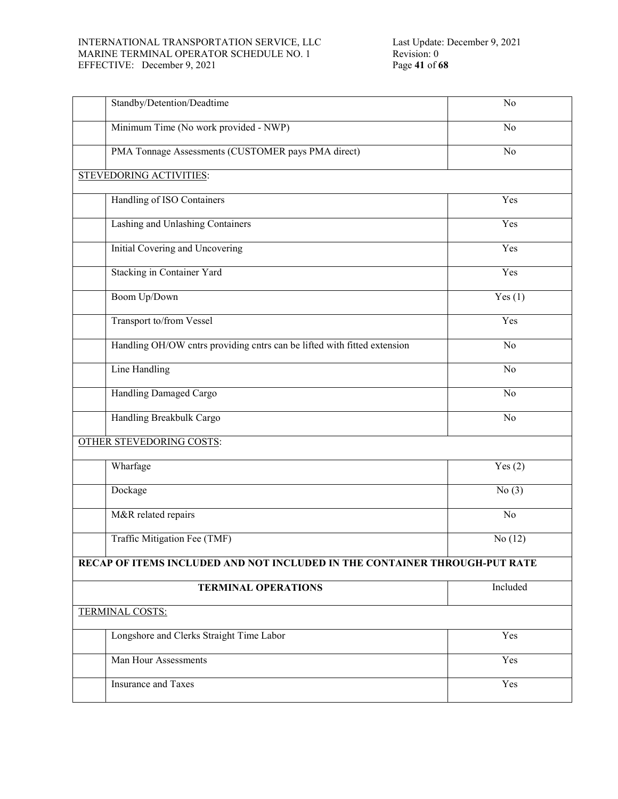#### INTERNATIONAL TRANSPORTATION SERVICE, LLC MARINE TERMINAL OPERATOR SCHEDULE NO. 1 EFFECTIVE: December 9, 2021 Page **41** of **68**

| Standby/Detention/Deadtime                                                 | No        |
|----------------------------------------------------------------------------|-----------|
| Minimum Time (No work provided - NWP)                                      | No        |
| PMA Tonnage Assessments (CUSTOMER pays PMA direct)                         | No        |
| STEVEDORING ACTIVITIES:                                                    |           |
| Handling of ISO Containers                                                 | Yes       |
| Lashing and Unlashing Containers                                           | Yes       |
| <b>Initial Covering and Uncovering</b>                                     | Yes       |
| Stacking in Container Yard                                                 | Yes       |
| Boom Up/Down                                                               | Yes(1)    |
| Transport to/from Vessel                                                   | Yes       |
| Handling OH/OW cntrs providing cntrs can be lifted with fitted extension   | No        |
| <b>Line Handling</b>                                                       | No        |
| Handling Damaged Cargo                                                     | No        |
| Handling Breakbulk Cargo                                                   | No        |
| <b>OTHER STEVEDORING COSTS:</b>                                            |           |
| Wharfage                                                                   | Yes(2)    |
| Dockage                                                                    | No(3)     |
| M&R related repairs                                                        | $\rm No$  |
| Traffic Mitigation Fee (TMF)                                               | No $(12)$ |
| RECAP OF ITEMS INCLUDED AND NOT INCLUDED IN THE CONTAINER THROUGH-PUT RATE |           |
| <b>TERMINAL OPERATIONS</b>                                                 | Included  |
| <b>TERMINAL COSTS:</b>                                                     |           |
| Longshore and Clerks Straight Time Labor                                   | Yes       |
| Man Hour Assessments                                                       | Yes       |
| <b>Insurance and Taxes</b>                                                 | Yes       |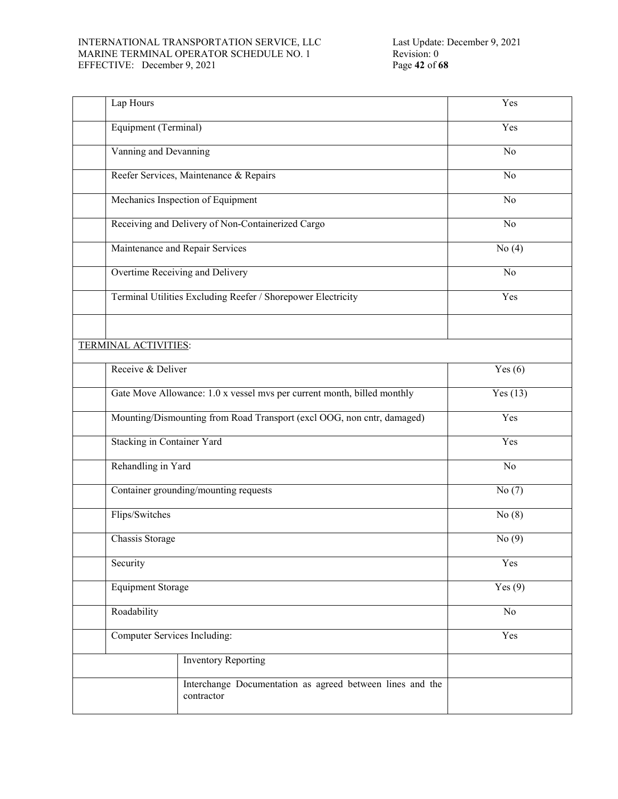#### INTERNATIONAL TRANSPORTATION SERVICE, LLC MARINE TERMINAL OPERATOR SCHEDULE NO. 1 EFFECTIVE: December 9, 2021 Page **42** of **68**

| Lap Hours                         |                                                                         | Yes            |
|-----------------------------------|-------------------------------------------------------------------------|----------------|
| Equipment (Terminal)              |                                                                         | Yes            |
| Vanning and Devanning             |                                                                         | No             |
|                                   | Reefer Services, Maintenance & Repairs                                  | No             |
|                                   | Mechanics Inspection of Equipment                                       | N <sub>o</sub> |
|                                   | Receiving and Delivery of Non-Containerized Cargo                       | $\overline{N}$ |
|                                   | Maintenance and Repair Services                                         | No $(4)$       |
|                                   | Overtime Receiving and Delivery                                         | No             |
|                                   | Terminal Utilities Excluding Reefer / Shorepower Electricity            | Yes            |
|                                   |                                                                         |                |
| <b>TERMINAL ACTIVITIES:</b>       |                                                                         |                |
| Receive & Deliver                 |                                                                         | Yes $(6)$      |
|                                   | Gate Move Allowance: 1.0 x vessel mvs per current month, billed monthly | Yes(13)        |
|                                   | Mounting/Dismounting from Road Transport (excl OOG, non cntr, damaged)  | Yes            |
| <b>Stacking in Container Yard</b> |                                                                         | Yes            |
| Rehandling in Yard                |                                                                         | No             |
|                                   | Container grounding/mounting requests                                   | No(7)          |
| Flips/Switches                    |                                                                         | No(8)          |
| Chassis Storage                   |                                                                         | No $(9)$       |
| Security                          |                                                                         | Yes            |
| <b>Equipment Storage</b>          | Yes $(9)$                                                               |                |
| Roadability                       | No                                                                      |                |
| Computer Services Including:      |                                                                         | Yes            |
|                                   | <b>Inventory Reporting</b>                                              |                |
|                                   | Interchange Documentation as agreed between lines and the<br>contractor |                |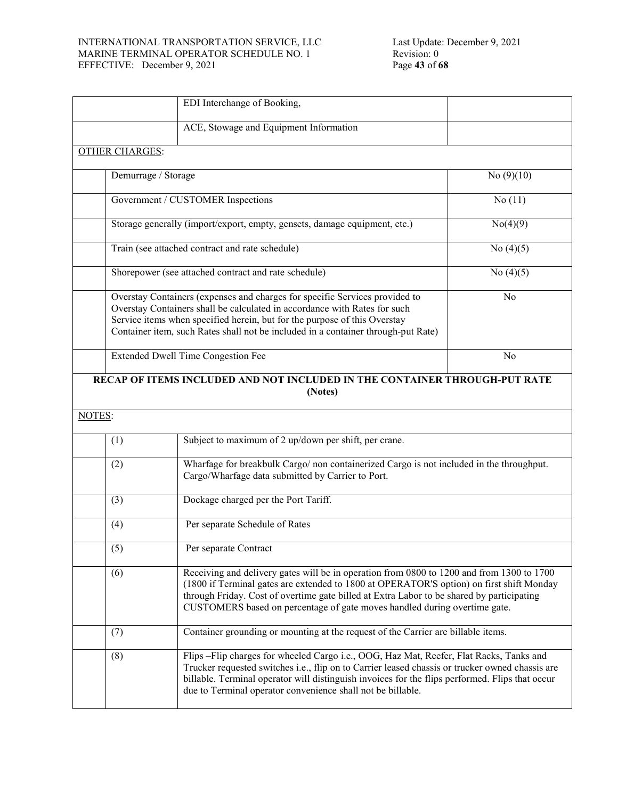#### INTERNATIONAL TRANSPORTATION SERVICE, LLC MARINE TERMINAL OPERATOR SCHEDULE NO. 1 EFFECTIVE: December 9, 2021 Page **43** of **68**

|        |                       | EDI Interchange of Booking,                                                                                                                                                                                                                                                                                                                                     |                |
|--------|-----------------------|-----------------------------------------------------------------------------------------------------------------------------------------------------------------------------------------------------------------------------------------------------------------------------------------------------------------------------------------------------------------|----------------|
|        |                       | ACE, Stowage and Equipment Information                                                                                                                                                                                                                                                                                                                          |                |
|        | <b>OTHER CHARGES:</b> |                                                                                                                                                                                                                                                                                                                                                                 |                |
|        | Demurrage / Storage   |                                                                                                                                                                                                                                                                                                                                                                 | No $(9)(10)$   |
|        |                       | Government / CUSTOMER Inspections                                                                                                                                                                                                                                                                                                                               | No(11)         |
|        |                       | Storage generally (import/export, empty, gensets, damage equipment, etc.)                                                                                                                                                                                                                                                                                       | No(4)(9)       |
|        |                       | Train (see attached contract and rate schedule)                                                                                                                                                                                                                                                                                                                 | No $(4)(5)$    |
|        |                       | Shorepower (see attached contract and rate schedule)                                                                                                                                                                                                                                                                                                            | No $(4)(5)$    |
|        |                       | Overstay Containers (expenses and charges for specific Services provided to<br>Overstay Containers shall be calculated in accordance with Rates for such<br>Service items when specified herein, but for the purpose of this Overstay<br>Container item, such Rates shall not be included in a container through-put Rate)                                      | N <sub>o</sub> |
|        |                       | Extended Dwell Time Congestion Fee                                                                                                                                                                                                                                                                                                                              | No             |
|        |                       | RECAP OF ITEMS INCLUDED AND NOT INCLUDED IN THE CONTAINER THROUGH-PUT RATE<br>(Notes)                                                                                                                                                                                                                                                                           |                |
| NOTES: |                       |                                                                                                                                                                                                                                                                                                                                                                 |                |
|        | (1)                   | Subject to maximum of 2 up/down per shift, per crane.                                                                                                                                                                                                                                                                                                           |                |
|        | (2)                   | Wharfage for breakbulk Cargo/ non containerized Cargo is not included in the throughput.<br>Cargo/Wharfage data submitted by Carrier to Port.                                                                                                                                                                                                                   |                |
|        | (3)                   | Dockage charged per the Port Tariff.                                                                                                                                                                                                                                                                                                                            |                |
|        | (4)                   | Per separate Schedule of Rates                                                                                                                                                                                                                                                                                                                                  |                |
|        | (5)                   | Per separate Contract                                                                                                                                                                                                                                                                                                                                           |                |
|        | (6)                   | Receiving and delivery gates will be in operation from 0800 to 1200 and from 1300 to 1700<br>(1800 if Terminal gates are extended to 1800 at OPERATOR'S option) on first shift Monday<br>through Friday. Cost of overtime gate billed at Extra Labor to be shared by participating<br>CUSTOMERS based on percentage of gate moves handled during overtime gate. |                |
|        | (7)                   | Container grounding or mounting at the request of the Carrier are billable items.                                                                                                                                                                                                                                                                               |                |
|        | (8)                   | Flips - Flip charges for wheeled Cargo i.e., OOG, Haz Mat, Reefer, Flat Racks, Tanks and<br>Trucker requested switches i.e., flip on to Carrier leased chassis or trucker owned chassis are<br>billable. Terminal operator will distinguish invoices for the flips performed. Flips that occur<br>due to Terminal operator convenience shall not be billable.   |                |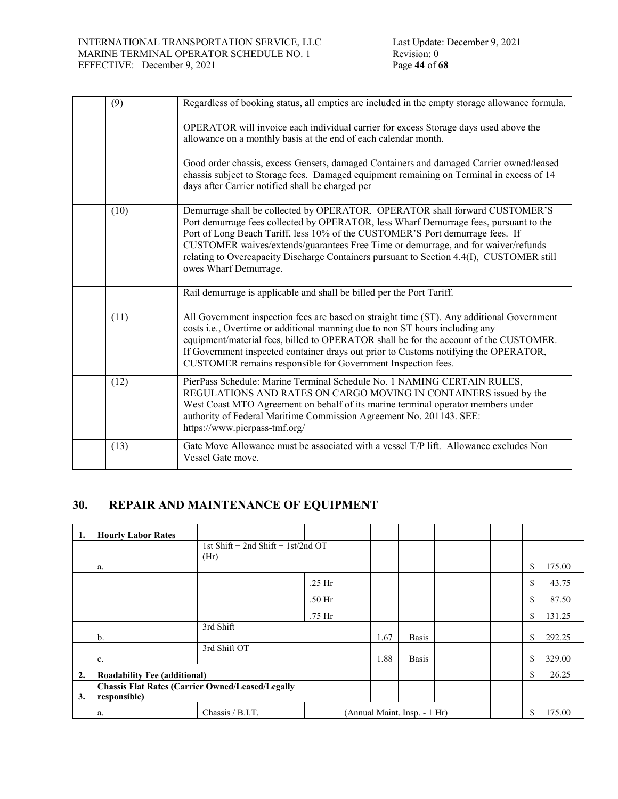| (9)  | Regardless of booking status, all empties are included in the empty storage allowance formula.                                                                                                                                                                                                                                                                                                                                                                  |  |
|------|-----------------------------------------------------------------------------------------------------------------------------------------------------------------------------------------------------------------------------------------------------------------------------------------------------------------------------------------------------------------------------------------------------------------------------------------------------------------|--|
|      | OPERATOR will invoice each individual carrier for excess Storage days used above the<br>allowance on a monthly basis at the end of each calendar month.                                                                                                                                                                                                                                                                                                         |  |
|      | Good order chassis, excess Gensets, damaged Containers and damaged Carrier owned/leased<br>chassis subject to Storage fees. Damaged equipment remaining on Terminal in excess of 14<br>days after Carrier notified shall be charged per                                                                                                                                                                                                                         |  |
| (10) | Demurrage shall be collected by OPERATOR. OPERATOR shall forward CUSTOMER'S<br>Port demurrage fees collected by OPERATOR, less Wharf Demurrage fees, pursuant to the<br>Port of Long Beach Tariff, less 10% of the CUSTOMER'S Port demurrage fees. If<br>CUSTOMER waives/extends/guarantees Free Time or demurrage, and for waiver/refunds<br>relating to Overcapacity Discharge Containers pursuant to Section 4.4(I), CUSTOMER still<br>owes Wharf Demurrage. |  |
|      | Rail demurrage is applicable and shall be billed per the Port Tariff.                                                                                                                                                                                                                                                                                                                                                                                           |  |
| (11) | All Government inspection fees are based on straight time (ST). Any additional Government<br>costs i.e., Overtime or additional manning due to non ST hours including any<br>equipment/material fees, billed to OPERATOR shall be for the account of the CUSTOMER.<br>If Government inspected container drays out prior to Customs notifying the OPERATOR,<br>CUSTOMER remains responsible for Government Inspection fees.                                      |  |
| (12) | PierPass Schedule: Marine Terminal Schedule No. 1 NAMING CERTAIN RULES,<br>REGULATIONS AND RATES ON CARGO MOVING IN CONTAINERS issued by the<br>West Coast MTO Agreement on behalf of its marine terminal operator members under<br>authority of Federal Maritime Commission Agreement No. 201143. SEE:<br>https://www.pierpass-tmf.org/                                                                                                                        |  |
| (13) | Gate Move Allowance must be associated with a vessel T/P lift. Allowance excludes Non<br>Vessel Gate move.                                                                                                                                                                                                                                                                                                                                                      |  |

# **30. REPAIR AND MAINTENANCE OF EQUIPMENT**

| 1. | <b>Hourly Labor Rates</b>                                               |                                    |          |  |      |                              |  |              |
|----|-------------------------------------------------------------------------|------------------------------------|----------|--|------|------------------------------|--|--------------|
|    |                                                                         | 1st Shift + 2nd Shift + 1st/2nd OT |          |  |      |                              |  |              |
|    | a.                                                                      | (Hr)                               |          |  |      |                              |  | \$<br>175.00 |
|    |                                                                         |                                    | $.25$ Hr |  |      |                              |  | \$<br>43.75  |
|    |                                                                         |                                    | .50 Hr   |  |      |                              |  | \$<br>87.50  |
|    |                                                                         |                                    | .75 Hr   |  |      |                              |  | \$<br>131.25 |
|    | $\mathbf{b}$ .                                                          | 3rd Shift                          |          |  | 1.67 | <b>Basis</b>                 |  | \$<br>292.25 |
|    | c.                                                                      | 3rd Shift OT                       |          |  | 1.88 | <b>Basis</b>                 |  | \$<br>329.00 |
| 2. | <b>Roadability Fee (additional)</b>                                     |                                    |          |  |      |                              |  | \$<br>26.25  |
| 3. | <b>Chassis Flat Rates (Carrier Owned/Leased/Legally</b><br>responsible) |                                    |          |  |      |                              |  |              |
|    | a.                                                                      | Chassis / B.I.T.                   |          |  |      | (Annual Maint. Insp. - 1 Hr) |  | \$<br>175.00 |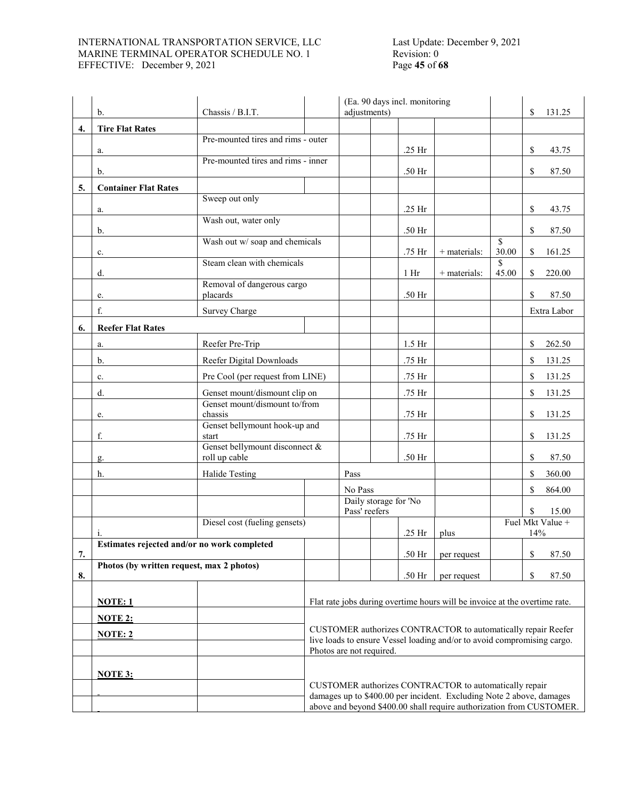#### INTERNATIONAL TRANSPORTATION SERVICE, LLC MARINE TERMINAL OPERATOR SCHEDULE NO. 1 EFFECTIVE: December 9, 2021 Page **45** of **68**

# Last Update: December 9, 2021 Revision: 0

|    | b.                                                          | Chassis / B.I.T.                         |                                                                                                                                              | (Ea. 90 days incl. monitoring<br>adjustments) |                       |                 |                                                        | \$          | 131.25 |                  |
|----|-------------------------------------------------------------|------------------------------------------|----------------------------------------------------------------------------------------------------------------------------------------------|-----------------------------------------------|-----------------------|-----------------|--------------------------------------------------------|-------------|--------|------------------|
|    |                                                             |                                          |                                                                                                                                              |                                               |                       |                 |                                                        |             |        |                  |
| 4. | <b>Tire Flat Rates</b>                                      | Pre-mounted tires and rims - outer       |                                                                                                                                              |                                               |                       |                 |                                                        |             |        |                  |
|    | a.                                                          |                                          |                                                                                                                                              |                                               |                       | .25 Hr          |                                                        |             | \$     | 43.75            |
|    | b.                                                          | Pre-mounted tires and rims - inner       |                                                                                                                                              |                                               |                       | .50 Hr          |                                                        |             | \$     | 87.50            |
| 5. | <b>Container Flat Rates</b>                                 |                                          |                                                                                                                                              |                                               |                       |                 |                                                        |             |        |                  |
|    |                                                             | Sweep out only                           |                                                                                                                                              |                                               |                       |                 |                                                        |             |        |                  |
|    | a.                                                          | Wash out, water only                     |                                                                                                                                              |                                               |                       | .25 Hr          |                                                        |             | \$     | 43.75            |
|    | b.                                                          |                                          |                                                                                                                                              |                                               |                       | .50 Hr          |                                                        |             | \$     | 87.50            |
|    | c.                                                          | Wash out w/ soap and chemicals           |                                                                                                                                              |                                               |                       | .75 Hr          | $+$ materials:                                         | \$<br>30.00 | S.     | 161.25           |
|    |                                                             | Steam clean with chemicals               |                                                                                                                                              |                                               |                       |                 |                                                        | \$          |        |                  |
|    | d.                                                          | Removal of dangerous cargo               |                                                                                                                                              |                                               |                       | 1 <sub>hr</sub> | $+$ materials:                                         | 45.00       | \$     | 220.00           |
|    | e.                                                          | placards                                 |                                                                                                                                              |                                               |                       | .50 Hr          |                                                        |             | \$     | 87.50            |
|    | f.                                                          | Survey Charge                            |                                                                                                                                              |                                               |                       |                 |                                                        |             |        | Extra Labor      |
| 6. | <b>Reefer Flat Rates</b>                                    |                                          |                                                                                                                                              |                                               |                       |                 |                                                        |             |        |                  |
|    | a.                                                          | Reefer Pre-Trip                          |                                                                                                                                              |                                               |                       | $1.5$ Hr        |                                                        |             | \$     | 262.50           |
|    | b.                                                          | Reefer Digital Downloads                 |                                                                                                                                              |                                               |                       | .75 Hr          |                                                        |             | \$     | 131.25           |
|    | c.                                                          | Pre Cool (per request from LINE)         |                                                                                                                                              |                                               |                       | .75 Hr          |                                                        |             | \$     | 131.25           |
|    | d.                                                          | Genset mount/dismount clip on            |                                                                                                                                              |                                               |                       | .75 Hr          |                                                        |             | \$     | 131.25           |
|    | e.                                                          | Genset mount/dismount to/from<br>chassis |                                                                                                                                              |                                               |                       | .75 Hr          |                                                        |             | \$     | 131.25           |
|    |                                                             | Genset bellymount hook-up and            |                                                                                                                                              |                                               |                       |                 |                                                        |             |        |                  |
|    | f.                                                          | start<br>Genset bellymount disconnect &  |                                                                                                                                              |                                               |                       | .75 Hr          |                                                        |             | \$     | 131.25           |
|    | g.                                                          | roll up cable                            |                                                                                                                                              |                                               |                       | .50 Hr          |                                                        |             | \$     | 87.50            |
|    | h.                                                          | Halide Testing                           |                                                                                                                                              | Pass                                          |                       |                 |                                                        |             | \$     | 360.00           |
|    |                                                             |                                          |                                                                                                                                              | No Pass                                       |                       |                 |                                                        |             | \$     | 864.00           |
|    |                                                             |                                          |                                                                                                                                              | Pass' reefers                                 | Daily storage for 'No |                 |                                                        |             | S.     | 15.00            |
|    |                                                             | Diesel cost (fueling gensets)            |                                                                                                                                              |                                               |                       |                 |                                                        |             |        | Fuel Mkt Value + |
|    | <sup>1</sup><br>Estimates rejected and/or no work completed |                                          |                                                                                                                                              |                                               |                       | .25 Hr          | plus                                                   |             | 14%    |                  |
| 7. |                                                             |                                          |                                                                                                                                              |                                               |                       | .50 Hr          | per request                                            |             | \$     | 87.50            |
| 8. | Photos (by written request, max 2 photos)                   |                                          |                                                                                                                                              |                                               |                       | .50 Hr          | per request                                            |             | \$     | 87.50            |
|    |                                                             |                                          |                                                                                                                                              |                                               |                       |                 |                                                        |             |        |                  |
|    | NOTE: 1                                                     |                                          | Flat rate jobs during overtime hours will be invoice at the overtime rate.                                                                   |                                               |                       |                 |                                                        |             |        |                  |
|    | <b>NOTE 2:</b>                                              |                                          |                                                                                                                                              |                                               |                       |                 |                                                        |             |        |                  |
|    | <b>NOTE: 2</b>                                              |                                          | CUSTOMER authorizes CONTRACTOR to automatically repair Reefer<br>live loads to ensure Vessel loading and/or to avoid compromising cargo.     |                                               |                       |                 |                                                        |             |        |                  |
|    |                                                             |                                          | Photos are not required.                                                                                                                     |                                               |                       |                 |                                                        |             |        |                  |
|    | <b>NOTE 3:</b>                                              |                                          |                                                                                                                                              |                                               |                       |                 |                                                        |             |        |                  |
|    |                                                             |                                          |                                                                                                                                              |                                               |                       |                 | CUSTOMER authorizes CONTRACTOR to automatically repair |             |        |                  |
|    |                                                             |                                          | damages up to \$400.00 per incident. Excluding Note 2 above, damages<br>above and beyond \$400.00 shall require authorization from CUSTOMER. |                                               |                       |                 |                                                        |             |        |                  |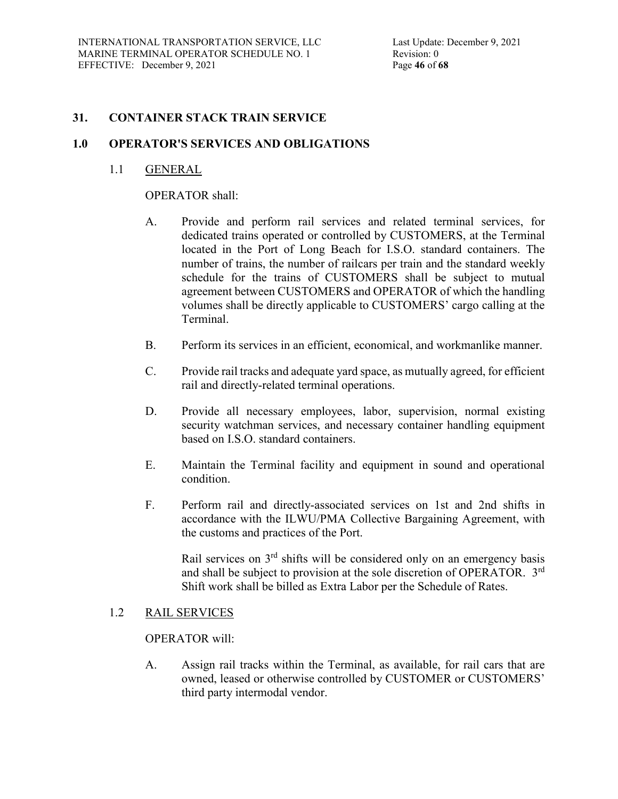### **31. CONTAINER STACK TRAIN SERVICE**

### **1.0 OPERATOR'S SERVICES AND OBLIGATIONS**

### 1.1 GENERAL

#### OPERATOR shall:

- A. Provide and perform rail services and related terminal services, for dedicated trains operated or controlled by CUSTOMERS, at the Terminal located in the Port of Long Beach for I.S.O. standard containers. The number of trains, the number of railcars per train and the standard weekly schedule for the trains of CUSTOMERS shall be subject to mutual agreement between CUSTOMERS and OPERATOR of which the handling volumes shall be directly applicable to CUSTOMERS' cargo calling at the Terminal.
- B. Perform its services in an efficient, economical, and workmanlike manner.
- C. Provide rail tracks and adequate yard space, as mutually agreed, for efficient rail and directly-related terminal operations.
- D. Provide all necessary employees, labor, supervision, normal existing security watchman services, and necessary container handling equipment based on I.S.O. standard containers.
- E. Maintain the Terminal facility and equipment in sound and operational condition.
- F. Perform rail and directly-associated services on 1st and 2nd shifts in accordance with the ILWU/PMA Collective Bargaining Agreement, with the customs and practices of the Port.

Rail services on 3<sup>rd</sup> shifts will be considered only on an emergency basis and shall be subject to provision at the sole discretion of OPERATOR. 3rd Shift work shall be billed as Extra Labor per the Schedule of Rates.

### 1.2 RAIL SERVICES

### OPERATOR will:

A. Assign rail tracks within the Terminal, as available, for rail cars that are owned, leased or otherwise controlled by CUSTOMER or CUSTOMERS' third party intermodal vendor.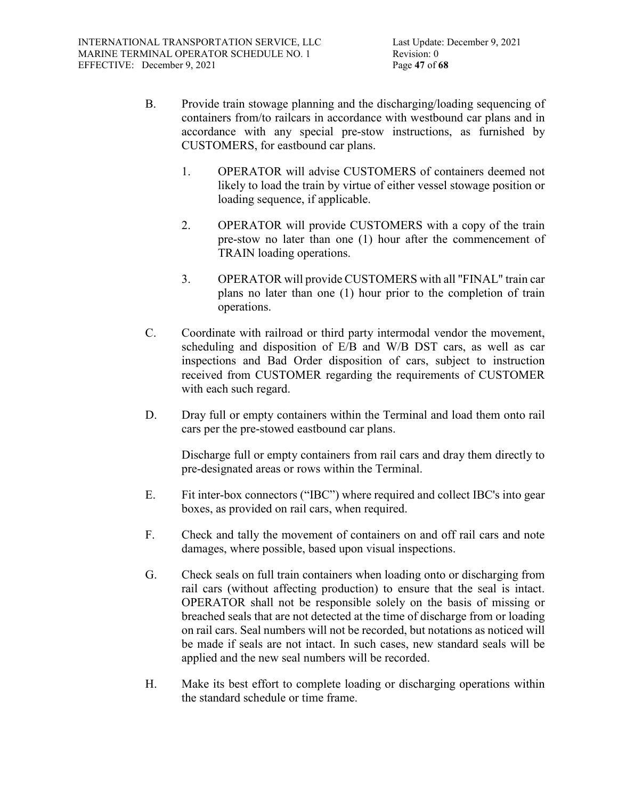- B. Provide train stowage planning and the discharging/loading sequencing of containers from/to railcars in accordance with westbound car plans and in accordance with any special pre-stow instructions, as furnished by CUSTOMERS, for eastbound car plans.
	- 1. OPERATOR will advise CUSTOMERS of containers deemed not likely to load the train by virtue of either vessel stowage position or loading sequence, if applicable.
	- 2. OPERATOR will provide CUSTOMERS with a copy of the train pre-stow no later than one (1) hour after the commencement of TRAIN loading operations.
	- 3. OPERATOR will provide CUSTOMERS with all "FINAL" train car plans no later than one (1) hour prior to the completion of train operations.
- C. Coordinate with railroad or third party intermodal vendor the movement, scheduling and disposition of E/B and W/B DST cars, as well as car inspections and Bad Order disposition of cars, subject to instruction received from CUSTOMER regarding the requirements of CUSTOMER with each such regard.
- D. Dray full or empty containers within the Terminal and load them onto rail cars per the pre-stowed eastbound car plans.

Discharge full or empty containers from rail cars and dray them directly to pre-designated areas or rows within the Terminal.

- E. Fit inter-box connectors ("IBC") where required and collect IBC's into gear boxes, as provided on rail cars, when required.
- F. Check and tally the movement of containers on and off rail cars and note damages, where possible, based upon visual inspections.
- G. Check seals on full train containers when loading onto or discharging from rail cars (without affecting production) to ensure that the seal is intact. OPERATOR shall not be responsible solely on the basis of missing or breached seals that are not detected at the time of discharge from or loading on rail cars. Seal numbers will not be recorded, but notations as noticed will be made if seals are not intact. In such cases, new standard seals will be applied and the new seal numbers will be recorded.
- H. Make its best effort to complete loading or discharging operations within the standard schedule or time frame.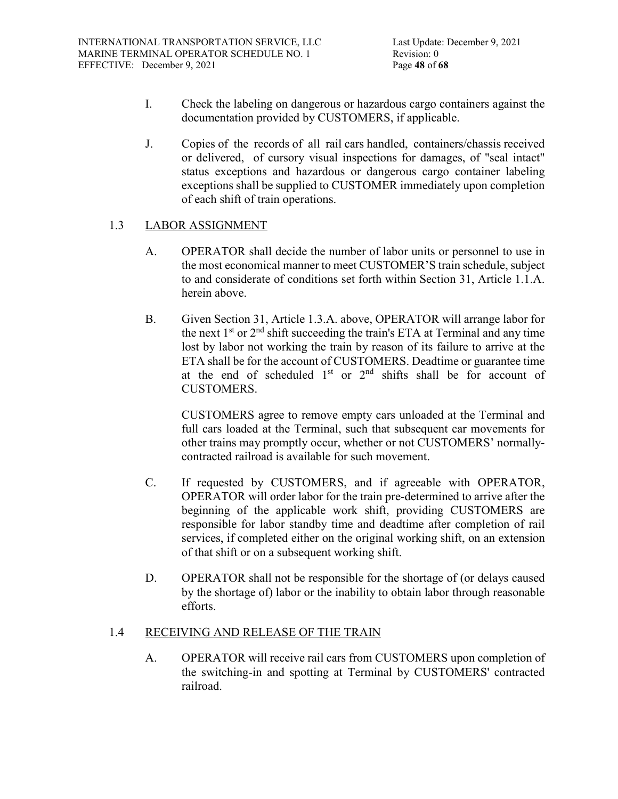- I. Check the labeling on dangerous or hazardous cargo containers against the documentation provided by CUSTOMERS, if applicable.
- J. Copies of the records of all rail cars handled, containers/chassis received or delivered, of cursory visual inspections for damages, of "seal intact" status exceptions and hazardous or dangerous cargo container labeling exceptions shall be supplied to CUSTOMER immediately upon completion of each shift of train operations.

# 1.3 LABOR ASSIGNMENT

- A. OPERATOR shall decide the number of labor units or personnel to use in the most economical manner to meet CUSTOMER'S train schedule, subject to and considerate of conditions set forth within Section 31, Article 1.1.A. herein above.
- B. Given Section 31, Article 1.3.A. above, OPERATOR will arrange labor for the next  $1<sup>st</sup>$  or  $2<sup>nd</sup>$  shift succeeding the train's ETA at Terminal and any time lost by labor not working the train by reason of its failure to arrive at the ETA shall be for the account of CUSTOMERS. Deadtime or guarantee time at the end of scheduled  $1<sup>st</sup>$  or  $2<sup>nd</sup>$  shifts shall be for account of CUSTOMERS.

CUSTOMERS agree to remove empty cars unloaded at the Terminal and full cars loaded at the Terminal, such that subsequent car movements for other trains may promptly occur, whether or not CUSTOMERS' normallycontracted railroad is available for such movement.

- C. If requested by CUSTOMERS, and if agreeable with OPERATOR, OPERATOR will order labor for the train pre-determined to arrive after the beginning of the applicable work shift, providing CUSTOMERS are responsible for labor standby time and deadtime after completion of rail services, if completed either on the original working shift, on an extension of that shift or on a subsequent working shift.
- D. OPERATOR shall not be responsible for the shortage of (or delays caused by the shortage of) labor or the inability to obtain labor through reasonable efforts.

# 1.4 RECEIVING AND RELEASE OF THE TRAIN

A. OPERATOR will receive rail cars from CUSTOMERS upon completion of the switching-in and spotting at Terminal by CUSTOMERS' contracted railroad.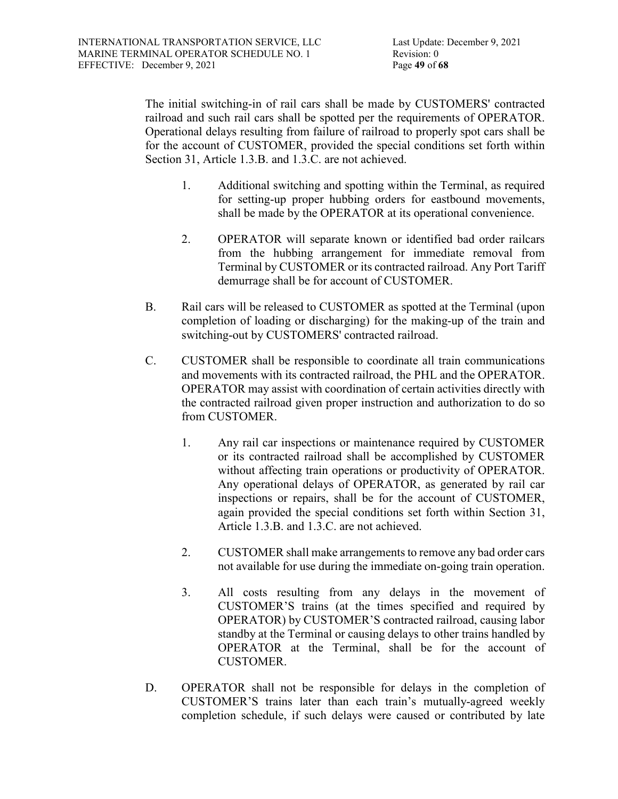The initial switching-in of rail cars shall be made by CUSTOMERS' contracted railroad and such rail cars shall be spotted per the requirements of OPERATOR. Operational delays resulting from failure of railroad to properly spot cars shall be for the account of CUSTOMER, provided the special conditions set forth within Section 31, Article 1.3.B. and 1.3.C. are not achieved.

- 1. Additional switching and spotting within the Terminal, as required for setting-up proper hubbing orders for eastbound movements, shall be made by the OPERATOR at its operational convenience.
- 2. OPERATOR will separate known or identified bad order railcars from the hubbing arrangement for immediate removal from Terminal by CUSTOMER or its contracted railroad. Any Port Tariff demurrage shall be for account of CUSTOMER.
- B. Rail cars will be released to CUSTOMER as spotted at the Terminal (upon completion of loading or discharging) for the making-up of the train and switching-out by CUSTOMERS' contracted railroad.
- C. CUSTOMER shall be responsible to coordinate all train communications and movements with its contracted railroad, the PHL and the OPERATOR. OPERATOR may assist with coordination of certain activities directly with the contracted railroad given proper instruction and authorization to do so from CUSTOMER.
	- 1. Any rail car inspections or maintenance required by CUSTOMER or its contracted railroad shall be accomplished by CUSTOMER without affecting train operations or productivity of OPERATOR. Any operational delays of OPERATOR, as generated by rail car inspections or repairs, shall be for the account of CUSTOMER, again provided the special conditions set forth within Section 31, Article 1.3.B. and 1.3.C. are not achieved.
	- 2. CUSTOMER shall make arrangements to remove any bad order cars not available for use during the immediate on-going train operation.
	- 3. All costs resulting from any delays in the movement of CUSTOMER'S trains (at the times specified and required by OPERATOR) by CUSTOMER'S contracted railroad, causing labor standby at the Terminal or causing delays to other trains handled by OPERATOR at the Terminal, shall be for the account of CUSTOMER.
- D. OPERATOR shall not be responsible for delays in the completion of CUSTOMER'S trains later than each train's mutually-agreed weekly completion schedule, if such delays were caused or contributed by late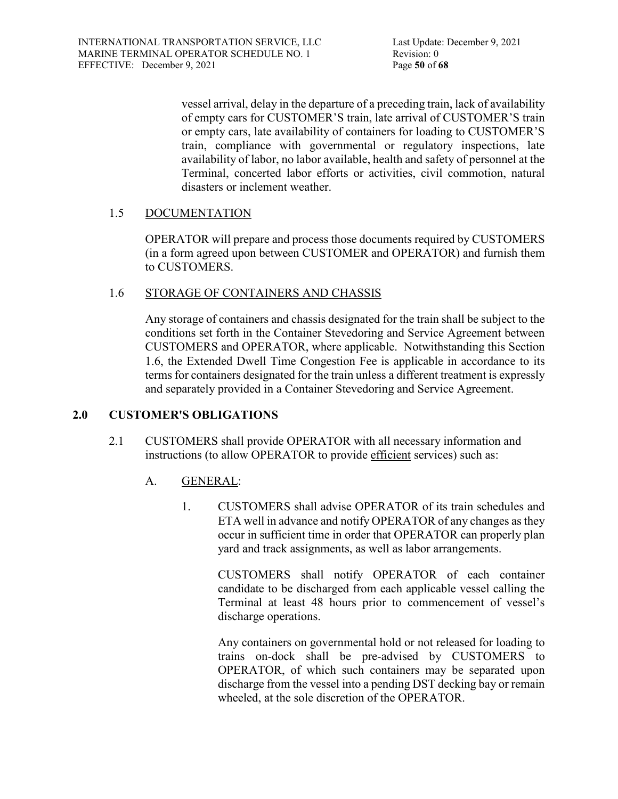vessel arrival, delay in the departure of a preceding train, lack of availability of empty cars for CUSTOMER'S train, late arrival of CUSTOMER'S train or empty cars, late availability of containers for loading to CUSTOMER'S train, compliance with governmental or regulatory inspections, late availability of labor, no labor available, health and safety of personnel at the Terminal, concerted labor efforts or activities, civil commotion, natural disasters or inclement weather.

# 1.5 DOCUMENTATION

OPERATOR will prepare and process those documents required by CUSTOMERS (in a form agreed upon between CUSTOMER and OPERATOR) and furnish them to CUSTOMERS.

### 1.6 STORAGE OF CONTAINERS AND CHASSIS

Any storage of containers and chassis designated for the train shall be subject to the conditions set forth in the Container Stevedoring and Service Agreement between CUSTOMERS and OPERATOR, where applicable. Notwithstanding this Section 1.6, the Extended Dwell Time Congestion Fee is applicable in accordance to its terms for containers designated for the train unless a different treatment is expressly and separately provided in a Container Stevedoring and Service Agreement.

# **2.0 CUSTOMER'S OBLIGATIONS**

- 2.1 CUSTOMERS shall provide OPERATOR with all necessary information and instructions (to allow OPERATOR to provide efficient services) such as:
	- A. GENERAL:
		- 1. CUSTOMERS shall advise OPERATOR of its train schedules and ETA well in advance and notify OPERATOR of any changes as they occur in sufficient time in order that OPERATOR can properly plan yard and track assignments, as well as labor arrangements.

CUSTOMERS shall notify OPERATOR of each container candidate to be discharged from each applicable vessel calling the Terminal at least 48 hours prior to commencement of vessel's discharge operations.

Any containers on governmental hold or not released for loading to trains on-dock shall be pre-advised by CUSTOMERS to OPERATOR, of which such containers may be separated upon discharge from the vessel into a pending DST decking bay or remain wheeled, at the sole discretion of the OPERATOR.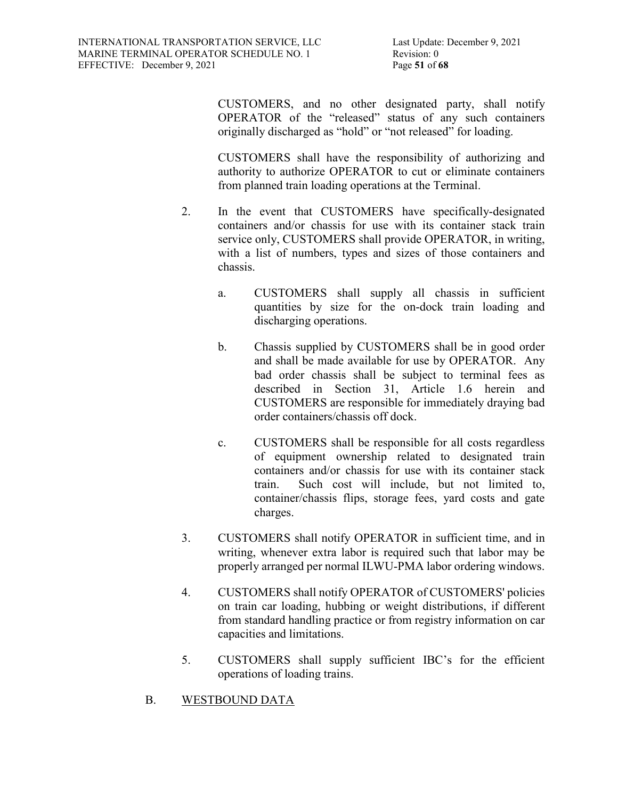Last Update: December 9, 2021 Revision: 0

CUSTOMERS, and no other designated party, shall notify OPERATOR of the "released" status of any such containers originally discharged as "hold" or "not released" for loading.

CUSTOMERS shall have the responsibility of authorizing and authority to authorize OPERATOR to cut or eliminate containers from planned train loading operations at the Terminal.

- 2. In the event that CUSTOMERS have specifically-designated containers and/or chassis for use with its container stack train service only, CUSTOMERS shall provide OPERATOR, in writing, with a list of numbers, types and sizes of those containers and chassis.
	- a. CUSTOMERS shall supply all chassis in sufficient quantities by size for the on-dock train loading and discharging operations.
	- b. Chassis supplied by CUSTOMERS shall be in good order and shall be made available for use by OPERATOR. Any bad order chassis shall be subject to terminal fees as described in Section 31, Article 1.6 herein and CUSTOMERS are responsible for immediately draying bad order containers/chassis off dock.
	- c. CUSTOMERS shall be responsible for all costs regardless of equipment ownership related to designated train containers and/or chassis for use with its container stack train. Such cost will include, but not limited to, container/chassis flips, storage fees, yard costs and gate charges.
- 3. CUSTOMERS shall notify OPERATOR in sufficient time, and in writing, whenever extra labor is required such that labor may be properly arranged per normal ILWU-PMA labor ordering windows.
- 4. CUSTOMERS shall notify OPERATOR of CUSTOMERS' policies on train car loading, hubbing or weight distributions, if different from standard handling practice or from registry information on car capacities and limitations.
- 5. CUSTOMERS shall supply sufficient IBC's for the efficient operations of loading trains.
- B. WESTBOUND DATA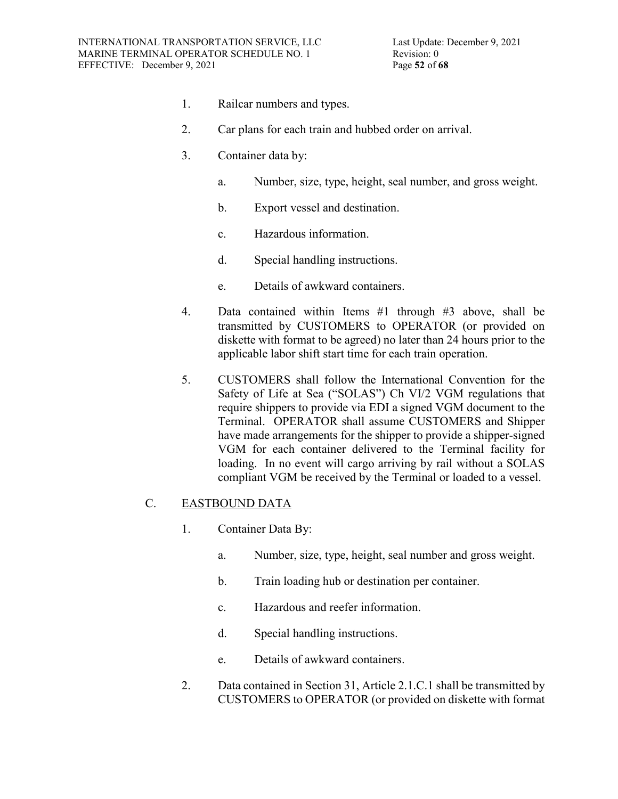- 1. Railcar numbers and types.
- 2. Car plans for each train and hubbed order on arrival.
- 3. Container data by:
	- a. Number, size, type, height, seal number, and gross weight.
	- b. Export vessel and destination.
	- c. Hazardous information.
	- d. Special handling instructions.
	- e. Details of awkward containers.
- 4. Data contained within Items #1 through #3 above, shall be transmitted by CUSTOMERS to OPERATOR (or provided on diskette with format to be agreed) no later than 24 hours prior to the applicable labor shift start time for each train operation.
- 5. CUSTOMERS shall follow the International Convention for the Safety of Life at Sea ("SOLAS") Ch VI/2 VGM regulations that require shippers to provide via EDI a signed VGM document to the Terminal. OPERATOR shall assume CUSTOMERS and Shipper have made arrangements for the shipper to provide a shipper-signed VGM for each container delivered to the Terminal facility for loading. In no event will cargo arriving by rail without a SOLAS compliant VGM be received by the Terminal or loaded to a vessel.

# C. EASTBOUND DATA

- 1. Container Data By:
	- a. Number, size, type, height, seal number and gross weight.
	- b. Train loading hub or destination per container.
	- c. Hazardous and reefer information.
	- d. Special handling instructions.
	- e. Details of awkward containers.
- 2. Data contained in Section 31, Article 2.1.C.1 shall be transmitted by CUSTOMERS to OPERATOR (or provided on diskette with format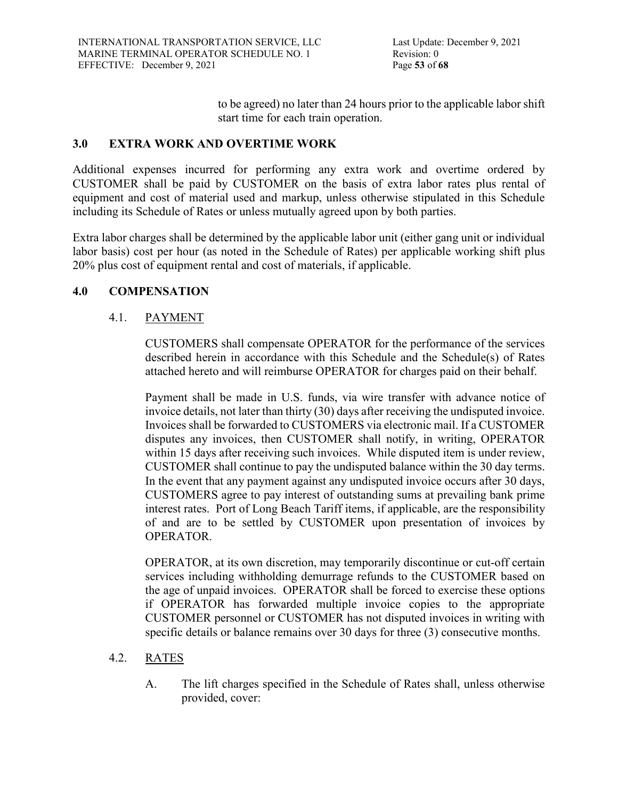to be agreed) no later than 24 hours prior to the applicable labor shift start time for each train operation.

# **3.0 EXTRA WORK AND OVERTIME WORK**

Additional expenses incurred for performing any extra work and overtime ordered by CUSTOMER shall be paid by CUSTOMER on the basis of extra labor rates plus rental of equipment and cost of material used and markup, unless otherwise stipulated in this Schedule including its Schedule of Rates or unless mutually agreed upon by both parties.

Extra labor charges shall be determined by the applicable labor unit (either gang unit or individual labor basis) cost per hour (as noted in the Schedule of Rates) per applicable working shift plus 20% plus cost of equipment rental and cost of materials, if applicable.

# **4.0 COMPENSATION**

# 4.1. PAYMENT

CUSTOMERS shall compensate OPERATOR for the performance of the services described herein in accordance with this Schedule and the Schedule(s) of Rates attached hereto and will reimburse OPERATOR for charges paid on their behalf.

Payment shall be made in U.S. funds, via wire transfer with advance notice of invoice details, not later than thirty (30) days after receiving the undisputed invoice. Invoices shall be forwarded to CUSTOMERS via electronic mail. If a CUSTOMER disputes any invoices, then CUSTOMER shall notify, in writing, OPERATOR within 15 days after receiving such invoices. While disputed item is under review, CUSTOMER shall continue to pay the undisputed balance within the 30 day terms. In the event that any payment against any undisputed invoice occurs after 30 days, CUSTOMERS agree to pay interest of outstanding sums at prevailing bank prime interest rates. Port of Long Beach Tariff items, if applicable, are the responsibility of and are to be settled by CUSTOMER upon presentation of invoices by OPERATOR.

OPERATOR, at its own discretion, may temporarily discontinue or cut-off certain services including withholding demurrage refunds to the CUSTOMER based on the age of unpaid invoices. OPERATOR shall be forced to exercise these options if OPERATOR has forwarded multiple invoice copies to the appropriate CUSTOMER personnel or CUSTOMER has not disputed invoices in writing with specific details or balance remains over 30 days for three (3) consecutive months.

# 4.2. RATES

A. The lift charges specified in the Schedule of Rates shall, unless otherwise provided, cover: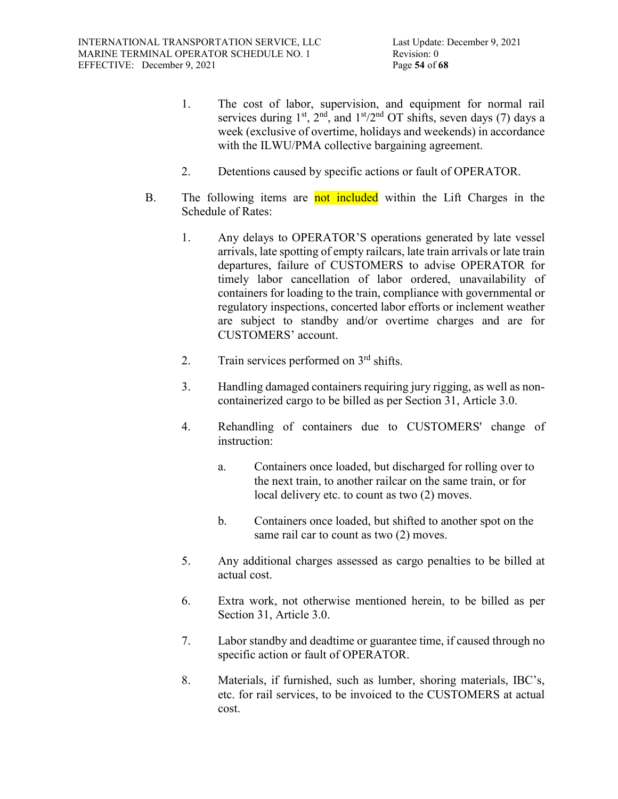- 1. The cost of labor, supervision, and equipment for normal rail services during  $1^{st}$ ,  $2^{nd}$ , and  $1^{st}/2^{nd}$  OT shifts, seven days (7) days a week (exclusive of overtime, holidays and weekends) in accordance with the ILWU/PMA collective bargaining agreement.
- 2. Detentions caused by specific actions or fault of OPERATOR.
- B. The following items are not included within the Lift Charges in the Schedule of Rates:
	- 1. Any delays to OPERATOR'S operations generated by late vessel arrivals, late spotting of empty railcars, late train arrivals or late train departures, failure of CUSTOMERS to advise OPERATOR for timely labor cancellation of labor ordered, unavailability of containers for loading to the train, compliance with governmental or regulatory inspections, concerted labor efforts or inclement weather are subject to standby and/or overtime charges and are for CUSTOMERS' account.
	- 2. Train services performed on  $3<sup>rd</sup>$  shifts.
	- 3. Handling damaged containers requiring jury rigging, as well as noncontainerized cargo to be billed as per Section 31, Article 3.0.
	- 4. Rehandling of containers due to CUSTOMERS' change of instruction:
		- a. Containers once loaded, but discharged for rolling over to the next train, to another railcar on the same train, or for local delivery etc. to count as two (2) moves.
		- b. Containers once loaded, but shifted to another spot on the same rail car to count as two  $(2)$  moves.
	- 5. Any additional charges assessed as cargo penalties to be billed at actual cost.
	- 6. Extra work, not otherwise mentioned herein, to be billed as per Section 31, Article 3.0.
	- 7. Labor standby and deadtime or guarantee time, if caused through no specific action or fault of OPERATOR.
	- 8. Materials, if furnished, such as lumber, shoring materials, IBC's, etc. for rail services, to be invoiced to the CUSTOMERS at actual cost.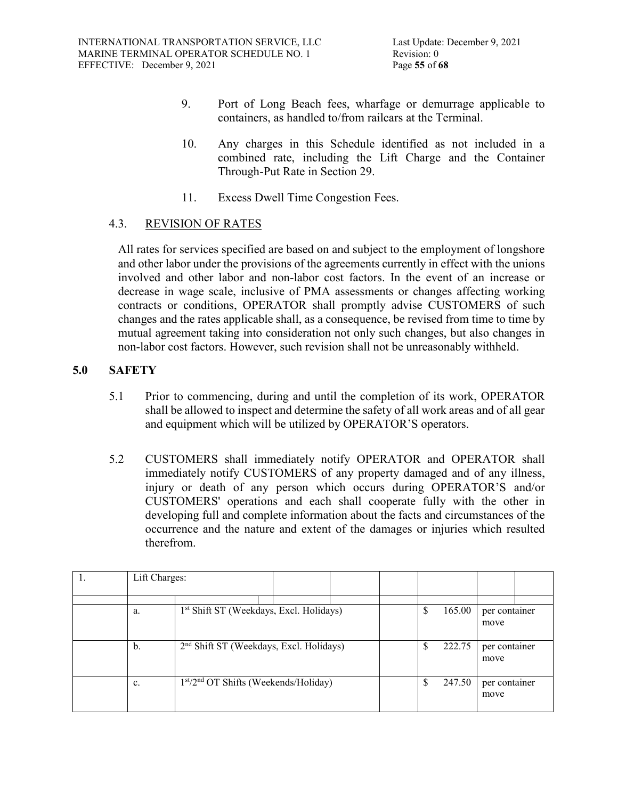- 9. Port of Long Beach fees, wharfage or demurrage applicable to containers, as handled to/from railcars at the Terminal.
- 10. Any charges in this Schedule identified as not included in a combined rate, including the Lift Charge and the Container Through-Put Rate in Section 29.
- 11. Excess Dwell Time Congestion Fees.

# 4.3. REVISION OF RATES

All rates for services specified are based on and subject to the employment of longshore and other labor under the provisions of the agreements currently in effect with the unions involved and other labor and non-labor cost factors. In the event of an increase or decrease in wage scale, inclusive of PMA assessments or changes affecting working contracts or conditions, OPERATOR shall promptly advise CUSTOMERS of such changes and the rates applicable shall, as a consequence, be revised from time to time by mutual agreement taking into consideration not only such changes, but also changes in non-labor cost factors. However, such revision shall not be unreasonably withheld.

# **5.0 SAFETY**

- 5.1 Prior to commencing, during and until the completion of its work, OPERATOR shall be allowed to inspect and determine the safety of all work areas and of all gear and equipment which will be utilized by OPERATOR'S operators.
- 5.2 CUSTOMERS shall immediately notify OPERATOR and OPERATOR shall immediately notify CUSTOMERS of any property damaged and of any illness, injury or death of any person which occurs during OPERATOR'S and/or CUSTOMERS' operations and each shall cooperate fully with the other in developing full and complete information about the facts and circumstances of the occurrence and the nature and extent of the damages or injuries which resulted therefrom.

| Lift Charges: |                                                     |  |     |        |                       |  |
|---------------|-----------------------------------------------------|--|-----|--------|-----------------------|--|
|               |                                                     |  |     |        |                       |  |
| a.            | 1 <sup>st</sup> Shift ST (Weekdays, Excl. Holidays) |  | Ф   | 165.00 | per container<br>move |  |
| b.            | 2 <sup>nd</sup> Shift ST (Weekdays, Excl. Holidays) |  | S   | 222.75 | per container<br>move |  |
| c.            | $1st/2nd$ OT Shifts (Weekends/Holiday)              |  | \$. | 247.50 | per container<br>move |  |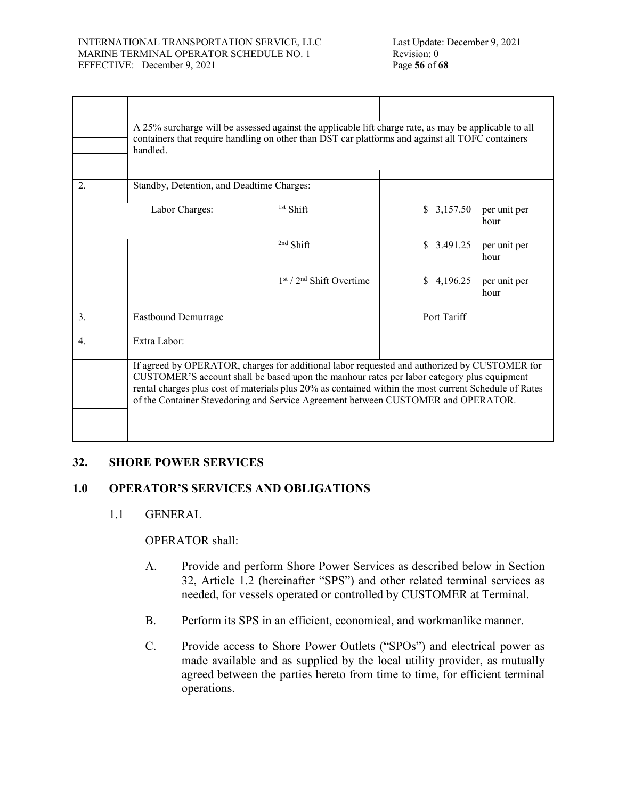#### INTERNATIONAL TRANSPORTATION SERVICE, LLC MARINE TERMINAL OPERATOR SCHEDULE NO. 1 EFFECTIVE: December 9, 2021 Page **56** of **68**

|    | handled.                                                                                                                                                                                                                                                                                                                                                                                 | A 25% surcharge will be assessed against the applicable lift charge rate, as may be applicable to all<br>containers that require handling on other than DST car platforms and against all TOFC containers |                            |  |  |                |                      |  |  |
|----|------------------------------------------------------------------------------------------------------------------------------------------------------------------------------------------------------------------------------------------------------------------------------------------------------------------------------------------------------------------------------------------|-----------------------------------------------------------------------------------------------------------------------------------------------------------------------------------------------------------|----------------------------|--|--|----------------|----------------------|--|--|
| 2. |                                                                                                                                                                                                                                                                                                                                                                                          | Standby, Detention, and Deadtime Charges:                                                                                                                                                                 |                            |  |  |                |                      |  |  |
|    |                                                                                                                                                                                                                                                                                                                                                                                          |                                                                                                                                                                                                           |                            |  |  |                |                      |  |  |
|    |                                                                                                                                                                                                                                                                                                                                                                                          | Labor Charges:                                                                                                                                                                                            | <sup>1st</sup> Shift       |  |  | \$3,157.50     | per unit per<br>hour |  |  |
|    |                                                                                                                                                                                                                                                                                                                                                                                          |                                                                                                                                                                                                           | <sup>2nd</sup> Shift       |  |  | \$3.491.25     | per unit per<br>hour |  |  |
|    |                                                                                                                                                                                                                                                                                                                                                                                          |                                                                                                                                                                                                           | $1st / 2nd Shift Overtime$ |  |  | 4,196.25<br>\$ | per unit per<br>hour |  |  |
| 3. |                                                                                                                                                                                                                                                                                                                                                                                          | Eastbound Demurrage                                                                                                                                                                                       |                            |  |  | Port Tariff    |                      |  |  |
| 4. | Extra Labor:                                                                                                                                                                                                                                                                                                                                                                             |                                                                                                                                                                                                           |                            |  |  |                |                      |  |  |
|    | If agreed by OPERATOR, charges for additional labor requested and authorized by CUSTOMER for<br>CUSTOMER'S account shall be based upon the manhour rates per labor category plus equipment<br>rental charges plus cost of materials plus 20% as contained within the most current Schedule of Rates<br>of the Container Stevedoring and Service Agreement between CUSTOMER and OPERATOR. |                                                                                                                                                                                                           |                            |  |  |                |                      |  |  |

# **32. SHORE POWER SERVICES**

# **1.0 OPERATOR'S SERVICES AND OBLIGATIONS**

# 1.1 GENERAL

OPERATOR shall:

- A. Provide and perform Shore Power Services as described below in Section 32, Article 1.2 (hereinafter "SPS") and other related terminal services as needed, for vessels operated or controlled by CUSTOMER at Terminal.
- B. Perform its SPS in an efficient, economical, and workmanlike manner.
- C. Provide access to Shore Power Outlets ("SPOs") and electrical power as made available and as supplied by the local utility provider, as mutually agreed between the parties hereto from time to time, for efficient terminal operations.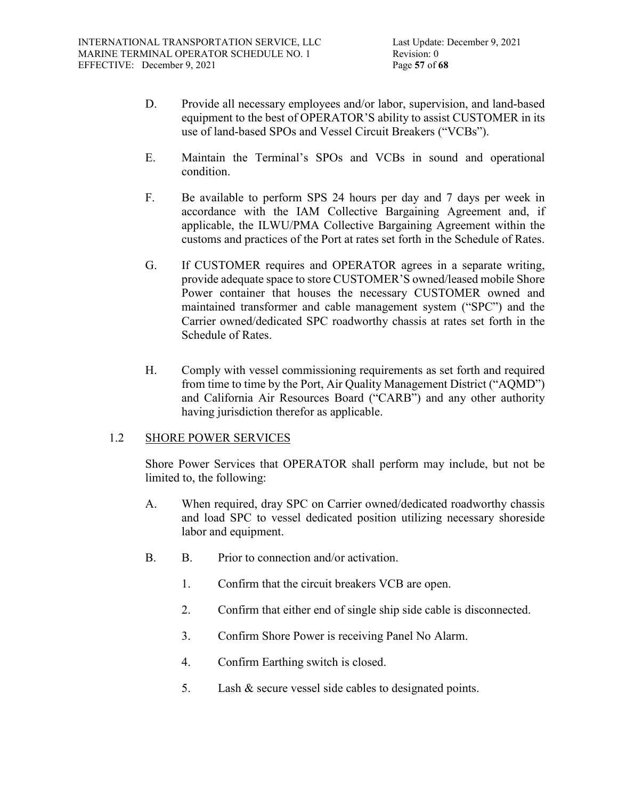- D. Provide all necessary employees and/or labor, supervision, and land-based equipment to the best of OPERATOR'S ability to assist CUSTOMER in its use of land-based SPOs and Vessel Circuit Breakers ("VCBs").
- E. Maintain the Terminal's SPOs and VCBs in sound and operational condition.
- F. Be available to perform SPS 24 hours per day and 7 days per week in accordance with the IAM Collective Bargaining Agreement and, if applicable, the ILWU/PMA Collective Bargaining Agreement within the customs and practices of the Port at rates set forth in the Schedule of Rates.
- G. If CUSTOMER requires and OPERATOR agrees in a separate writing, provide adequate space to store CUSTOMER'S owned/leased mobile Shore Power container that houses the necessary CUSTOMER owned and maintained transformer and cable management system ("SPC") and the Carrier owned/dedicated SPC roadworthy chassis at rates set forth in the Schedule of Rates.
- H. Comply with vessel commissioning requirements as set forth and required from time to time by the Port, Air Quality Management District ("AQMD") and California Air Resources Board ("CARB") and any other authority having jurisdiction therefor as applicable.

# 1.2 SHORE POWER SERVICES

Shore Power Services that OPERATOR shall perform may include, but not be limited to, the following:

- A. When required, dray SPC on Carrier owned/dedicated roadworthy chassis and load SPC to vessel dedicated position utilizing necessary shoreside labor and equipment.
- B. B. Prior to connection and/or activation.
	- 1. Confirm that the circuit breakers VCB are open.
	- 2. Confirm that either end of single ship side cable is disconnected.
	- 3. Confirm Shore Power is receiving Panel No Alarm.
	- 4. Confirm Earthing switch is closed.
	- 5. Lash & secure vessel side cables to designated points.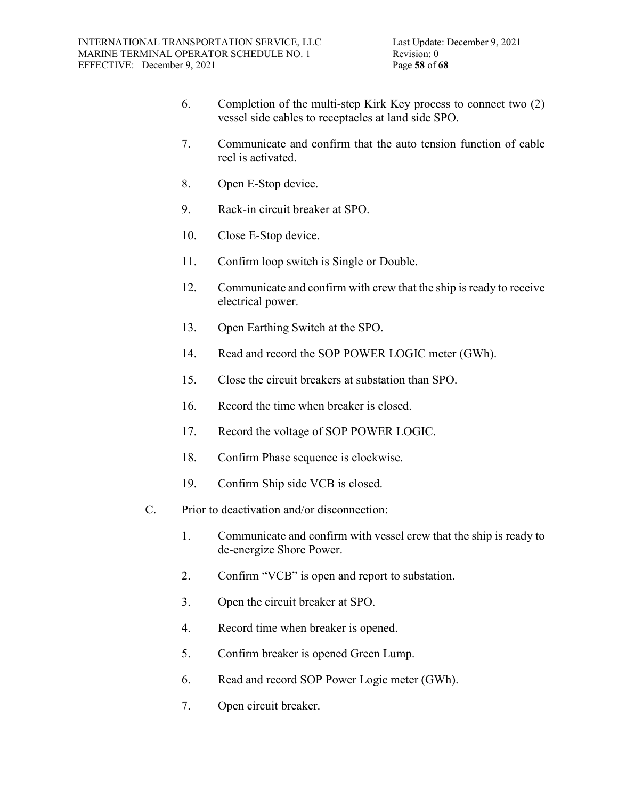- 6. Completion of the multi-step Kirk Key process to connect two (2) vessel side cables to receptacles at land side SPO.
- 7. Communicate and confirm that the auto tension function of cable reel is activated.
- 8. Open E-Stop device.
- 9. Rack-in circuit breaker at SPO.
- 10. Close E-Stop device.
- 11. Confirm loop switch is Single or Double.
- 12. Communicate and confirm with crew that the ship is ready to receive electrical power.
- 13. Open Earthing Switch at the SPO.
- 14. Read and record the SOP POWER LOGIC meter (GWh).
- 15. Close the circuit breakers at substation than SPO.
- 16. Record the time when breaker is closed.
- 17. Record the voltage of SOP POWER LOGIC.
- 18. Confirm Phase sequence is clockwise.
- 19. Confirm Ship side VCB is closed.
- C. Prior to deactivation and/or disconnection:
	- 1. Communicate and confirm with vessel crew that the ship is ready to de-energize Shore Power.
	- 2. Confirm "VCB" is open and report to substation.
	- 3. Open the circuit breaker at SPO.
	- 4. Record time when breaker is opened.
	- 5. Confirm breaker is opened Green Lump.
	- 6. Read and record SOP Power Logic meter (GWh).
	- 7. Open circuit breaker.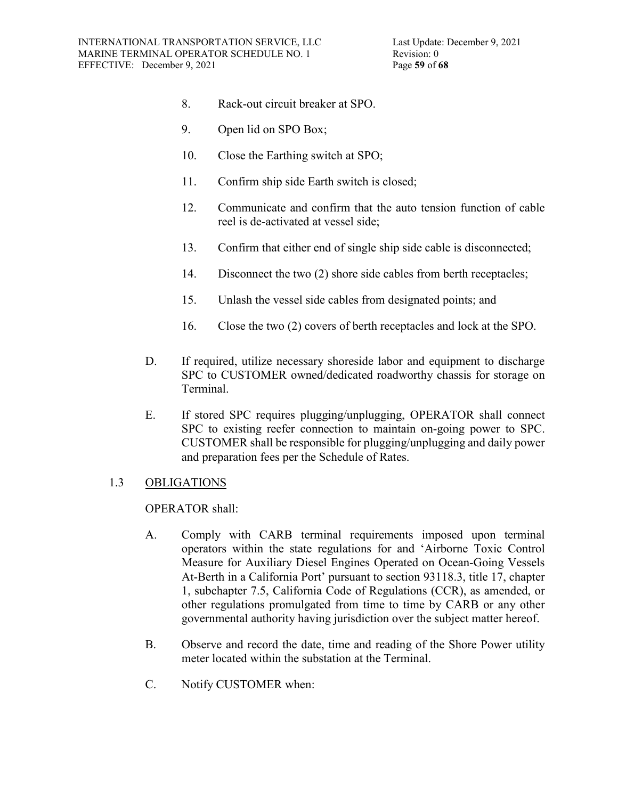- 8. Rack-out circuit breaker at SPO.
- 9. Open lid on SPO Box;
- 10. Close the Earthing switch at SPO;
- 11. Confirm ship side Earth switch is closed;
- 12. Communicate and confirm that the auto tension function of cable reel is de-activated at vessel side;
- 13. Confirm that either end of single ship side cable is disconnected;
- 14. Disconnect the two (2) shore side cables from berth receptacles;
- 15. Unlash the vessel side cables from designated points; and
- 16. Close the two (2) covers of berth receptacles and lock at the SPO.
- D. If required, utilize necessary shoreside labor and equipment to discharge SPC to CUSTOMER owned/dedicated roadworthy chassis for storage on Terminal.
- E. If stored SPC requires plugging/unplugging, OPERATOR shall connect SPC to existing reefer connection to maintain on-going power to SPC. CUSTOMER shall be responsible for plugging/unplugging and daily power and preparation fees per the Schedule of Rates.

# 1.3 OBLIGATIONS

### OPERATOR shall:

- A. Comply with CARB terminal requirements imposed upon terminal operators within the state regulations for and 'Airborne Toxic Control Measure for Auxiliary Diesel Engines Operated on Ocean-Going Vessels At-Berth in a California Port' pursuant to section 93118.3, title 17, chapter 1, subchapter 7.5, California Code of Regulations (CCR), as amended, or other regulations promulgated from time to time by CARB or any other governmental authority having jurisdiction over the subject matter hereof.
- B. Observe and record the date, time and reading of the Shore Power utility meter located within the substation at the Terminal.
- C. Notify CUSTOMER when: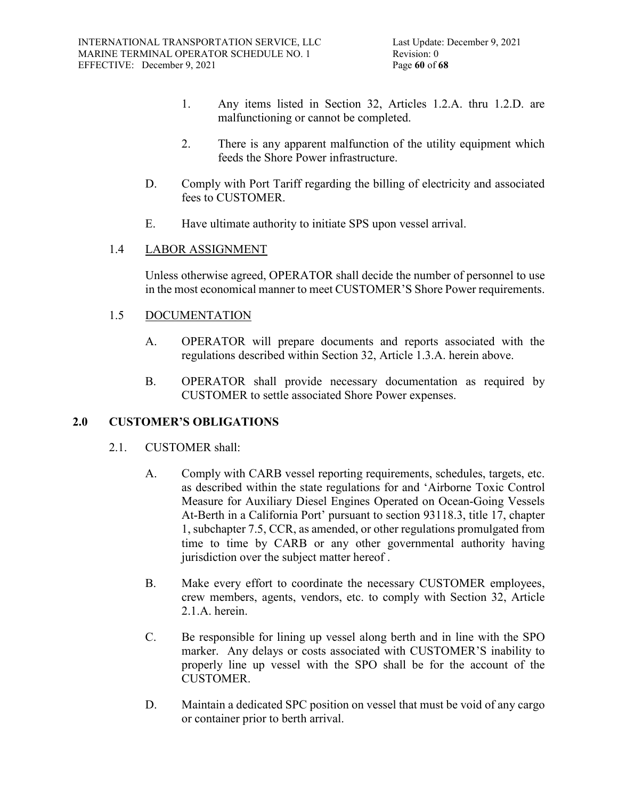- 1. Any items listed in Section 32, Articles 1.2.A. thru 1.2.D. are malfunctioning or cannot be completed.
- 2. There is any apparent malfunction of the utility equipment which feeds the Shore Power infrastructure.
- D. Comply with Port Tariff regarding the billing of electricity and associated fees to CUSTOMER.
- E. Have ultimate authority to initiate SPS upon vessel arrival.

# 1.4 LABOR ASSIGNMENT

Unless otherwise agreed, OPERATOR shall decide the number of personnel to use in the most economical manner to meet CUSTOMER'S Shore Power requirements.

# 1.5 DOCUMENTATION

- A. OPERATOR will prepare documents and reports associated with the regulations described within Section 32, Article 1.3.A. herein above.
- B. OPERATOR shall provide necessary documentation as required by CUSTOMER to settle associated Shore Power expenses.

# **2.0 CUSTOMER'S OBLIGATIONS**

- 2.1. CUSTOMER shall:
	- A. Comply with CARB vessel reporting requirements, schedules, targets, etc. as described within the state regulations for and 'Airborne Toxic Control Measure for Auxiliary Diesel Engines Operated on Ocean-Going Vessels At-Berth in a California Port' pursuant to section 93118.3, title 17, chapter 1, subchapter 7.5, CCR, as amended, or other regulations promulgated from time to time by CARB or any other governmental authority having jurisdiction over the subject matter hereof.
	- B. Make every effort to coordinate the necessary CUSTOMER employees, crew members, agents, vendors, etc. to comply with Section 32, Article 2.1.A. herein.
	- C. Be responsible for lining up vessel along berth and in line with the SPO marker. Any delays or costs associated with CUSTOMER'S inability to properly line up vessel with the SPO shall be for the account of the CUSTOMER.
	- D. Maintain a dedicated SPC position on vessel that must be void of any cargo or container prior to berth arrival.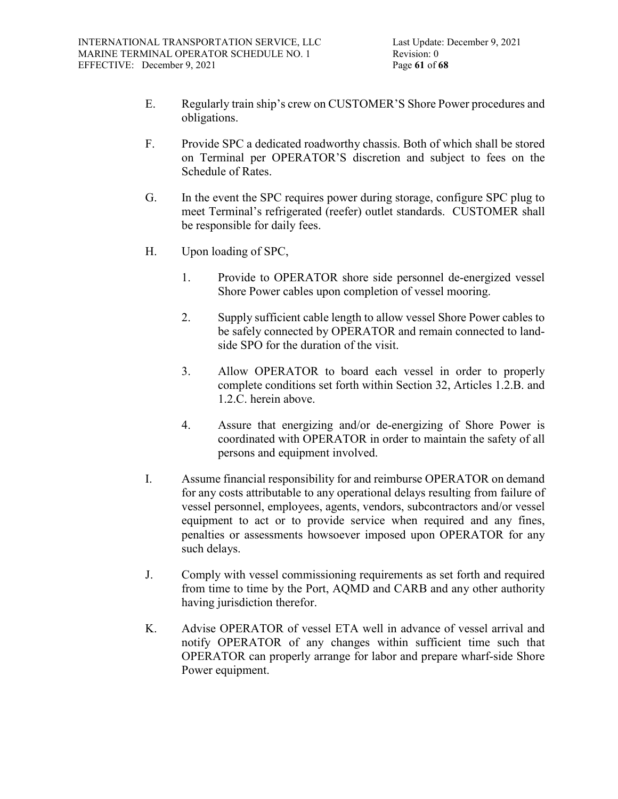- E. Regularly train ship's crew on CUSTOMER'S Shore Power procedures and obligations.
- F. Provide SPC a dedicated roadworthy chassis. Both of which shall be stored on Terminal per OPERATOR'S discretion and subject to fees on the Schedule of Rates.
- G. In the event the SPC requires power during storage, configure SPC plug to meet Terminal's refrigerated (reefer) outlet standards. CUSTOMER shall be responsible for daily fees.
- H. Upon loading of SPC,
	- 1. Provide to OPERATOR shore side personnel de-energized vessel Shore Power cables upon completion of vessel mooring.
	- 2. Supply sufficient cable length to allow vessel Shore Power cables to be safely connected by OPERATOR and remain connected to landside SPO for the duration of the visit.
	- 3. Allow OPERATOR to board each vessel in order to properly complete conditions set forth within Section 32, Articles 1.2.B. and 1.2.C. herein above.
	- 4. Assure that energizing and/or de-energizing of Shore Power is coordinated with OPERATOR in order to maintain the safety of all persons and equipment involved.
- I. Assume financial responsibility for and reimburse OPERATOR on demand for any costs attributable to any operational delays resulting from failure of vessel personnel, employees, agents, vendors, subcontractors and/or vessel equipment to act or to provide service when required and any fines, penalties or assessments howsoever imposed upon OPERATOR for any such delays.
- J. Comply with vessel commissioning requirements as set forth and required from time to time by the Port, AQMD and CARB and any other authority having jurisdiction therefor.
- K. Advise OPERATOR of vessel ETA well in advance of vessel arrival and notify OPERATOR of any changes within sufficient time such that OPERATOR can properly arrange for labor and prepare wharf-side Shore Power equipment.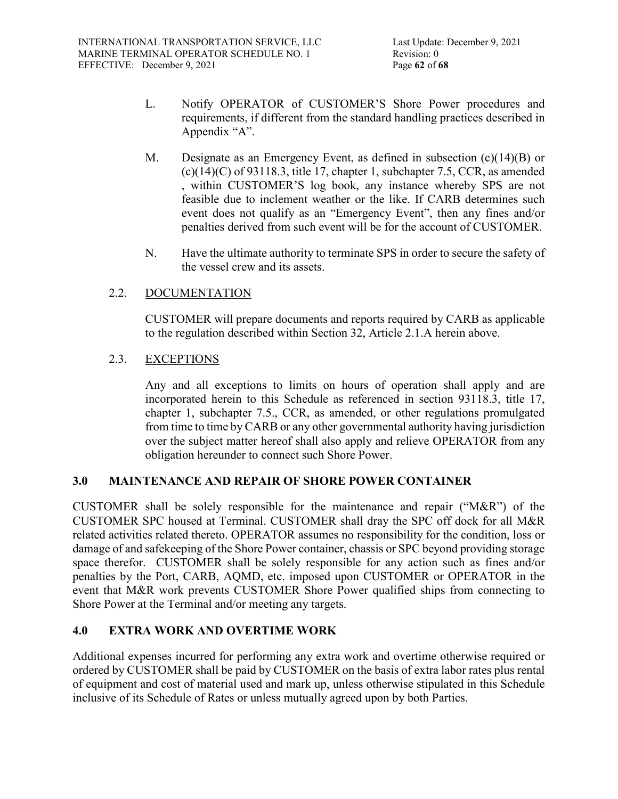- L. Notify OPERATOR of CUSTOMER'S Shore Power procedures and requirements, if different from the standard handling practices described in Appendix "A".
- M. Designate as an Emergency Event, as defined in subsection (c)(14)(B) or  $(c)(14)(C)$  of 93118.3, title 17, chapter 1, subchapter 7.5, CCR, as amended , within CUSTOMER'S log book, any instance whereby SPS are not feasible due to inclement weather or the like. If CARB determines such event does not qualify as an "Emergency Event", then any fines and/or penalties derived from such event will be for the account of CUSTOMER.
- N. Have the ultimate authority to terminate SPS in order to secure the safety of the vessel crew and its assets.

# 2.2. DOCUMENTATION

CUSTOMER will prepare documents and reports required by CARB as applicable to the regulation described within Section 32, Article 2.1.A herein above.

# 2.3. EXCEPTIONS

Any and all exceptions to limits on hours of operation shall apply and are incorporated herein to this Schedule as referenced in section 93118.3, title 17, chapter 1, subchapter 7.5., CCR, as amended, or other regulations promulgated from time to time by CARB or any other governmental authority having jurisdiction over the subject matter hereof shall also apply and relieve OPERATOR from any obligation hereunder to connect such Shore Power.

# **3.0 MAINTENANCE AND REPAIR OF SHORE POWER CONTAINER**

CUSTOMER shall be solely responsible for the maintenance and repair (" $M&R$ ") of the CUSTOMER SPC housed at Terminal. CUSTOMER shall dray the SPC off dock for all M&R related activities related thereto. OPERATOR assumes no responsibility for the condition, loss or damage of and safekeeping of the Shore Power container, chassis or SPC beyond providing storage space therefor. CUSTOMER shall be solely responsible for any action such as fines and/or penalties by the Port, CARB, AQMD, etc. imposed upon CUSTOMER or OPERATOR in the event that M&R work prevents CUSTOMER Shore Power qualified ships from connecting to Shore Power at the Terminal and/or meeting any targets.

# **4.0 EXTRA WORK AND OVERTIME WORK**

Additional expenses incurred for performing any extra work and overtime otherwise required or ordered by CUSTOMER shall be paid by CUSTOMER on the basis of extra labor rates plus rental of equipment and cost of material used and mark up, unless otherwise stipulated in this Schedule inclusive of its Schedule of Rates or unless mutually agreed upon by both Parties.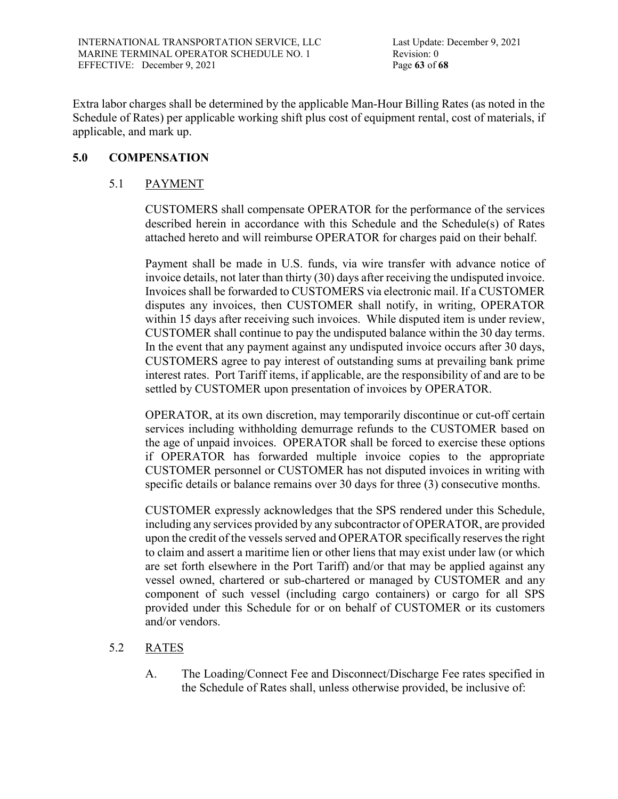Extra labor charges shall be determined by the applicable Man-Hour Billing Rates (as noted in the Schedule of Rates) per applicable working shift plus cost of equipment rental, cost of materials, if applicable, and mark up.

# **5.0 COMPENSATION**

# 5.1 PAYMENT

CUSTOMERS shall compensate OPERATOR for the performance of the services described herein in accordance with this Schedule and the Schedule(s) of Rates attached hereto and will reimburse OPERATOR for charges paid on their behalf.

Payment shall be made in U.S. funds, via wire transfer with advance notice of invoice details, not later than thirty (30) days after receiving the undisputed invoice. Invoices shall be forwarded to CUSTOMERS via electronic mail. If a CUSTOMER disputes any invoices, then CUSTOMER shall notify, in writing, OPERATOR within 15 days after receiving such invoices. While disputed item is under review, CUSTOMER shall continue to pay the undisputed balance within the 30 day terms. In the event that any payment against any undisputed invoice occurs after 30 days, CUSTOMERS agree to pay interest of outstanding sums at prevailing bank prime interest rates. Port Tariff items, if applicable, are the responsibility of and are to be settled by CUSTOMER upon presentation of invoices by OPERATOR.

OPERATOR, at its own discretion, may temporarily discontinue or cut-off certain services including withholding demurrage refunds to the CUSTOMER based on the age of unpaid invoices. OPERATOR shall be forced to exercise these options if OPERATOR has forwarded multiple invoice copies to the appropriate CUSTOMER personnel or CUSTOMER has not disputed invoices in writing with specific details or balance remains over 30 days for three (3) consecutive months.

CUSTOMER expressly acknowledges that the SPS rendered under this Schedule, including any services provided by any subcontractor of OPERATOR, are provided upon the credit of the vessels served and OPERATOR specifically reserves the right to claim and assert a maritime lien or other liens that may exist under law (or which are set forth elsewhere in the Port Tariff) and/or that may be applied against any vessel owned, chartered or sub-chartered or managed by CUSTOMER and any component of such vessel (including cargo containers) or cargo for all SPS provided under this Schedule for or on behalf of CUSTOMER or its customers and/or vendors.

# 5.2 RATES

A. The Loading/Connect Fee and Disconnect/Discharge Fee rates specified in the Schedule of Rates shall, unless otherwise provided, be inclusive of: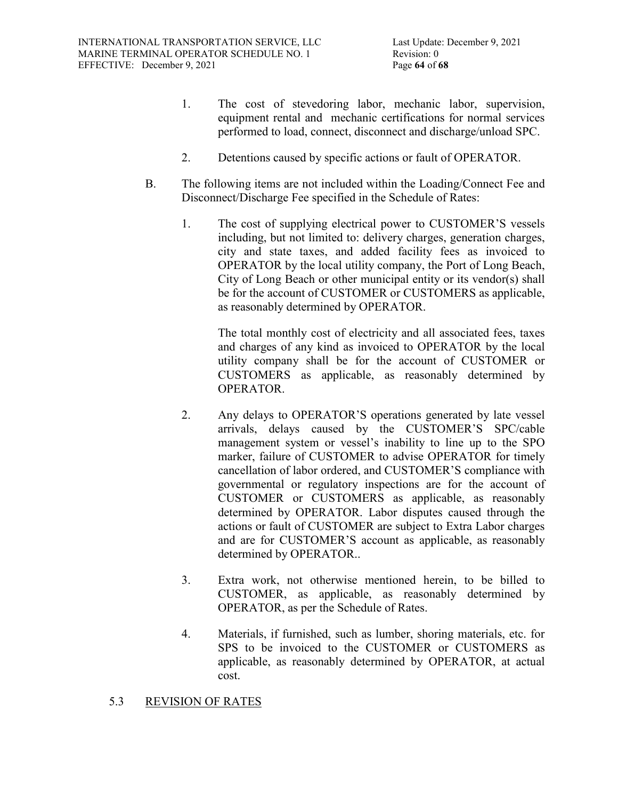- 1. The cost of stevedoring labor, mechanic labor, supervision, equipment rental and mechanic certifications for normal services performed to load, connect, disconnect and discharge/unload SPC.
- 2. Detentions caused by specific actions or fault of OPERATOR.
- B. The following items are not included within the Loading/Connect Fee and Disconnect/Discharge Fee specified in the Schedule of Rates:
	- 1. The cost of supplying electrical power to CUSTOMER'S vessels including, but not limited to: delivery charges, generation charges, city and state taxes, and added facility fees as invoiced to OPERATOR by the local utility company, the Port of Long Beach, City of Long Beach or other municipal entity or its vendor(s) shall be for the account of CUSTOMER or CUSTOMERS as applicable, as reasonably determined by OPERATOR.

The total monthly cost of electricity and all associated fees, taxes and charges of any kind as invoiced to OPERATOR by the local utility company shall be for the account of CUSTOMER or CUSTOMERS as applicable, as reasonably determined by OPERATOR.

- 2. Any delays to OPERATOR'S operations generated by late vessel arrivals, delays caused by the CUSTOMER'S SPC/cable management system or vessel's inability to line up to the SPO marker, failure of CUSTOMER to advise OPERATOR for timely cancellation of labor ordered, and CUSTOMER'S compliance with governmental or regulatory inspections are for the account of CUSTOMER or CUSTOMERS as applicable, as reasonably determined by OPERATOR. Labor disputes caused through the actions or fault of CUSTOMER are subject to Extra Labor charges and are for CUSTOMER'S account as applicable, as reasonably determined by OPERATOR..
- 3. Extra work, not otherwise mentioned herein, to be billed to CUSTOMER, as applicable, as reasonably determined by OPERATOR, as per the Schedule of Rates.
- 4. Materials, if furnished, such as lumber, shoring materials, etc. for SPS to be invoiced to the CUSTOMER or CUSTOMERS as applicable, as reasonably determined by OPERATOR, at actual cost.

# 5.3 REVISION OF RATES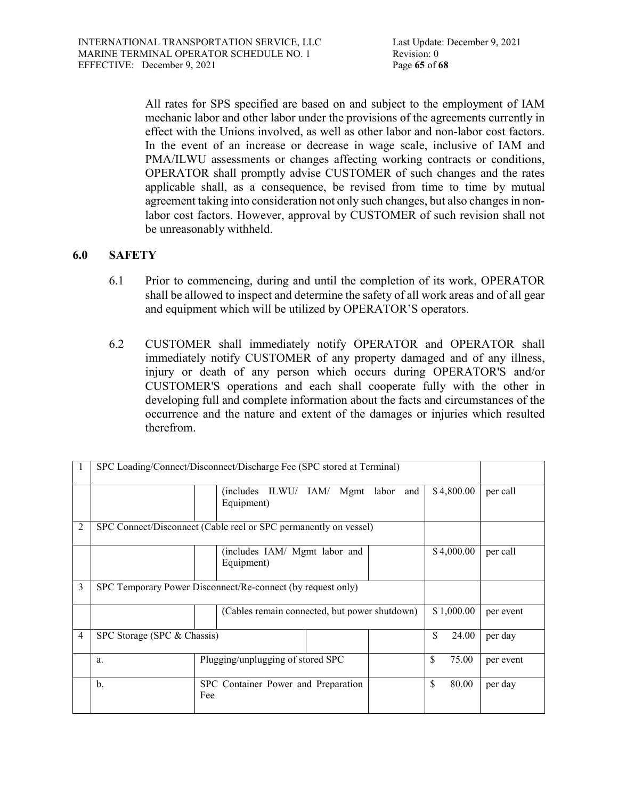All rates for SPS specified are based on and subject to the employment of IAM mechanic labor and other labor under the provisions of the agreements currently in effect with the Unions involved, as well as other labor and non-labor cost factors. In the event of an increase or decrease in wage scale, inclusive of IAM and PMA/ILWU assessments or changes affecting working contracts or conditions, OPERATOR shall promptly advise CUSTOMER of such changes and the rates applicable shall, as a consequence, be revised from time to time by mutual agreement taking into consideration not only such changes, but also changes in nonlabor cost factors. However, approval by CUSTOMER of such revision shall not be unreasonably withheld.

# **6.0 SAFETY**

- 6.1 Prior to commencing, during and until the completion of its work, OPERATOR shall be allowed to inspect and determine the safety of all work areas and of all gear and equipment which will be utilized by OPERATOR'S operators.
- 6.2 CUSTOMER shall immediately notify OPERATOR and OPERATOR shall immediately notify CUSTOMER of any property damaged and of any illness, injury or death of any person which occurs during OPERATOR'S and/or CUSTOMER'S operations and each shall cooperate fully with the other in developing full and complete information about the facts and circumstances of the occurrence and the nature and extent of the damages or injuries which resulted therefrom.

|   | SPC Loading/Connect/Disconnect/Discharge Fee (SPC stored at Terminal) |                                               |            |             |           |  |  |  |  |
|---|-----------------------------------------------------------------------|-----------------------------------------------|------------|-------------|-----------|--|--|--|--|
|   |                                                                       | ILWU/ IAM/ Mgmt<br>(includes)<br>Equipment)   | labor and  | \$4,800.00  | per call  |  |  |  |  |
| 2 | SPC Connect/Disconnect (Cable reel or SPC permanently on vessel)      |                                               |            |             |           |  |  |  |  |
|   |                                                                       | (includes IAM/ Mgmt labor and<br>Equipment)   | \$4,000.00 | per call    |           |  |  |  |  |
| 3 | SPC Temporary Power Disconnect/Re-connect (by request only)           |                                               |            |             |           |  |  |  |  |
|   |                                                                       | (Cables remain connected, but power shutdown) | \$1,000.00 | per event   |           |  |  |  |  |
| 4 | SPC Storage (SPC & Chassis)                                           |                                               |            | \$<br>24.00 | per day   |  |  |  |  |
|   | a.                                                                    | Plugging/unplugging of stored SPC             |            | \$<br>75.00 | per event |  |  |  |  |
|   | $b$                                                                   | SPC Container Power and Preparation<br>Fee    | S<br>80.00 | per day     |           |  |  |  |  |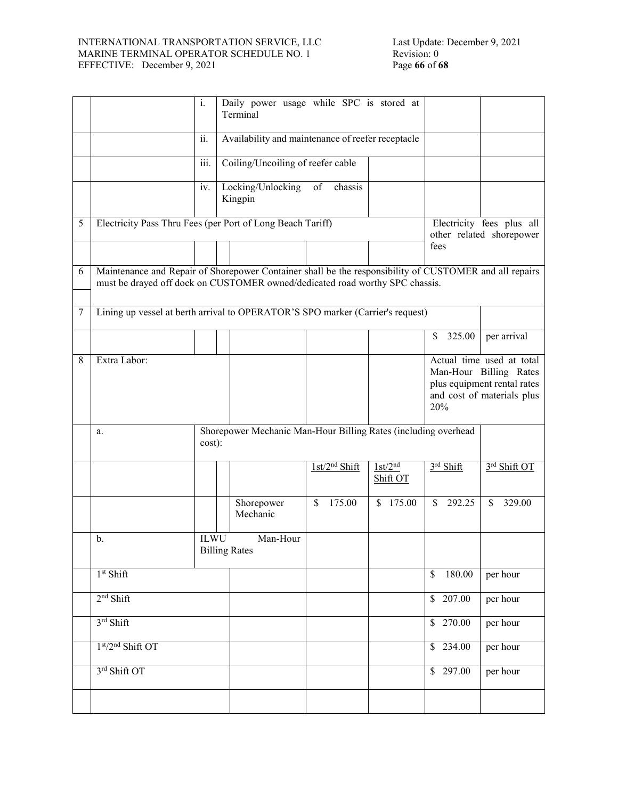#### INTERNATIONAL TRANSPORTATION SERVICE, LLC MARINE TERMINAL OPERATOR SCHEDULE NO. 1 EFFECTIVE: December 9, 2021 Page **66** of **68**

|   |                                                                                                                                                                                        | $\mathbf{i}$ .                                             |  | Daily power usage while SPC is stored at<br>Terminal           |    |                           |                                 |               |                                                                                                                         |              |  |
|---|----------------------------------------------------------------------------------------------------------------------------------------------------------------------------------------|------------------------------------------------------------|--|----------------------------------------------------------------|----|---------------------------|---------------------------------|---------------|-------------------------------------------------------------------------------------------------------------------------|--------------|--|
|   |                                                                                                                                                                                        | $\overline{ii}$ .                                          |  | Availability and maintenance of reefer receptacle              |    |                           |                                 |               |                                                                                                                         |              |  |
|   |                                                                                                                                                                                        | $\overline{\text{iii}}$ .                                  |  | Coiling/Uncoiling of reefer cable                              |    |                           |                                 |               |                                                                                                                         |              |  |
|   |                                                                                                                                                                                        | iv.                                                        |  | Locking/Unlocking<br>Kingpin                                   | of | chassis                   |                                 |               |                                                                                                                         |              |  |
| 5 |                                                                                                                                                                                        | Electricity Pass Thru Fees (per Port of Long Beach Tariff) |  |                                                                |    |                           |                                 |               | Electricity fees plus all<br>other related shorepower                                                                   |              |  |
|   |                                                                                                                                                                                        |                                                            |  |                                                                |    |                           |                                 | fees          |                                                                                                                         |              |  |
| 6 | Maintenance and Repair of Shorepower Container shall be the responsibility of CUSTOMER and all repairs<br>must be drayed off dock on CUSTOMER owned/dedicated road worthy SPC chassis. |                                                            |  |                                                                |    |                           |                                 |               |                                                                                                                         |              |  |
| 7 | Lining up vessel at berth arrival to OPERATOR'S SPO marker (Carrier's request)                                                                                                         |                                                            |  |                                                                |    |                           |                                 |               |                                                                                                                         |              |  |
|   |                                                                                                                                                                                        |                                                            |  |                                                                |    |                           |                                 | \$            | 325.00                                                                                                                  | per arrival  |  |
| 8 | Extra Labor:                                                                                                                                                                           |                                                            |  |                                                                |    |                           |                                 |               | Actual time used at total<br>Man-Hour Billing Rates<br>plus equipment rental rates<br>and cost of materials plus<br>20% |              |  |
|   | a.                                                                                                                                                                                     | cost):                                                     |  | Shorepower Mechanic Man-Hour Billing Rates (including overhead |    |                           |                                 |               |                                                                                                                         |              |  |
|   |                                                                                                                                                                                        |                                                            |  |                                                                |    | 1st/2 <sup>nd</sup> Shift | 1st/2 <sup>nd</sup><br>Shift OT |               | $3rd$ Shift                                                                                                             | 3rd Shift OT |  |
|   |                                                                                                                                                                                        |                                                            |  | Shorepower<br>Mechanic                                         | \$ | 175.00                    | \$175.00                        | <sup>\$</sup> | 292.25                                                                                                                  | 329.00<br>\$ |  |
|   | b.                                                                                                                                                                                     | <b>ILWU</b>                                                |  | Man-Hour<br><b>Billing Rates</b>                               |    |                           |                                 |               |                                                                                                                         |              |  |
|   | 1 <sup>st</sup> Shift                                                                                                                                                                  |                                                            |  |                                                                |    |                           |                                 | \$            | 180.00                                                                                                                  | per hour     |  |
|   | $2nd$ Shift                                                                                                                                                                            |                                                            |  |                                                                |    |                           |                                 |               | $\sqrt{$}$ 207.00                                                                                                       | per hour     |  |
|   | 3rd Shift                                                                                                                                                                              |                                                            |  |                                                                |    |                           |                                 |               | $\sqrt{$}$ 270.00                                                                                                       | per hour     |  |
|   | 1st/2nd Shift OT                                                                                                                                                                       |                                                            |  |                                                                |    |                           |                                 |               | \$234.00                                                                                                                | per hour     |  |
|   | 3rd Shift OT                                                                                                                                                                           |                                                            |  |                                                                |    |                           |                                 |               | \$297.00                                                                                                                | per hour     |  |
|   |                                                                                                                                                                                        |                                                            |  |                                                                |    |                           |                                 |               |                                                                                                                         |              |  |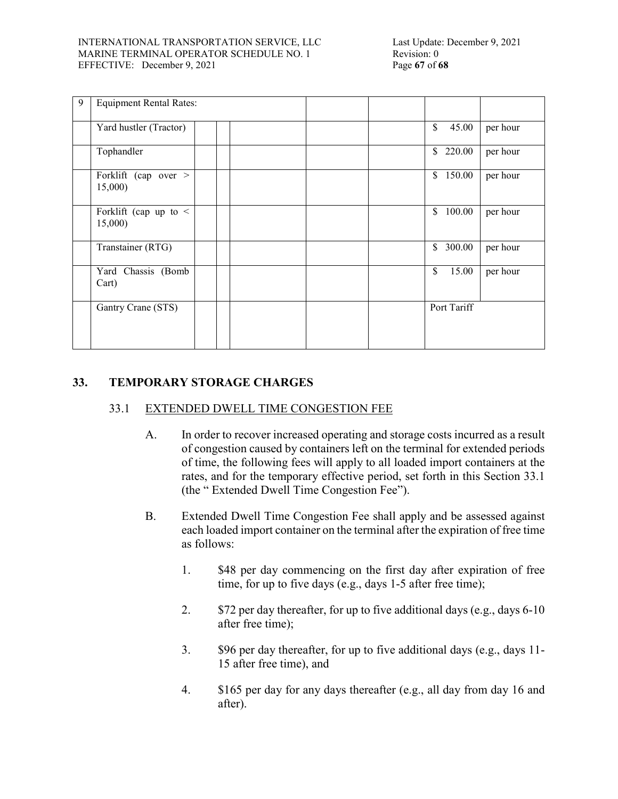#### INTERNATIONAL TRANSPORTATION SERVICE, LLC MARINE TERMINAL OPERATOR SCHEDULE NO. 1 EFFECTIVE: December 9, 2021 Page **67** of **68**

| 9 | <b>Equipment Rental Rates:</b>        |  |              |          |
|---|---------------------------------------|--|--------------|----------|
|   | Yard hustler (Tractor)                |  | \$<br>45.00  | per hour |
|   | Tophandler                            |  | \$220.00     | per hour |
|   | Forklift (cap over ><br>15,000        |  | \$<br>150.00 | per hour |
|   | Forklift (cap up to $\leq$<br>15,000) |  | 100.00<br>\$ | per hour |
|   | Transtainer (RTG)                     |  | \$<br>300.00 | per hour |
|   | Yard Chassis (Bomb<br>Cart)           |  | \$<br>15.00  | per hour |
|   | Gantry Crane (STS)                    |  | Port Tariff  |          |

# **33. TEMPORARY STORAGE CHARGES**

# 33.1 EXTENDED DWELL TIME CONGESTION FEE

- A. In order to recover increased operating and storage costs incurred as a result of congestion caused by containers left on the terminal for extended periods of time, the following fees will apply to all loaded import containers at the rates, and for the temporary effective period, set forth in this Section 33.1 (the " Extended Dwell Time Congestion Fee").
- B. Extended Dwell Time Congestion Fee shall apply and be assessed against each loaded import container on the terminal after the expiration of free time as follows:
	- 1. \$48 per day commencing on the first day after expiration of free time, for up to five days (e.g., days 1-5 after free time);
	- 2. \$72 per day thereafter, for up to five additional days (e.g., days 6-10 after free time);
	- 3. \$96 per day thereafter, for up to five additional days (e.g., days 11- 15 after free time), and
	- 4. \$165 per day for any days thereafter (e.g., all day from day 16 and after).